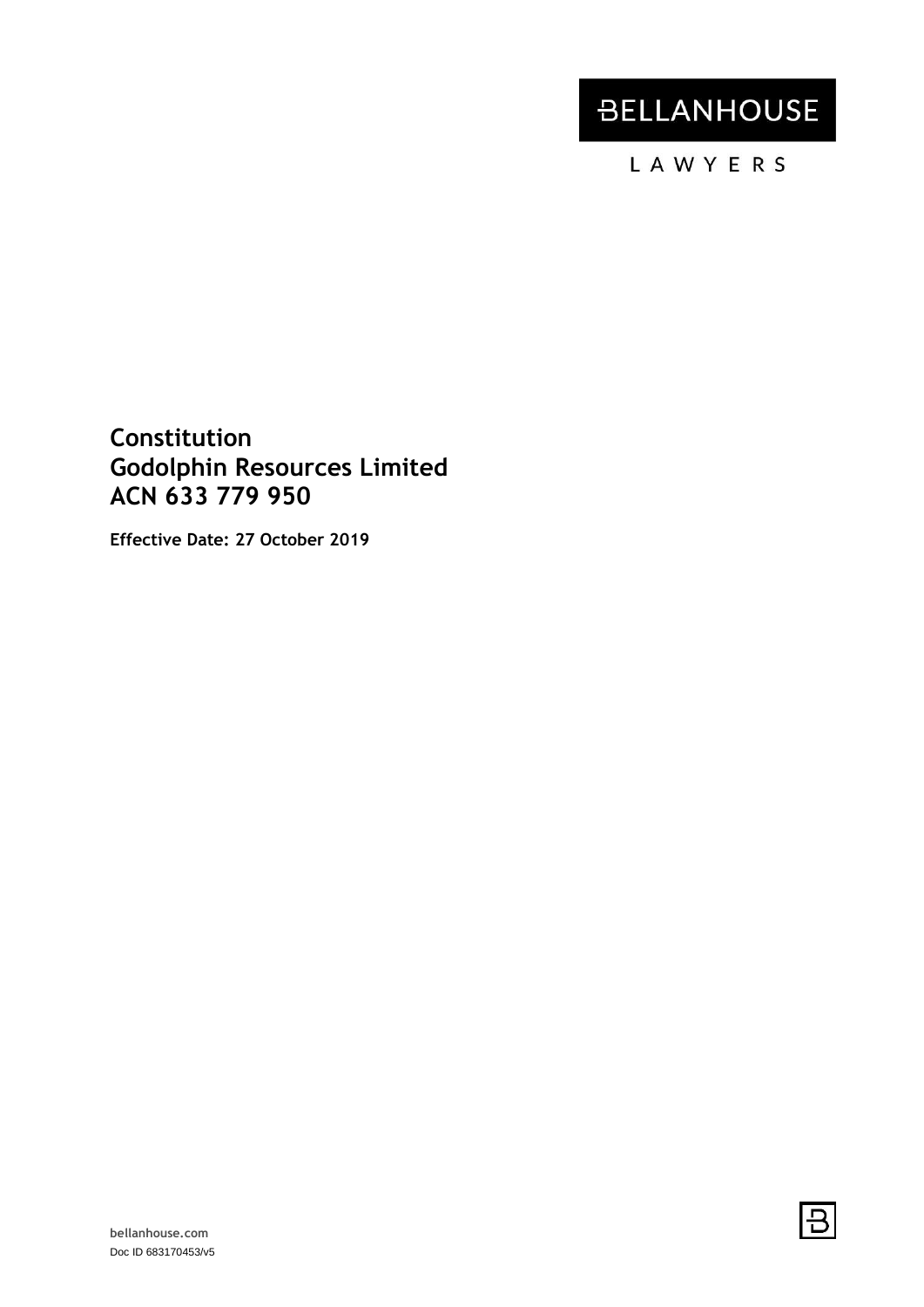# **BELLANHOUSE**

LAWYERS

**Constitution Godolphin Resources Limited ACN 633 779 950**

**Effective Date: 27 October 2019**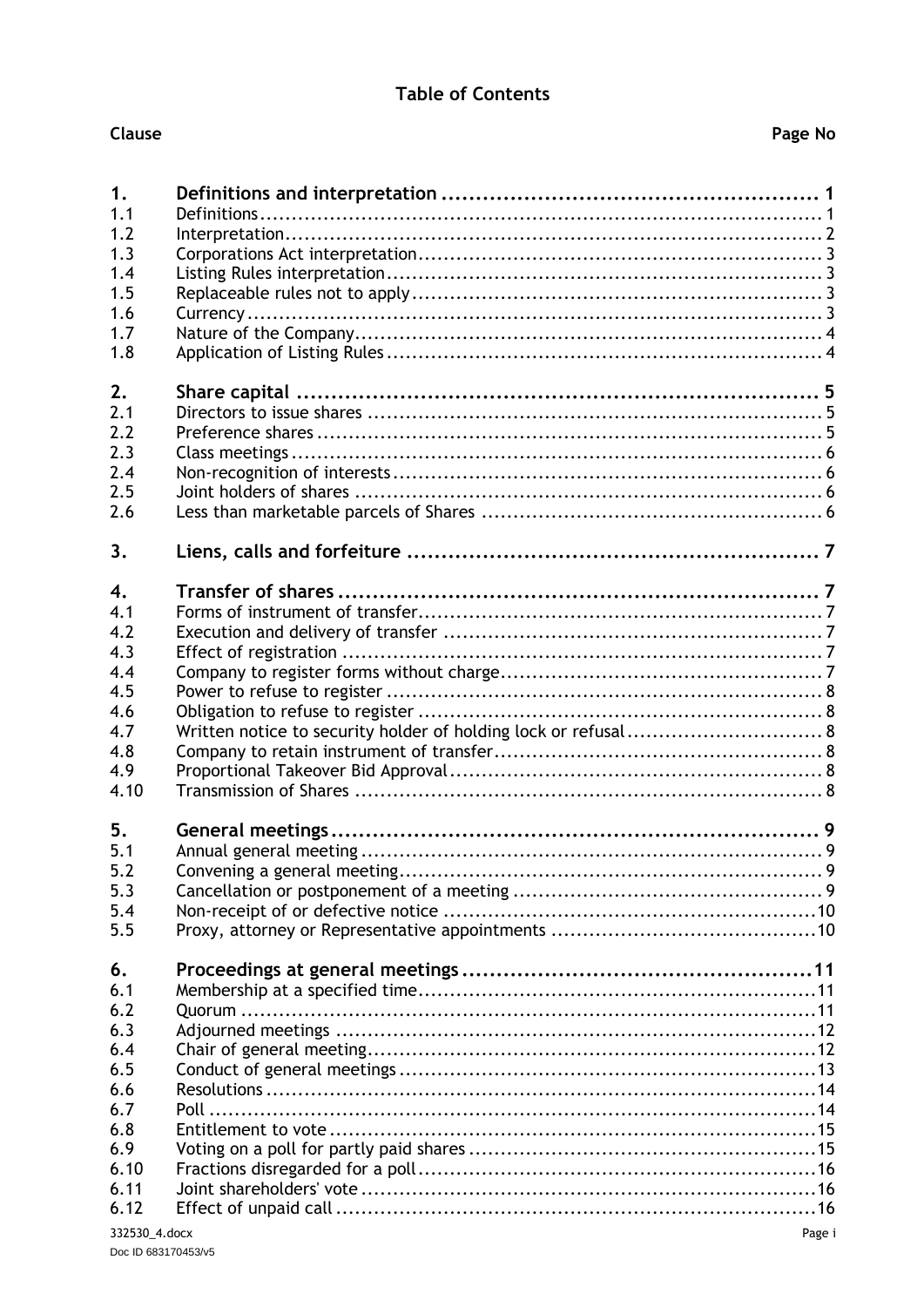# **Table of Contents**

| 1.            |                                                                |
|---------------|----------------------------------------------------------------|
| 1.1           |                                                                |
| 1.2           |                                                                |
| 1.3           |                                                                |
| 1.4           |                                                                |
| 1.5           |                                                                |
| 1.6           |                                                                |
| 1.7           |                                                                |
| 1.8           |                                                                |
| 2.            |                                                                |
| 2.1           |                                                                |
| 2.2           |                                                                |
| 2.3           |                                                                |
| 2.4           |                                                                |
| 2.5           |                                                                |
| 2.6           |                                                                |
| 3.            |                                                                |
| 4.            |                                                                |
| 4.1           |                                                                |
| 4.2           |                                                                |
| 4.3           |                                                                |
| 4.4           |                                                                |
| 4.5           |                                                                |
| 4.6           |                                                                |
| 4.7           | Written notice to security holder of holding lock or refusal 8 |
| 4.8           |                                                                |
| 4.9           |                                                                |
| 4.10          |                                                                |
| 5.            |                                                                |
| 5.1           |                                                                |
| 5.2           |                                                                |
| 5.3           |                                                                |
| 5.4           |                                                                |
| 5.5           |                                                                |
| 6.            |                                                                |
| 6.1           |                                                                |
| 6.2           |                                                                |
| 6.3           |                                                                |
| 6.4           |                                                                |
| 6.5           |                                                                |
| 6.6           |                                                                |
| 6.7           |                                                                |
| 6.8           |                                                                |
| 6.9           |                                                                |
| 6.10          |                                                                |
| 6.11          |                                                                |
| 6.12          |                                                                |
| 332530 A docx | $\mathsf{p}_{\mathsf{and}}$                                    |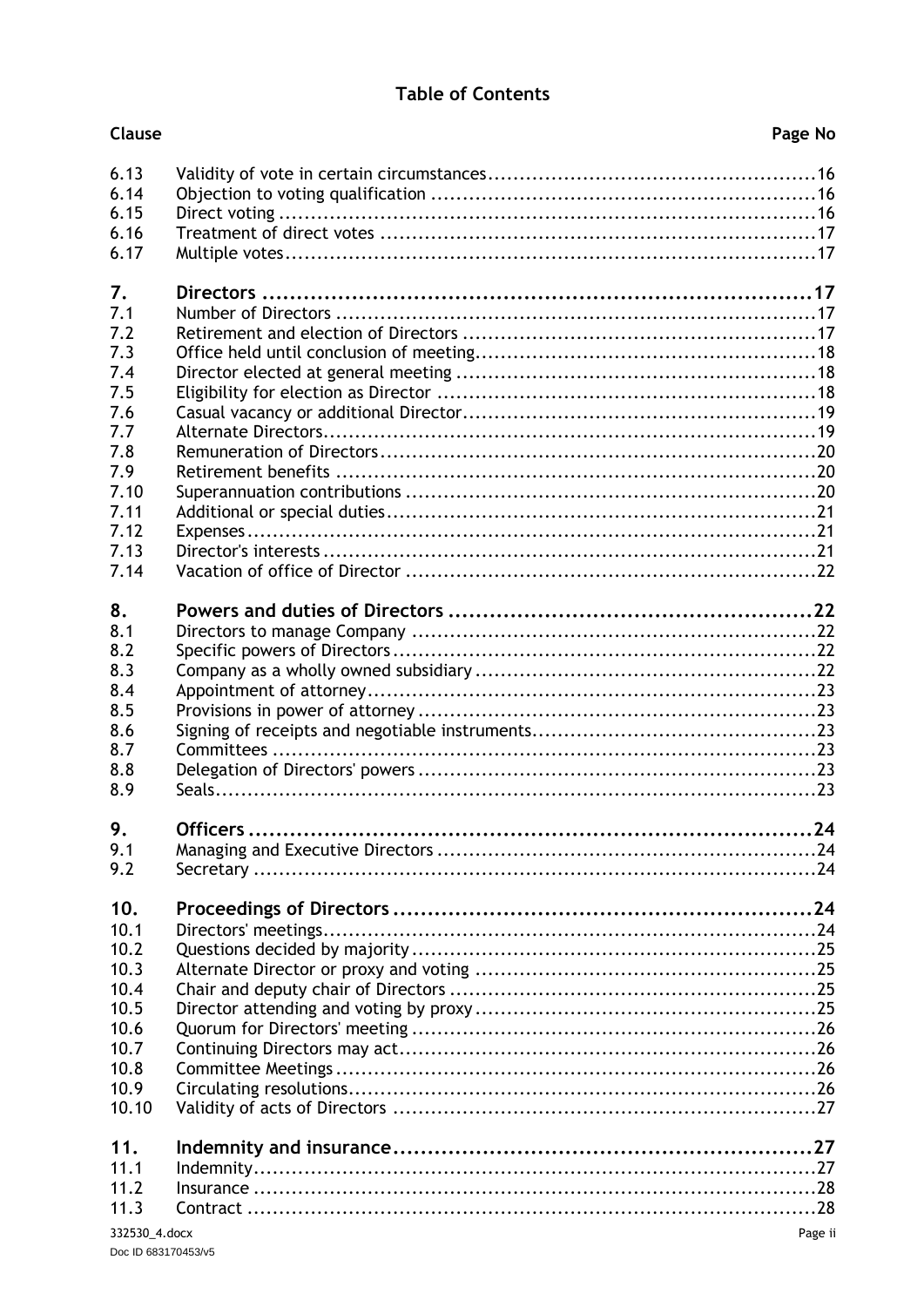# **Table of Contents**

| Clause       | Page No |
|--------------|---------|
| 6.13<br>6.14 |         |
| 6.15<br>6.16 |         |
| 6.17         |         |
| 7.<br>7.1    |         |
| 7.2          |         |
| 7.3<br>7.4   |         |
| 7.5<br>7.6   |         |
| 7.7          |         |
| 7.8<br>7.9   |         |
| 7.10<br>7.11 |         |
| 7.12         |         |
| 7.13<br>7.14 |         |
| 8.           |         |
| 8.1<br>8.2   |         |
| 8.3<br>8.4   |         |
| 8.5          |         |
| 8.6<br>8.7   |         |
| 8.8<br>8.9   |         |
| 9.           |         |
| 9.1<br>9.2   |         |
|              |         |
| 10.<br>10.1  |         |
| 10.2<br>10.3 |         |
| 10.4         |         |
| 10.5<br>10.6 |         |
| 10.7<br>10.8 |         |
| 10.9         |         |
| 10.10        |         |
| 11.<br>11.1  |         |
| 11.2<br>11.3 |         |
|              |         |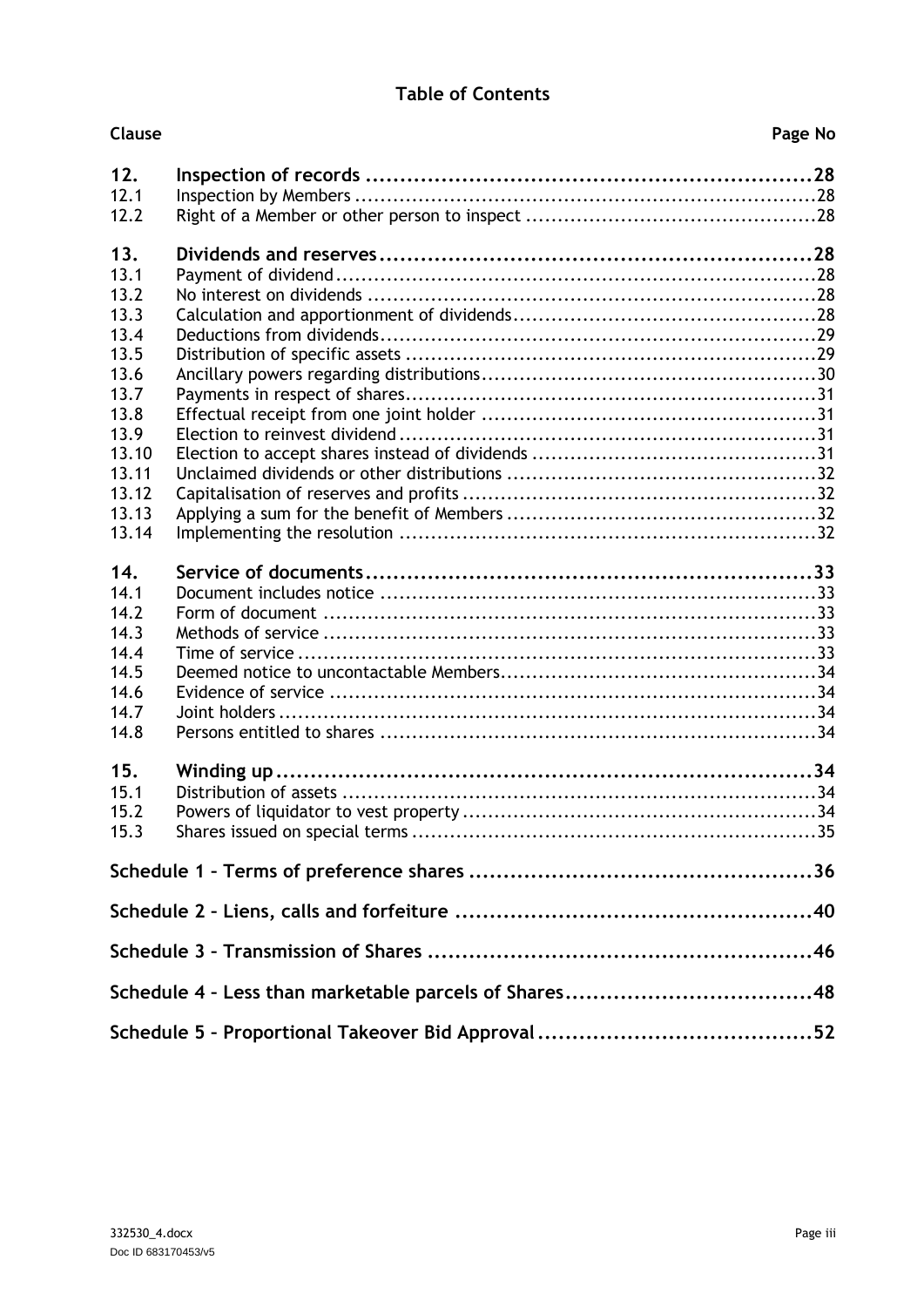# **Table of Contents**

| <b>Clause</b> | Page No |
|---------------|---------|
| 12.           |         |
| 12.1          |         |
| 12.2          |         |
| 13.           |         |
| 13.1          |         |
| 13.2          |         |
| 13.3          |         |
| 13.4          |         |
| 13.5          |         |
| 13.6          |         |
| 13.7          |         |
| 13.8          |         |
| 13.9          |         |
| 13.10         |         |
| 13.11         |         |
| 13.12         |         |
| 13.13         |         |
| 13.14         |         |
| 14.           |         |
| 14.1          |         |
| 14.2          |         |
| 14.3          |         |
| 14.4          |         |
| 14.5          |         |
| 14.6          |         |
| 14.7          |         |
| 14.8          |         |
| 15.           |         |
| 15.1          |         |
| 15.2          |         |
| 15.3          |         |
|               |         |
|               |         |
|               |         |
|               |         |
|               |         |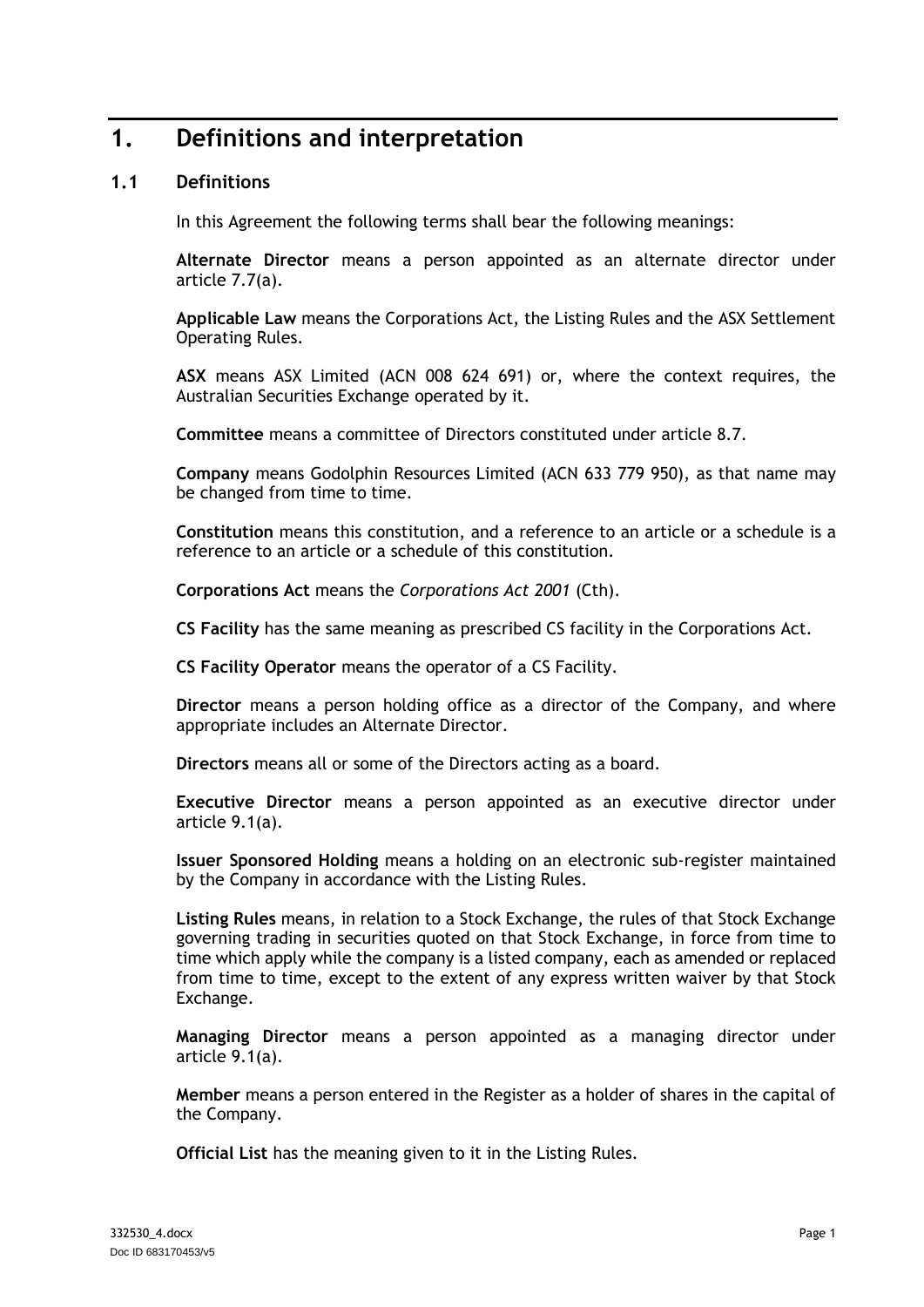# <span id="page-4-0"></span>**1. Definitions and interpretation**

# <span id="page-4-1"></span>**1.1 Definitions**

In this Agreement the following terms shall bear the following meanings:

**Alternate Director** means a person appointed as an alternate director under article [7.7\(a\).](#page-22-2)

**Applicable Law** means the Corporations Act, the Listing Rules and the ASX Settlement Operating Rules.

**ASX** means ASX Limited (ACN 008 624 691) or, where the context requires, the Australian Securities Exchange operated by it.

**Committee** means a committee of Directors constituted under article [8.7.](#page-26-3)

**Company** means Godolphin Resources Limited (ACN 633 779 950), as that name may be changed from time to time.

**Constitution** means this constitution, and a reference to an article or a schedule is a reference to an article or a schedule of this constitution.

**Corporations Act** means the *Corporations Act 2001* (Cth).

**CS Facility** has the same meaning as prescribed CS facility in the Corporations Act.

**CS Facility Operator** means the operator of a CS Facility.

**Director** means a person holding office as a director of the Company, and where appropriate includes an Alternate Director.

**Directors** means all or some of the Directors acting as a board.

**Executive Director** means a person appointed as an executive director under article [9.1\(a\).](#page-27-5)

**Issuer Sponsored Holding** means a holding on an electronic sub-register maintained by the Company in accordance with the Listing Rules.

**Listing Rules** means, in relation to a Stock Exchange, the rules of that Stock Exchange governing trading in securities quoted on that Stock Exchange, in force from time to time which apply while the company is a listed company, each as amended or replaced from time to time, except to the extent of any express written waiver by that Stock Exchange.

**Managing Director** means a person appointed as a managing director under article [9.1\(a\).](#page-27-5)

**Member** means a person entered in the Register as a holder of shares in the capital of the Company.

**Official List** has the meaning given to it in the Listing Rules.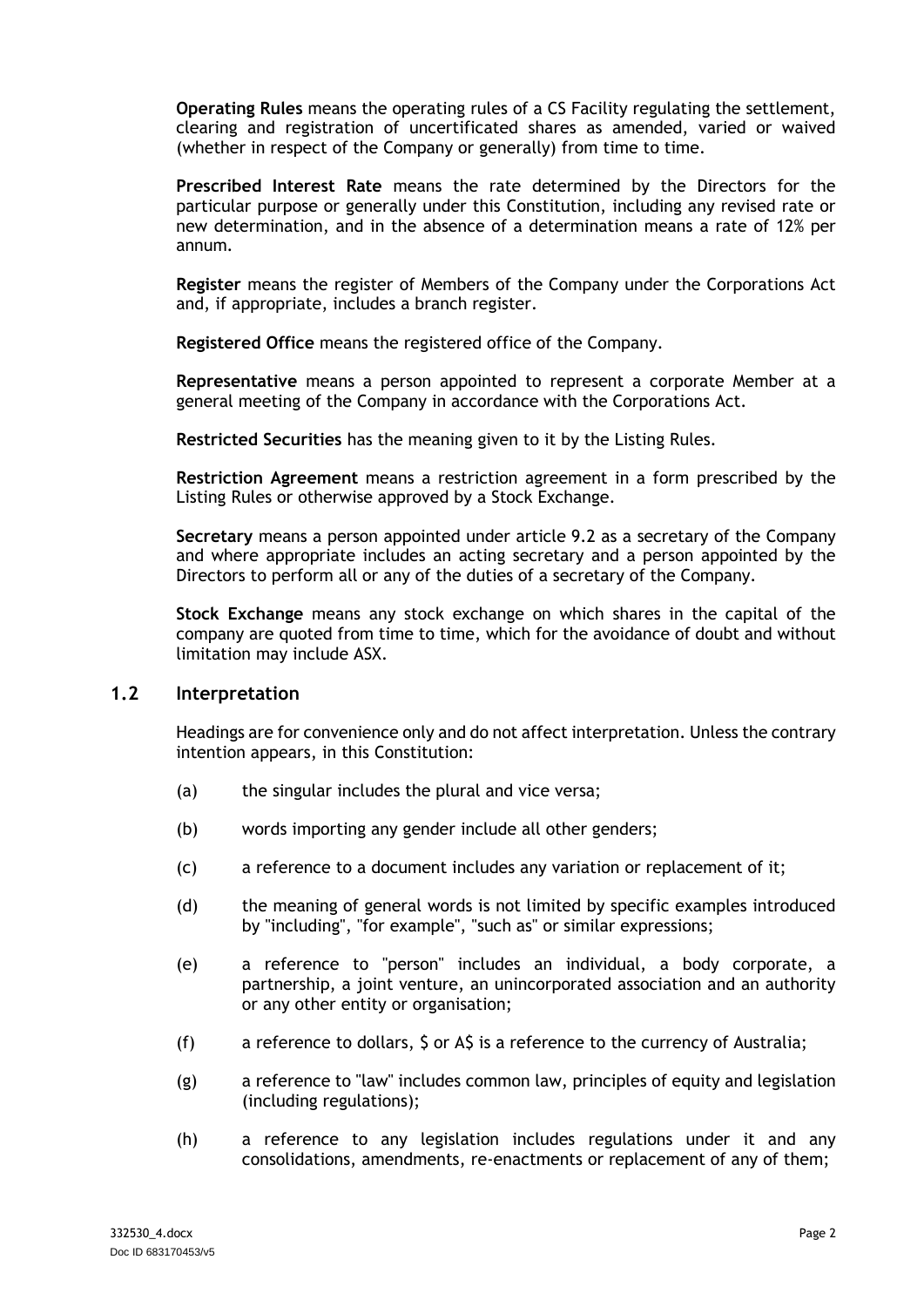**Operating Rules** means the operating rules of a CS Facility regulating the settlement, clearing and registration of uncertificated shares as amended, varied or waived (whether in respect of the Company or generally) from time to time.

**Prescribed Interest Rate** means the rate determined by the Directors for the particular purpose or generally under this Constitution, including any revised rate or new determination, and in the absence of a determination means a rate of 12% per annum*.*

**Register** means the register of Members of the Company under the Corporations Act and, if appropriate, includes a branch register.

**Registered Office** means the registered office of the Company.

**Representative** means a person appointed to represent a corporate Member at a general meeting of the Company in accordance with the Corporations Act.

**Restricted Securities** has the meaning given to it by the Listing Rules.

**Restriction Agreement** means a restriction agreement in a form prescribed by the Listing Rules or otherwise approved by a Stock Exchange.

**Secretary** means a person appointed under article [9.2](#page-27-2) as a secretary of the Company and where appropriate includes an acting secretary and a person appointed by the Directors to perform all or any of the duties of a secretary of the Company.

**Stock Exchange** means any stock exchange on which shares in the capital of the company are quoted from time to time, which for the avoidance of doubt and without limitation may include ASX.

### <span id="page-5-0"></span>**1.2 Interpretation**

Headings are for convenience only and do not affect interpretation. Unless the contrary intention appears, in this Constitution:

- (a) the singular includes the plural and vice versa;
- (b) words importing any gender include all other genders;
- (c) a reference to a document includes any variation or replacement of it;
- (d) the meaning of general words is not limited by specific examples introduced by "including", "for example", "such as" or similar expressions;
- (e) a reference to "person" includes an individual, a body corporate, a partnership, a joint venture, an unincorporated association and an authority or any other entity or organisation;
- (f) a reference to dollars, \$ or A\$ is a reference to the currency of Australia;
- (g) a reference to "law" includes common law, principles of equity and legislation (including regulations);
- (h) a reference to any legislation includes regulations under it and any consolidations, amendments, re-enactments or replacement of any of them;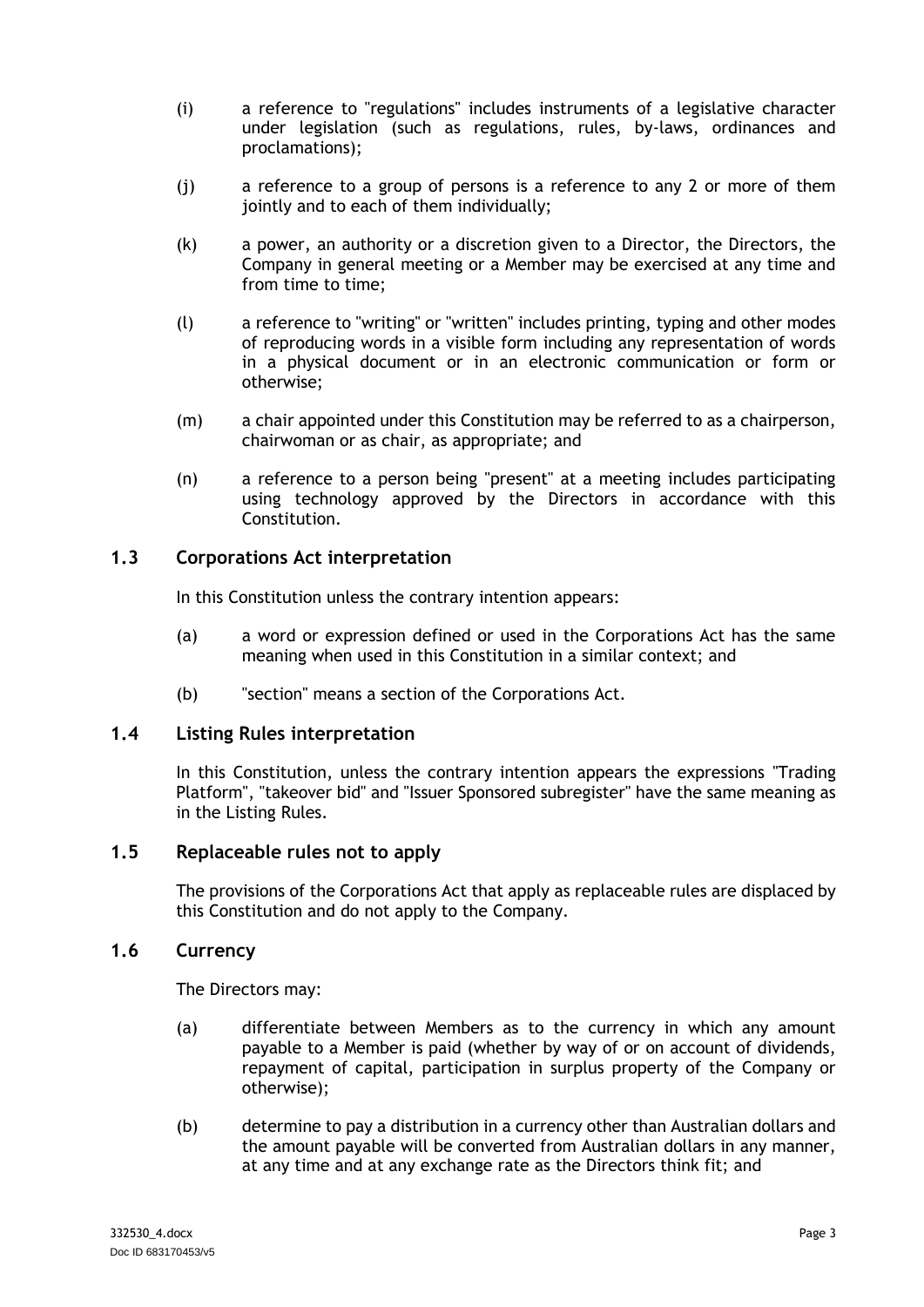- (i) a reference to "regulations" includes instruments of a legislative character under legislation (such as regulations, rules, by-laws, ordinances and proclamations);
- (j) a reference to a group of persons is a reference to any 2 or more of them jointly and to each of them individually;
- (k) a power, an authority or a discretion given to a Director, the Directors, the Company in general meeting or a Member may be exercised at any time and from time to time;
- (l) a reference to "writing" or "written" includes printing, typing and other modes of reproducing words in a visible form including any representation of words in a physical document or in an electronic communication or form or otherwise;
- (m) a chair appointed under this Constitution may be referred to as a chairperson, chairwoman or as chair, as appropriate; and
- (n) a reference to a person being "present" at a meeting includes participating using technology approved by the Directors in accordance with this Constitution.

### <span id="page-6-0"></span>**1.3 Corporations Act interpretation**

In this Constitution unless the contrary intention appears:

- (a) a word or expression defined or used in the Corporations Act has the same meaning when used in this Constitution in a similar context; and
- (b) "section" means a section of the Corporations Act.

#### <span id="page-6-1"></span>**1.4 Listing Rules interpretation**

In this Constitution, unless the contrary intention appears the expressions "Trading Platform", "takeover bid" and "Issuer Sponsored subregister" have the same meaning as in the Listing Rules.

### <span id="page-6-2"></span>**1.5 Replaceable rules not to apply**

The provisions of the Corporations Act that apply as replaceable rules are displaced by this Constitution and do not apply to the Company.

#### <span id="page-6-3"></span>**1.6 Currency**

The Directors may:

- (a) differentiate between Members as to the currency in which any amount payable to a Member is paid (whether by way of or on account of dividends, repayment of capital, participation in surplus property of the Company or otherwise);
- (b) determine to pay a distribution in a currency other than Australian dollars and the amount payable will be converted from Australian dollars in any manner, at any time and at any exchange rate as the Directors think fit; and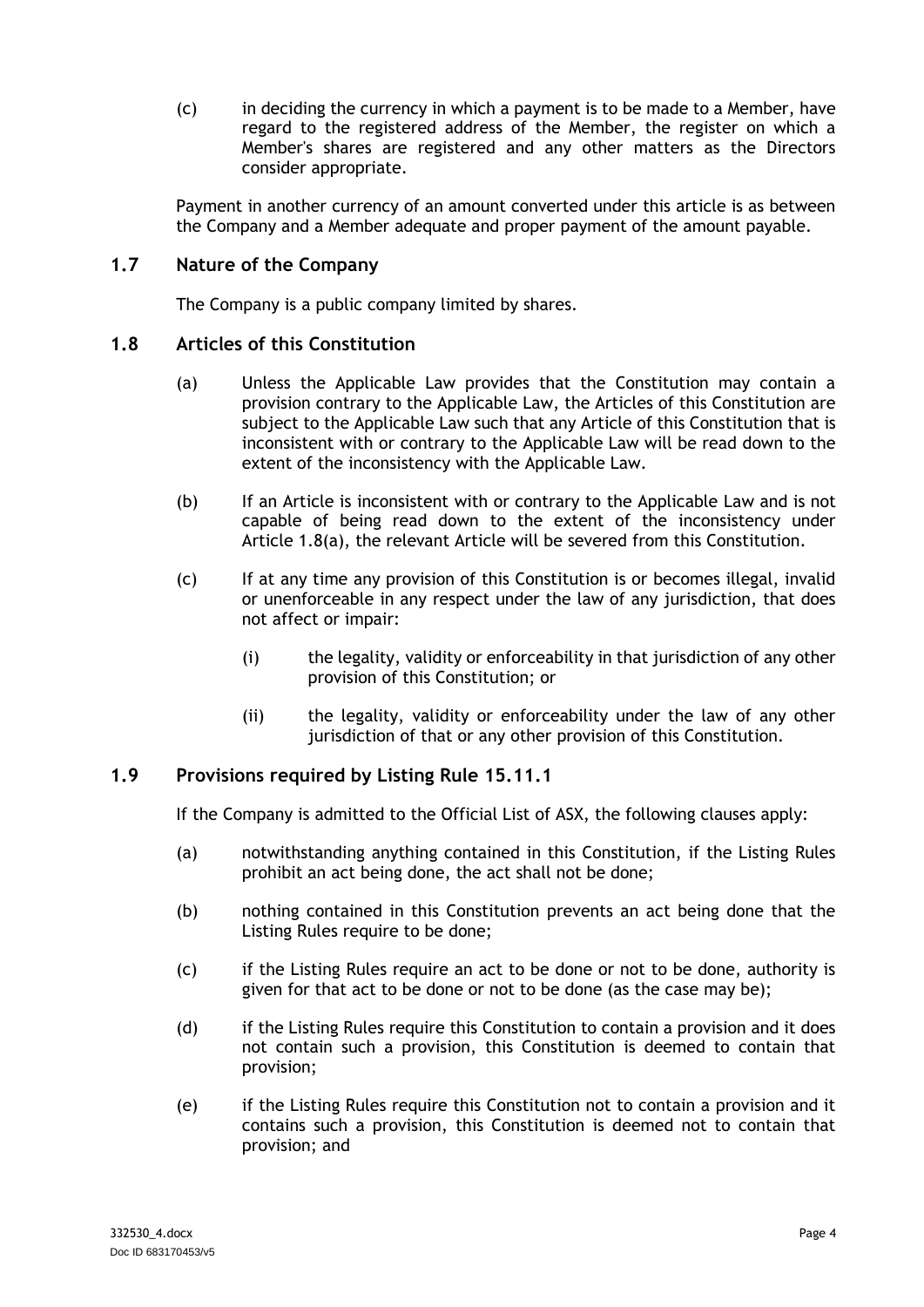(c) in deciding the currency in which a payment is to be made to a Member, have regard to the registered address of the Member, the register on which a Member's shares are registered and any other matters as the Directors consider appropriate.

Payment in another currency of an amount converted under this article is as between the Company and a Member adequate and proper payment of the amount payable.

# <span id="page-7-0"></span>**1.7 Nature of the Company**

The Company is a public company limited by shares.

#### <span id="page-7-2"></span><span id="page-7-1"></span>**1.8 Articles of this Constitution**

- (a) Unless the Applicable Law provides that the Constitution may contain a provision contrary to the Applicable Law, the Articles of this Constitution are subject to the Applicable Law such that any Article of this Constitution that is inconsistent with or contrary to the Applicable Law will be read down to the extent of the inconsistency with the Applicable Law.
- (b) If an Article is inconsistent with or contrary to the Applicable Law and is not capable of being read down to the extent of the inconsistency under Article [1.8\(a\),](#page-7-2) the relevant Article will be severed from this Constitution.
- (c) If at any time any provision of this Constitution is or becomes illegal, invalid or unenforceable in any respect under the law of any jurisdiction, that does not affect or impair:
	- (i) the legality, validity or enforceability in that jurisdiction of any other provision of this Constitution; or
	- (ii) the legality, validity or enforceability under the law of any other jurisdiction of that or any other provision of this Constitution.

### **1.9 Provisions required by Listing Rule 15.11.1**

If the Company is admitted to the Official List of ASX, the following clauses apply:

- (a) notwithstanding anything contained in this Constitution, if the Listing Rules prohibit an act being done, the act shall not be done;
- (b) nothing contained in this Constitution prevents an act being done that the Listing Rules require to be done;
- (c) if the Listing Rules require an act to be done or not to be done, authority is given for that act to be done or not to be done (as the case may be);
- (d) if the Listing Rules require this Constitution to contain a provision and it does not contain such a provision, this Constitution is deemed to contain that provision;
- (e) if the Listing Rules require this Constitution not to contain a provision and it contains such a provision, this Constitution is deemed not to contain that provision; and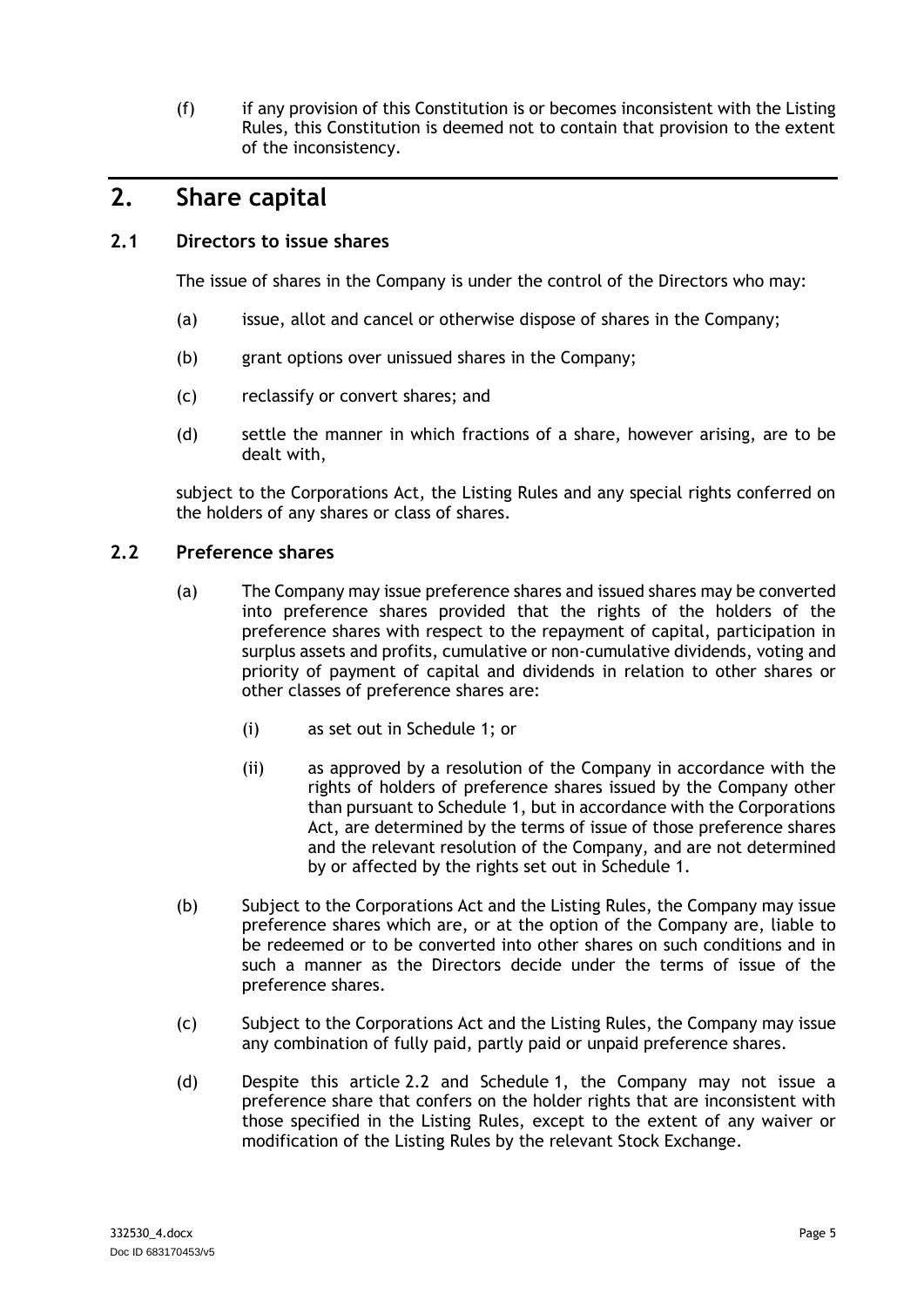(f) if any provision of this Constitution is or becomes inconsistent with the Listing Rules, this Constitution is deemed not to contain that provision to the extent of the inconsistency.

# <span id="page-8-0"></span>**2. Share capital**

# <span id="page-8-1"></span>**2.1 Directors to issue shares**

The issue of shares in the Company is under the control of the Directors who may:

- (a) issue, allot and cancel or otherwise dispose of shares in the Company;
- (b) grant options over unissued shares in the Company;
- (c) reclassify or convert shares; and
- (d) settle the manner in which fractions of a share, however arising, are to be dealt with,

subject to the Corporations Act, the Listing Rules and any special rights conferred on the holders of any shares or class of shares.

### <span id="page-8-2"></span>**2.2 Preference shares**

- (a) The Company may issue preference shares and issued shares may be converted into preference shares provided that the rights of the holders of the preference shares with respect to the repayment of capital, participation in surplus assets and profits, cumulative or non-cumulative dividends, voting and priority of payment of capital and dividends in relation to other shares or other classes of preference shares are:
	- (i) as set out in [Schedule](#page-39-0) 1; or
	- (ii) as approved by a resolution of the Company in accordance with the rights of holders of preference shares issued by the Company other than pursuant to [Schedule](#page-39-0) 1, but in accordance with the Corporations Act, are determined by the terms of issue of those preference shares and the relevant resolution of the Company, and are not determined by or affected by the rights set out in [Schedule](#page-39-0) 1.
- (b) Subject to the Corporations Act and the Listing Rules, the Company may issue preference shares which are, or at the option of the Company are, liable to be redeemed or to be converted into other shares on such conditions and in such a manner as the Directors decide under the terms of issue of the preference shares.
- (c) Subject to the Corporations Act and the Listing Rules, the Company may issue any combination of fully paid, partly paid or unpaid preference shares.
- (d) Despite this article [2.2](#page-8-2) and [Schedule](#page-39-0) 1, the Company may not issue a preference share that confers on the holder rights that are inconsistent with those specified in the Listing Rules, except to the extent of any waiver or modification of the Listing Rules by the relevant Stock Exchange.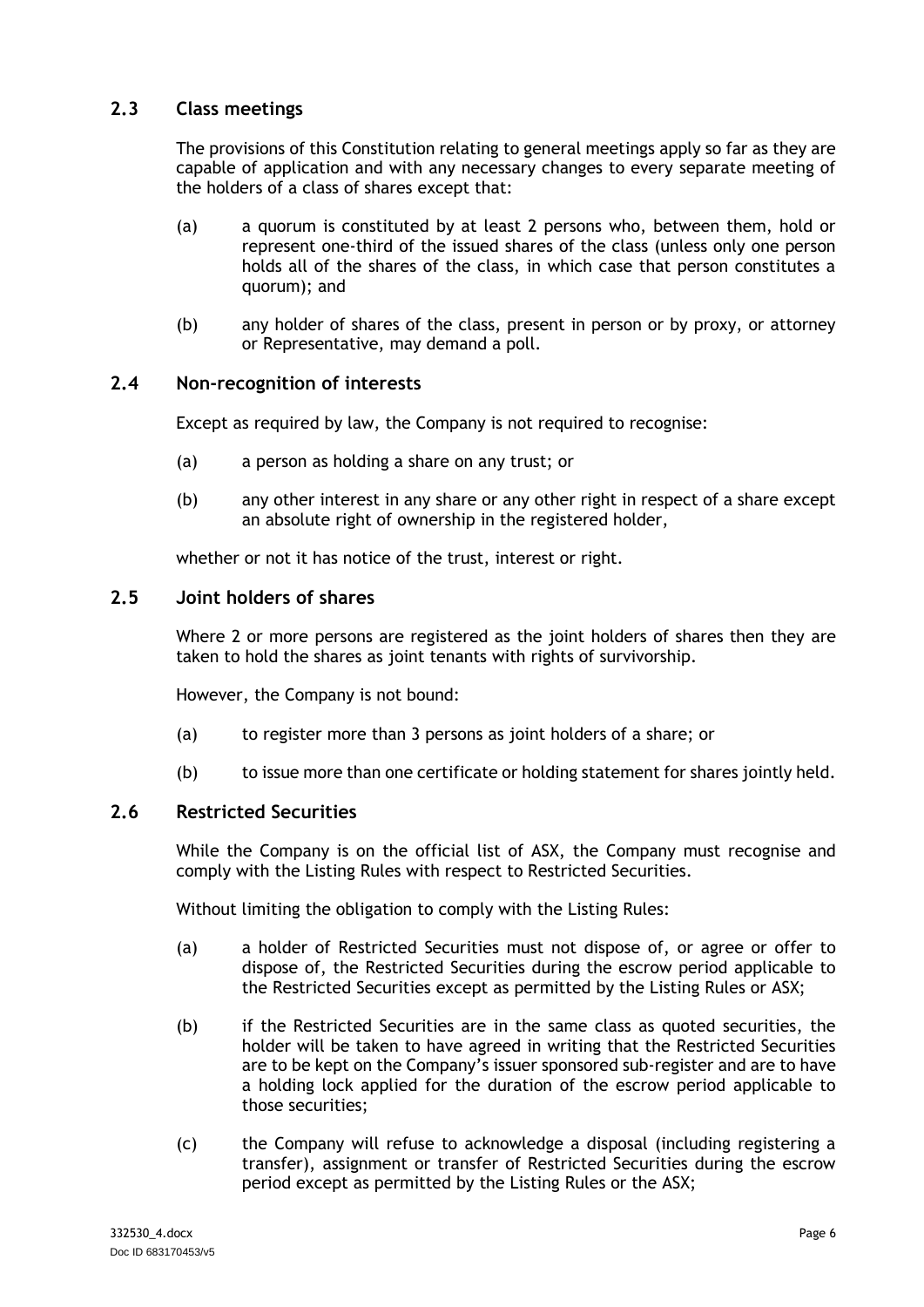# <span id="page-9-0"></span>**2.3 Class meetings**

The provisions of this Constitution relating to general meetings apply so far as they are capable of application and with any necessary changes to every separate meeting of the holders of a class of shares except that:

- (a) a quorum is constituted by at least 2 persons who, between them, hold or represent one-third of the issued shares of the class (unless only one person holds all of the shares of the class, in which case that person constitutes a quorum); and
- (b) any holder of shares of the class, present in person or by proxy, or attorney or Representative, may demand a poll.

### <span id="page-9-1"></span>**2.4 Non-recognition of interests**

Except as required by law, the Company is not required to recognise:

- (a) a person as holding a share on any trust; or
- (b) any other interest in any share or any other right in respect of a share except an absolute right of ownership in the registered holder,

whether or not it has notice of the trust, interest or right.

#### <span id="page-9-2"></span>**2.5 Joint holders of shares**

Where 2 or more persons are registered as the joint holders of shares then they are taken to hold the shares as joint tenants with rights of survivorship.

However, the Company is not bound:

- (a) to register more than 3 persons as joint holders of a share; or
- (b) to issue more than one certificate or holding statement for shares jointly held.

#### <span id="page-9-3"></span>**2.6 Restricted Securities**

While the Company is on the official list of ASX, the Company must recognise and comply with the Listing Rules with respect to Restricted Securities.

Without limiting the obligation to comply with the Listing Rules:

- (a) a holder of Restricted Securities must not dispose of, or agree or offer to dispose of, the Restricted Securities during the escrow period applicable to the Restricted Securities except as permitted by the Listing Rules or ASX;
- (b) if the Restricted Securities are in the same class as quoted securities, the holder will be taken to have agreed in writing that the Restricted Securities are to be kept on the Company's issuer sponsored sub-register and are to have a holding lock applied for the duration of the escrow period applicable to those securities;
- (c) the Company will refuse to acknowledge a disposal (including registering a transfer), assignment or transfer of Restricted Securities during the escrow period except as permitted by the Listing Rules or the ASX;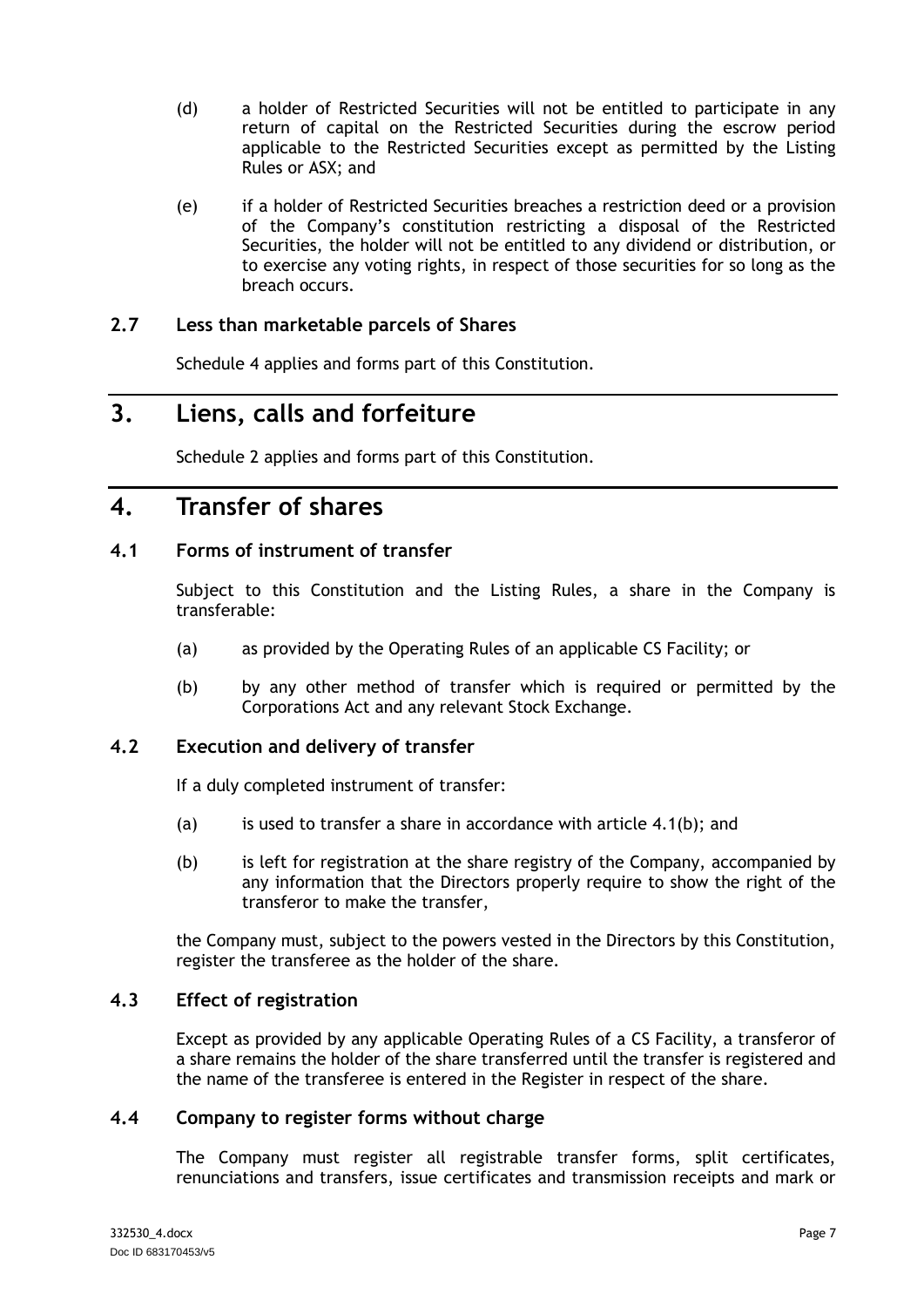- (d) a holder of Restricted Securities will not be entitled to participate in any return of capital on the Restricted Securities during the escrow period applicable to the Restricted Securities except as permitted by the Listing Rules or ASX; and
- (e) if a holder of Restricted Securities breaches a restriction deed or a provision of the Company's constitution restricting a disposal of the Restricted Securities, the holder will not be entitled to any dividend or distribution, or to exercise any voting rights, in respect of those securities for so long as the breach occurs.

# **2.7 Less than marketable parcels of Shares**

[Schedule](#page-51-0) 4 applies and forms part of this Constitution.

# <span id="page-10-0"></span>**3. Liens, calls and forfeiture**

[Schedule](#page-43-0) 2 applies and forms part of this Constitution.

# <span id="page-10-1"></span>**4. Transfer of shares**

# <span id="page-10-2"></span>**4.1 Forms of instrument of transfer**

Subject to this Constitution and the Listing Rules, a share in the Company is transferable:

- (a) as provided by the Operating Rules of an applicable CS Facility; or
- <span id="page-10-6"></span>(b) by any other method of transfer which is required or permitted by the Corporations Act and any relevant Stock Exchange.

# <span id="page-10-3"></span>**4.2 Execution and delivery of transfer**

If a duly completed instrument of transfer:

- (a) is used to transfer a share in accordance with article [4.1\(b\);](#page-10-6) and
- (b) is left for registration at the share registry of the Company, accompanied by any information that the Directors properly require to show the right of the transferor to make the transfer,

the Company must, subject to the powers vested in the Directors by this Constitution, register the transferee as the holder of the share.

# <span id="page-10-4"></span>**4.3 Effect of registration**

Except as provided by any applicable Operating Rules of a CS Facility, a transferor of a share remains the holder of the share transferred until the transfer is registered and the name of the transferee is entered in the Register in respect of the share.

# <span id="page-10-5"></span>**4.4 Company to register forms without charge**

The Company must register all registrable transfer forms, split certificates, renunciations and transfers, issue certificates and transmission receipts and mark or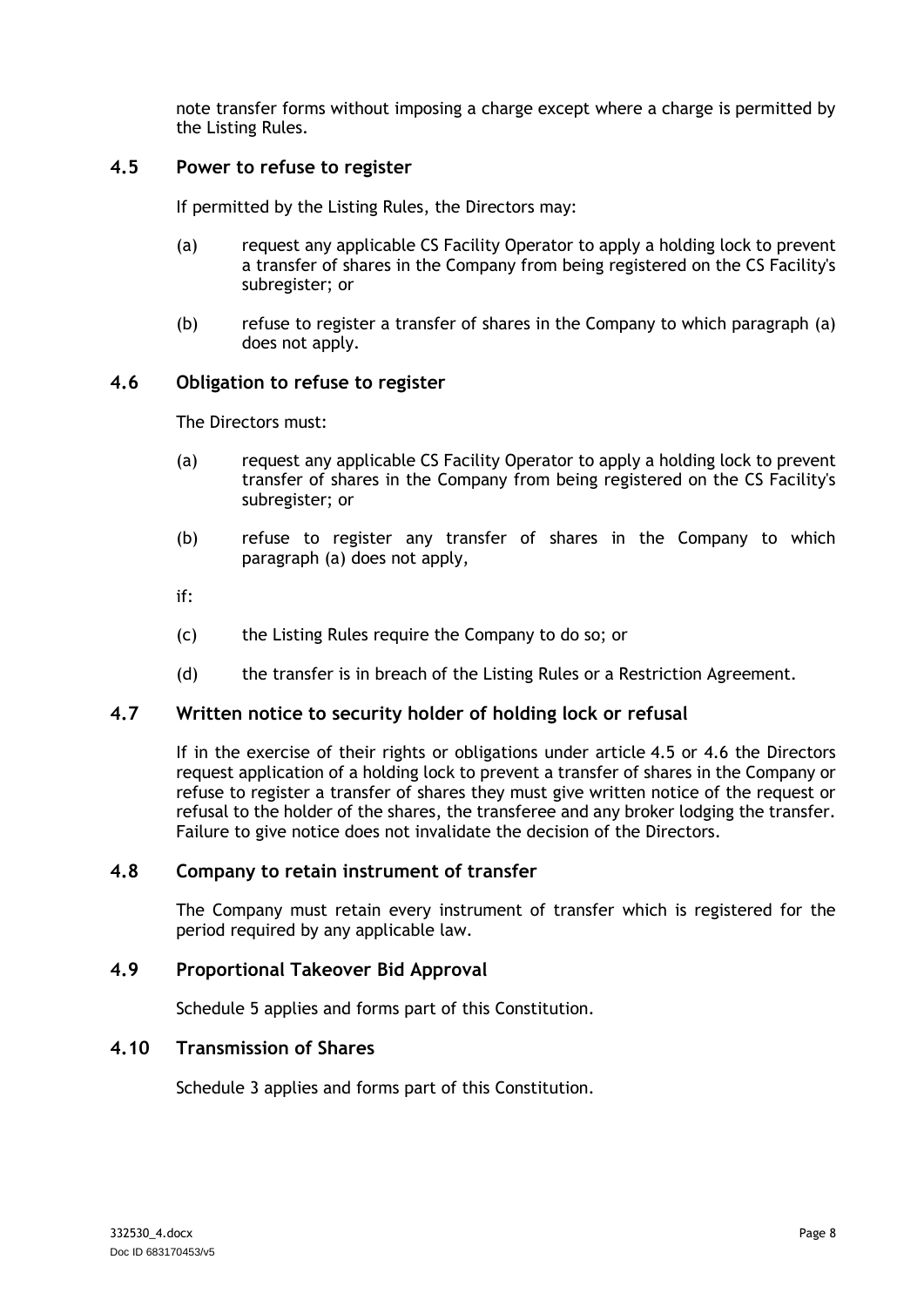note transfer forms without imposing a charge except where a charge is permitted by the Listing Rules.

# <span id="page-11-6"></span><span id="page-11-0"></span>**4.5 Power to refuse to register**

If permitted by the Listing Rules, the Directors may:

- (a) request any applicable CS Facility Operator to apply a holding lock to prevent a transfer of shares in the Company from being registered on the CS Facility's subregister; or
- (b) refuse to register a transfer of shares in the Company to which paragraph [\(a\)](#page-11-6) does not apply.

#### <span id="page-11-7"></span><span id="page-11-1"></span>**4.6 Obligation to refuse to register**

The Directors must:

- (a) request any applicable CS Facility Operator to apply a holding lock to prevent transfer of shares in the Company from being registered on the CS Facility's subregister; or
- (b) refuse to register any transfer of shares in the Company to which paragraph [\(a\)](#page-11-7) does not apply,
- if:
- (c) the Listing Rules require the Company to do so; or
- (d) the transfer is in breach of the Listing Rules or a Restriction Agreement.

#### <span id="page-11-2"></span>**4.7 Written notice to security holder of holding lock or refusal**

If in the exercise of their rights or obligations under article [4.5](#page-11-0) or [4.6](#page-11-1) the Directors request application of a holding lock to prevent a transfer of shares in the Company or refuse to register a transfer of shares they must give written notice of the request or refusal to the holder of the shares, the transferee and any broker lodging the transfer. Failure to give notice does not invalidate the decision of the Directors.

#### <span id="page-11-3"></span>**4.8 Company to retain instrument of transfer**

The Company must retain every instrument of transfer which is registered for the period required by any applicable law.

### <span id="page-11-4"></span>**4.9 Proportional Takeover Bid Approval**

[Schedule](#page-55-0) 5 applies and forms part of this Constitution.

# <span id="page-11-5"></span>**4.10 Transmission of Shares**

[Schedule](#page-49-0) 3 applies and forms part of this Constitution.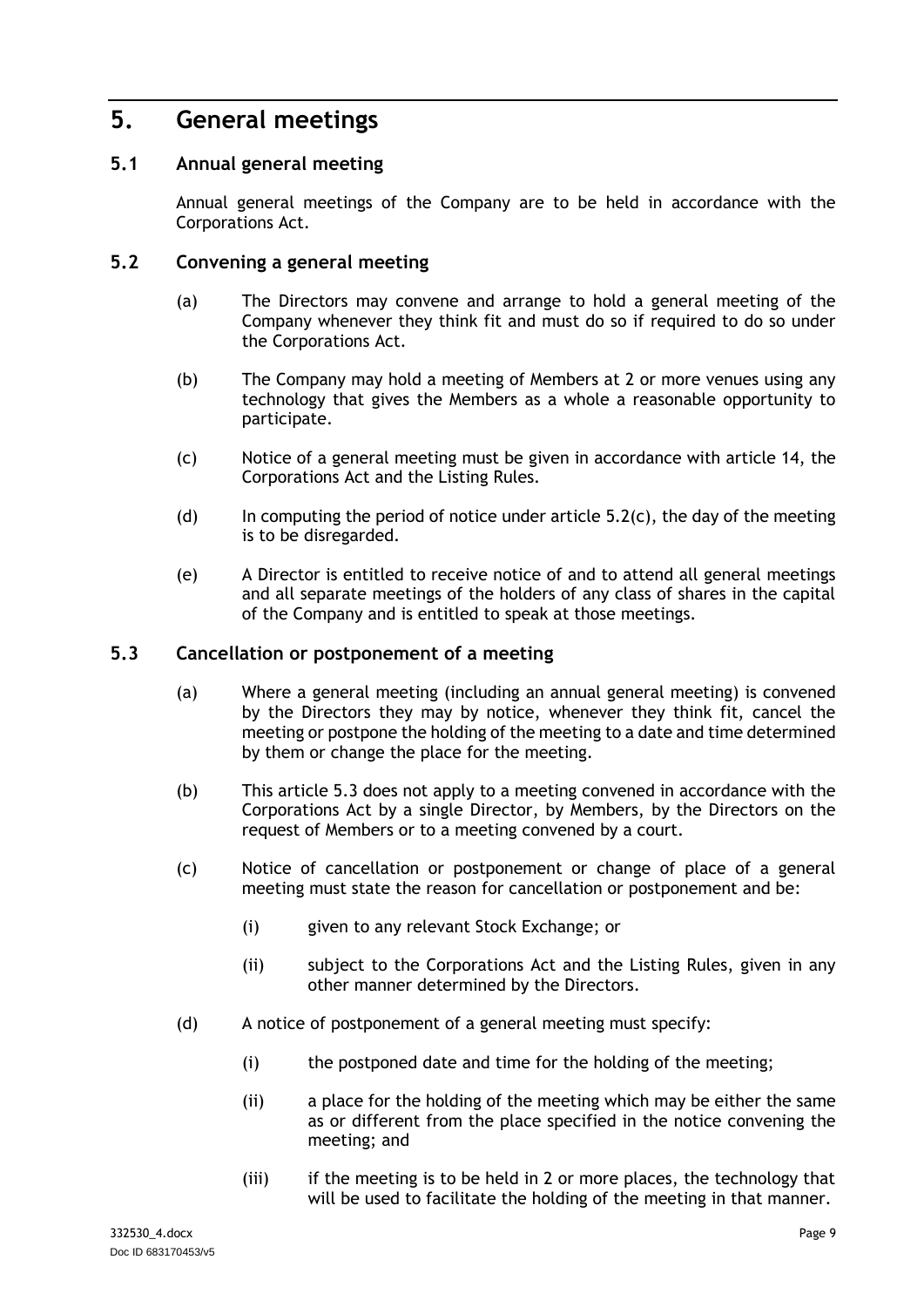# <span id="page-12-0"></span>**5. General meetings**

# <span id="page-12-1"></span>**5.1 Annual general meeting**

Annual general meetings of the Company are to be held in accordance with the Corporations Act.

### <span id="page-12-2"></span>**5.2 Convening a general meeting**

- (a) The Directors may convene and arrange to hold a general meeting of the Company whenever they think fit and must do so if required to do so under the Corporations Act.
- (b) The Company may hold a meeting of Members at 2 or more venues using any technology that gives the Members as a whole a reasonable opportunity to participate.
- <span id="page-12-4"></span>(c) Notice of a general meeting must be given in accordance with article [14,](#page-36-0) the Corporations Act and the Listing Rules.
- (d) In computing the period of notice under article  $5.2(c)$ , the day of the meeting is to be disregarded.
- (e) A Director is entitled to receive notice of and to attend all general meetings and all separate meetings of the holders of any class of shares in the capital of the Company and is entitled to speak at those meetings.

#### <span id="page-12-3"></span>**5.3 Cancellation or postponement of a meeting**

- (a) Where a general meeting (including an annual general meeting) is convened by the Directors they may by notice, whenever they think fit, cancel the meeting or postpone the holding of the meeting to a date and time determined by them or change the place for the meeting.
- (b) This article [5.3](#page-12-3) does not apply to a meeting convened in accordance with the Corporations Act by a single Director, by Members, by the Directors on the request of Members or to a meeting convened by a court.
- (c) Notice of cancellation or postponement or change of place of a general meeting must state the reason for cancellation or postponement and be:
	- (i) given to any relevant Stock Exchange; or
	- (ii) subject to the Corporations Act and the Listing Rules, given in any other manner determined by the Directors.
- (d) A notice of postponement of a general meeting must specify:
	- (i) the postponed date and time for the holding of the meeting;
	- (ii) a place for the holding of the meeting which may be either the same as or different from the place specified in the notice convening the meeting; and
	- (iii) if the meeting is to be held in 2 or more places, the technology that will be used to facilitate the holding of the meeting in that manner.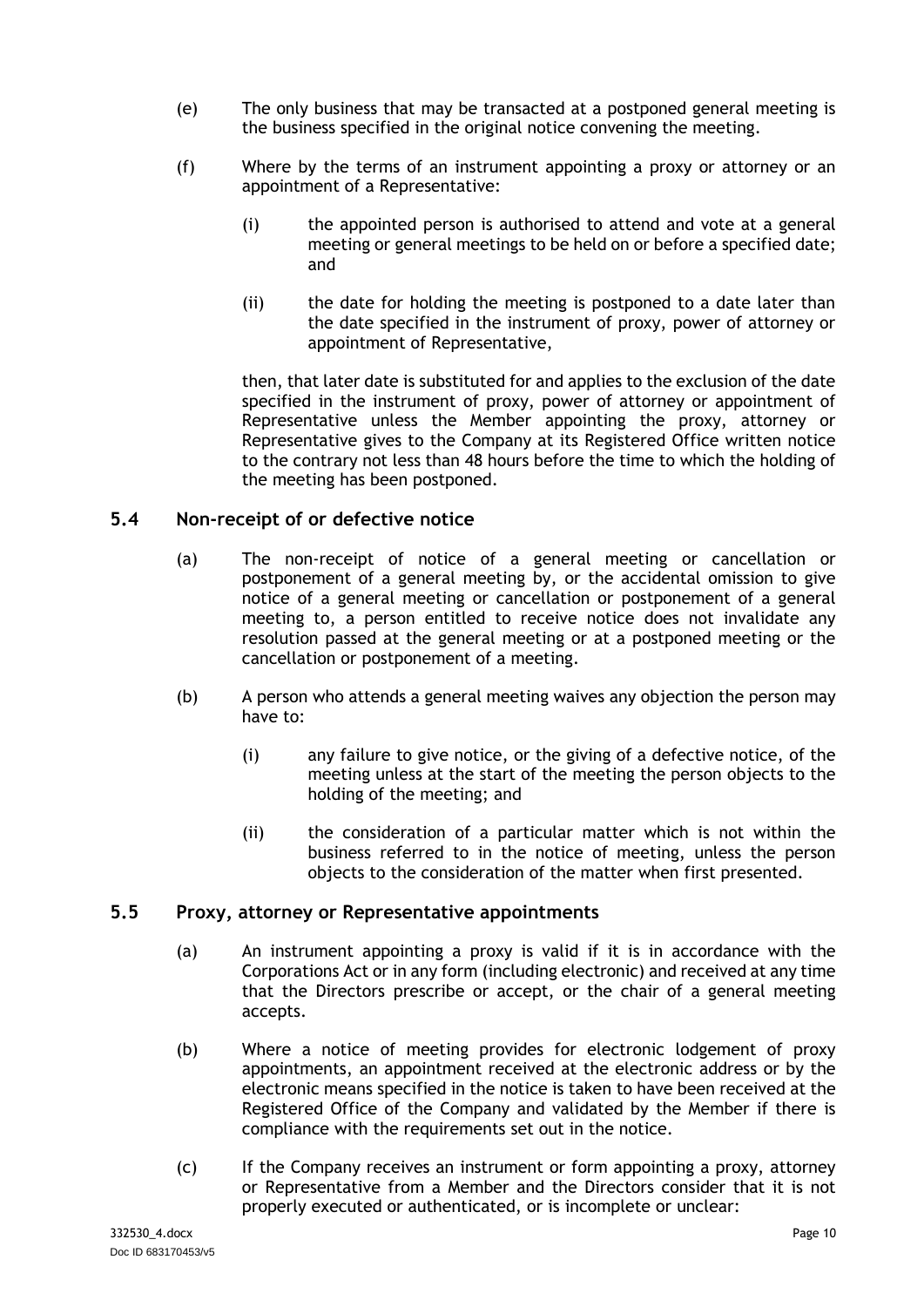- (e) The only business that may be transacted at a postponed general meeting is the business specified in the original notice convening the meeting.
- (f) Where by the terms of an instrument appointing a proxy or attorney or an appointment of a Representative:
	- (i) the appointed person is authorised to attend and vote at a general meeting or general meetings to be held on or before a specified date; and
	- (ii) the date for holding the meeting is postponed to a date later than the date specified in the instrument of proxy, power of attorney or appointment of Representative,

then, that later date is substituted for and applies to the exclusion of the date specified in the instrument of proxy, power of attorney or appointment of Representative unless the Member appointing the proxy, attorney or Representative gives to the Company at its Registered Office written notice to the contrary not less than 48 hours before the time to which the holding of the meeting has been postponed.

### <span id="page-13-0"></span>**5.4 Non-receipt of or defective notice**

- (a) The non-receipt of notice of a general meeting or cancellation or postponement of a general meeting by, or the accidental omission to give notice of a general meeting or cancellation or postponement of a general meeting to, a person entitled to receive notice does not invalidate any resolution passed at the general meeting or at a postponed meeting or the cancellation or postponement of a meeting.
- (b) A person who attends a general meeting waives any objection the person may have to:
	- (i) any failure to give notice, or the giving of a defective notice, of the meeting unless at the start of the meeting the person objects to the holding of the meeting; and
	- (ii) the consideration of a particular matter which is not within the business referred to in the notice of meeting, unless the person objects to the consideration of the matter when first presented.

#### <span id="page-13-1"></span>**5.5 Proxy, attorney or Representative appointments**

- (a) An instrument appointing a proxy is valid if it is in accordance with the Corporations Act or in any form (including electronic) and received at any time that the Directors prescribe or accept, or the chair of a general meeting accepts.
- (b) Where a notice of meeting provides for electronic lodgement of proxy appointments, an appointment received at the electronic address or by the electronic means specified in the notice is taken to have been received at the Registered Office of the Company and validated by the Member if there is compliance with the requirements set out in the notice.
- (c) If the Company receives an instrument or form appointing a proxy, attorney or Representative from a Member and the Directors consider that it is not properly executed or authenticated, or is incomplete or unclear: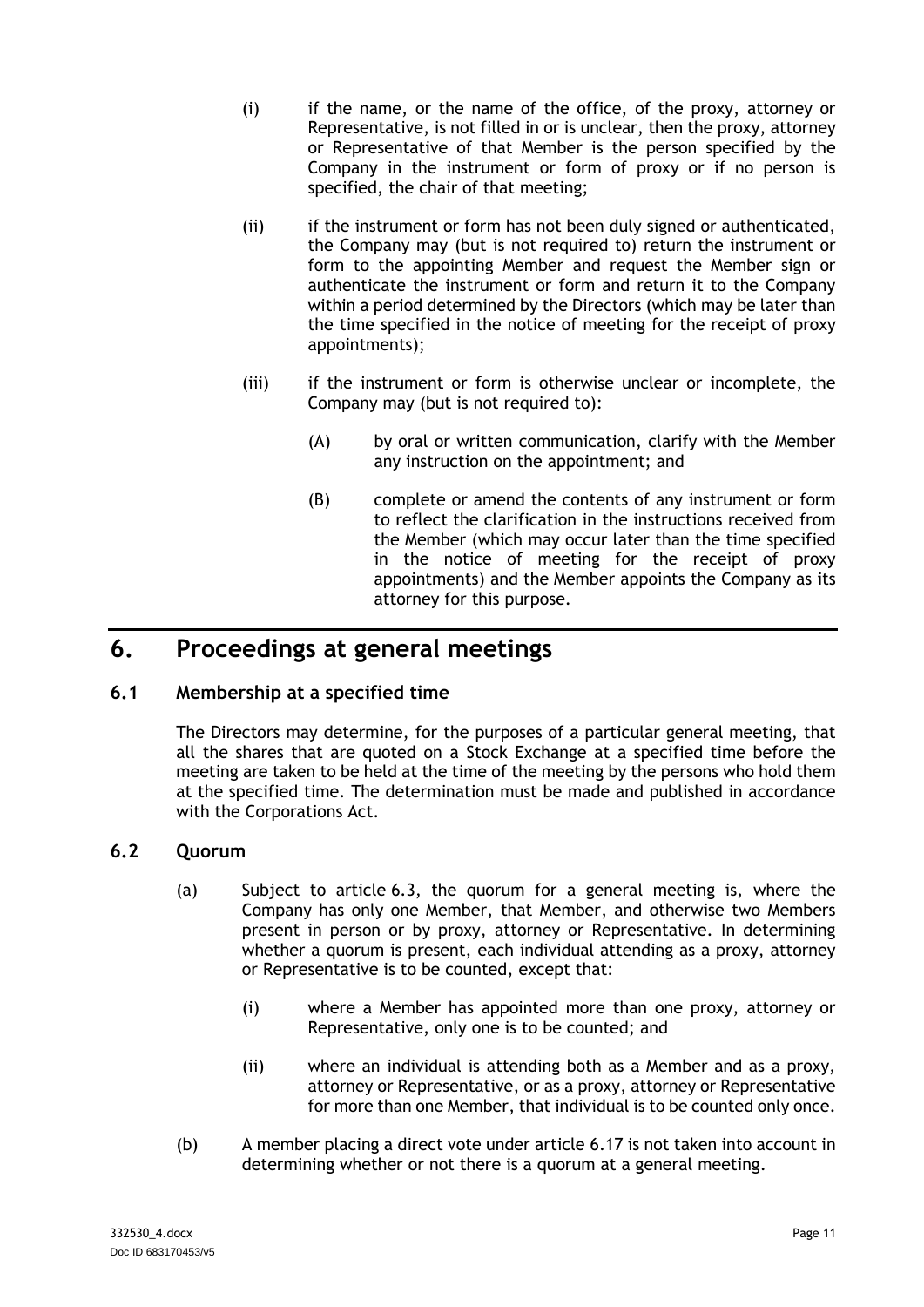- (i) if the name, or the name of the office, of the proxy, attorney or Representative, is not filled in or is unclear, then the proxy, attorney or Representative of that Member is the person specified by the Company in the instrument or form of proxy or if no person is specified, the chair of that meeting;
- (ii) if the instrument or form has not been duly signed or authenticated, the Company may (but is not required to) return the instrument or form to the appointing Member and request the Member sign or authenticate the instrument or form and return it to the Company within a period determined by the Directors (which may be later than the time specified in the notice of meeting for the receipt of proxy appointments);
- (iii) if the instrument or form is otherwise unclear or incomplete, the Company may (but is not required to):
	- (A) by oral or written communication, clarify with the Member any instruction on the appointment; and
	- (B) complete or amend the contents of any instrument or form to reflect the clarification in the instructions received from the Member (which may occur later than the time specified in the notice of meeting for the receipt of proxy appointments) and the Member appoints the Company as its attorney for this purpose.

# <span id="page-14-0"></span>**6. Proceedings at general meetings**

# <span id="page-14-1"></span>**6.1 Membership at a specified time**

The Directors may determine, for the purposes of a particular general meeting, that all the shares that are quoted on a Stock Exchange at a specified time before the meeting are taken to be held at the time of the meeting by the persons who hold them at the specified time. The determination must be made and published in accordance with the Corporations Act.

# <span id="page-14-2"></span>**6.2 Quorum**

- (a) Subject to article [6.3,](#page-15-0) the quorum for a general meeting is, where the Company has only one Member, that Member, and otherwise two Members present in person or by proxy, attorney or Representative. In determining whether a quorum is present, each individual attending as a proxy, attorney or Representative is to be counted, except that:
	- (i) where a Member has appointed more than one proxy, attorney or Representative, only one is to be counted; and
	- (ii) where an individual is attending both as a Member and as a proxy, attorney or Representative, or as a proxy, attorney or Representative for more than one Member, that individual is to be counted only once.
- (b) A member placing a direct vote under article [6.17](#page-20-1) is not taken into account in determining whether or not there is a quorum at a general meeting.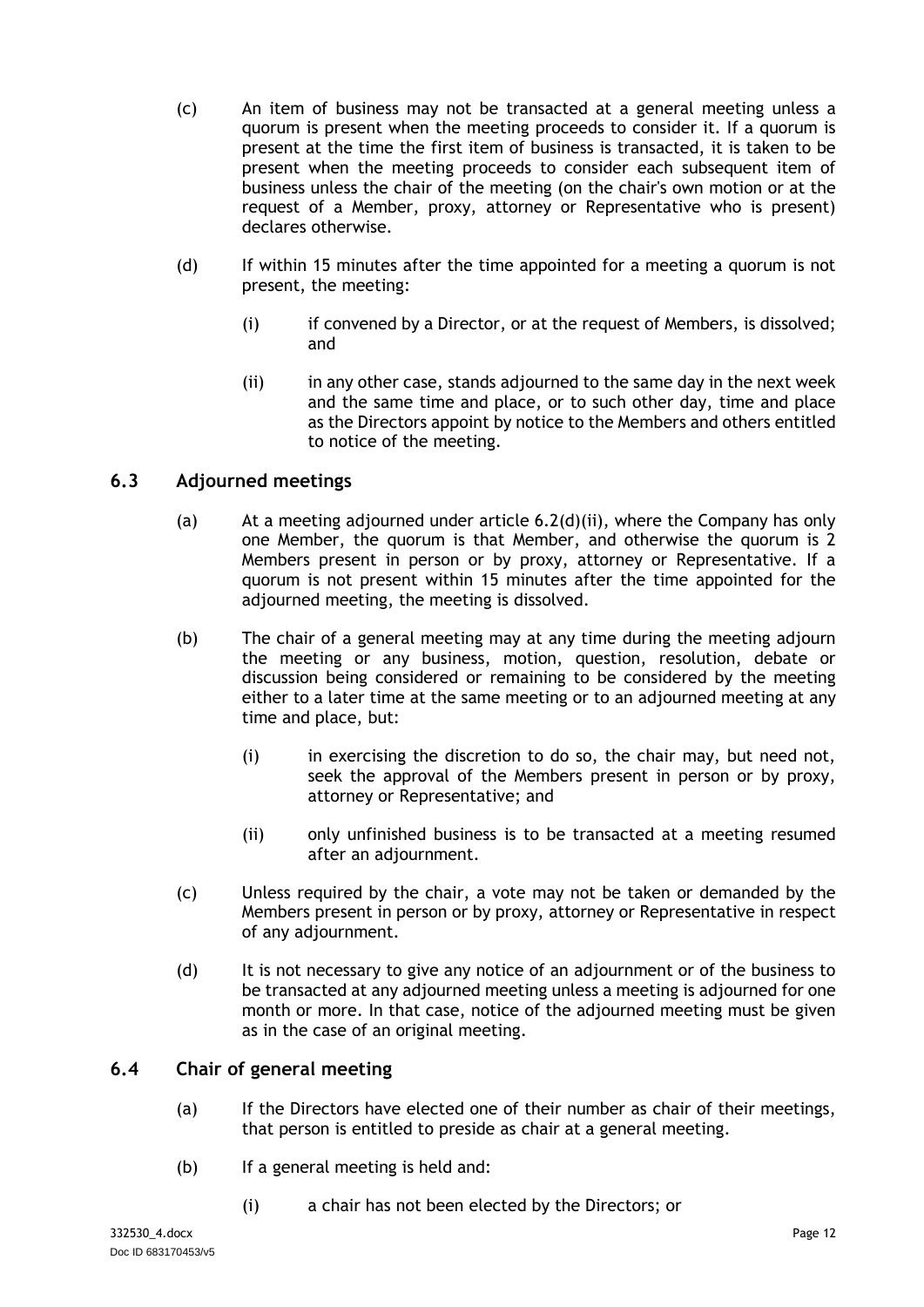- (c) An item of business may not be transacted at a general meeting unless a quorum is present when the meeting proceeds to consider it. If a quorum is present at the time the first item of business is transacted, it is taken to be present when the meeting proceeds to consider each subsequent item of business unless the chair of the meeting (on the chair's own motion or at the request of a Member, proxy, attorney or Representative who is present) declares otherwise.
- (d) If within 15 minutes after the time appointed for a meeting a quorum is not present, the meeting:
	- (i) if convened by a Director, or at the request of Members, is dissolved; and
	- (ii) in any other case, stands adjourned to the same day in the next week and the same time and place, or to such other day, time and place as the Directors appoint by notice to the Members and others entitled to notice of the meeting.

# <span id="page-15-2"></span><span id="page-15-0"></span>**6.3 Adjourned meetings**

- (a) At a meeting adjourned under article [6.2\(d\)\(ii\),](#page-15-2) where the Company has only one Member, the quorum is that Member, and otherwise the quorum is 2 Members present in person or by proxy, attorney or Representative. If a quorum is not present within 15 minutes after the time appointed for the adjourned meeting, the meeting is dissolved.
- (b) The chair of a general meeting may at any time during the meeting adjourn the meeting or any business, motion, question, resolution, debate or discussion being considered or remaining to be considered by the meeting either to a later time at the same meeting or to an adjourned meeting at any time and place, but:
	- (i) in exercising the discretion to do so, the chair may, but need not, seek the approval of the Members present in person or by proxy, attorney or Representative; and
	- (ii) only unfinished business is to be transacted at a meeting resumed after an adjournment.
- (c) Unless required by the chair, a vote may not be taken or demanded by the Members present in person or by proxy, attorney or Representative in respect of any adjournment.
- (d) It is not necessary to give any notice of an adjournment or of the business to be transacted at any adjourned meeting unless a meeting is adjourned for one month or more. In that case, notice of the adjourned meeting must be given as in the case of an original meeting.

# <span id="page-15-1"></span>**6.4 Chair of general meeting**

- (a) If the Directors have elected one of their number as chair of their meetings, that person is entitled to preside as chair at a general meeting.
- (b) If a general meeting is held and:
	- (i) a chair has not been elected by the Directors; or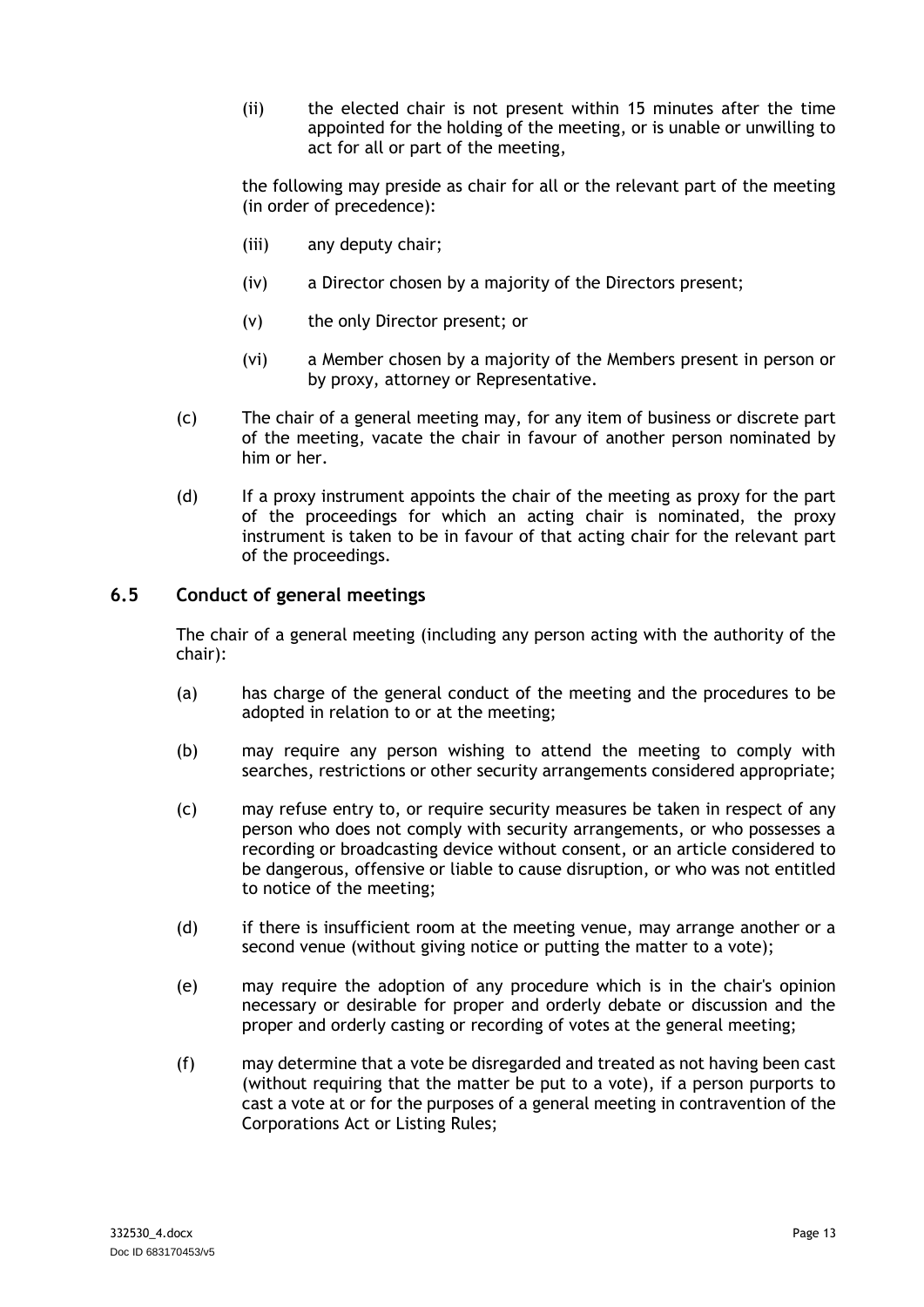(ii) the elected chair is not present within 15 minutes after the time appointed for the holding of the meeting, or is unable or unwilling to act for all or part of the meeting,

the following may preside as chair for all or the relevant part of the meeting (in order of precedence):

- (iii) any deputy chair;
- (iv) a Director chosen by a majority of the Directors present;
- (v) the only Director present; or
- (vi) a Member chosen by a majority of the Members present in person or by proxy, attorney or Representative.
- (c) The chair of a general meeting may, for any item of business or discrete part of the meeting, vacate the chair in favour of another person nominated by him or her.
- (d) If a proxy instrument appoints the chair of the meeting as proxy for the part of the proceedings for which an acting chair is nominated, the proxy instrument is taken to be in favour of that acting chair for the relevant part of the proceedings.

# <span id="page-16-0"></span>**6.5 Conduct of general meetings**

The chair of a general meeting (including any person acting with the authority of the chair):

- (a) has charge of the general conduct of the meeting and the procedures to be adopted in relation to or at the meeting;
- (b) may require any person wishing to attend the meeting to comply with searches, restrictions or other security arrangements considered appropriate;
- (c) may refuse entry to, or require security measures be taken in respect of any person who does not comply with security arrangements, or who possesses a recording or broadcasting device without consent, or an article considered to be dangerous, offensive or liable to cause disruption, or who was not entitled to notice of the meeting;
- (d) if there is insufficient room at the meeting venue, may arrange another or a second venue (without giving notice or putting the matter to a vote);
- (e) may require the adoption of any procedure which is in the chair's opinion necessary or desirable for proper and orderly debate or discussion and the proper and orderly casting or recording of votes at the general meeting;
- (f) may determine that a vote be disregarded and treated as not having been cast (without requiring that the matter be put to a vote), if a person purports to cast a vote at or for the purposes of a general meeting in contravention of the Corporations Act or Listing Rules;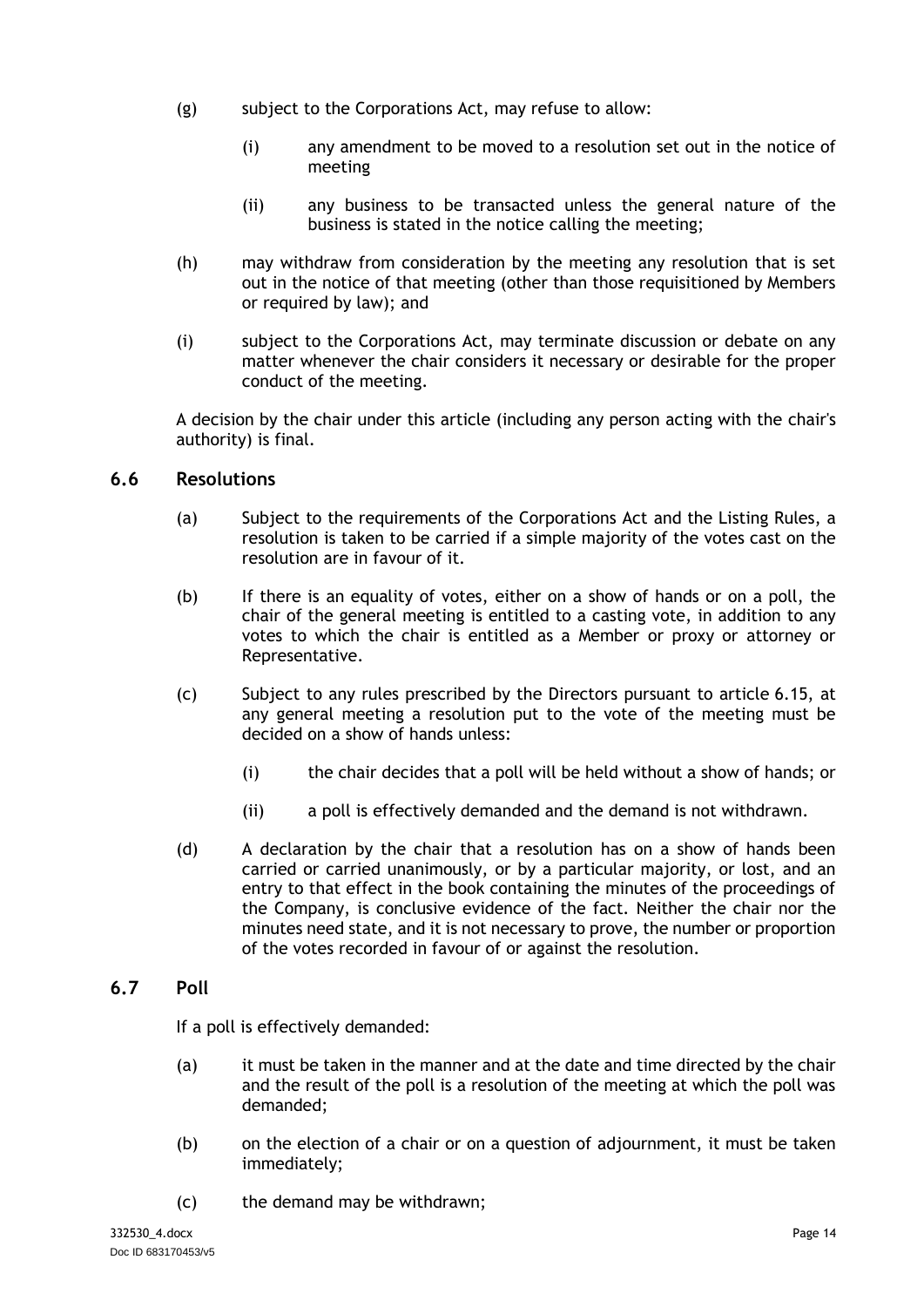- (g) subject to the Corporations Act, may refuse to allow:
	- (i) any amendment to be moved to a resolution set out in the notice of meeting
	- (ii) any business to be transacted unless the general nature of the business is stated in the notice calling the meeting;
- (h) may withdraw from consideration by the meeting any resolution that is set out in the notice of that meeting (other than those requisitioned by Members or required by law); and
- (i) subject to the Corporations Act, may terminate discussion or debate on any matter whenever the chair considers it necessary or desirable for the proper conduct of the meeting.

A decision by the chair under this article (including any person acting with the chair's authority) is final.

### <span id="page-17-0"></span>**6.6 Resolutions**

- (a) Subject to the requirements of the Corporations Act and the Listing Rules, a resolution is taken to be carried if a simple majority of the votes cast on the resolution are in favour of it.
- (b) If there is an equality of votes, either on a show of hands or on a poll, the chair of the general meeting is entitled to a casting vote, in addition to any votes to which the chair is entitled as a Member or proxy or attorney or Representative.
- (c) Subject to any rules prescribed by the Directors pursuant to article [6.15,](#page-19-5) at any general meeting a resolution put to the vote of the meeting must be decided on a show of hands unless:
	- (i) the chair decides that a poll will be held without a show of hands; or
	- (ii) a poll is effectively demanded and the demand is not withdrawn.
- (d) A declaration by the chair that a resolution has on a show of hands been carried or carried unanimously, or by a particular majority, or lost, and an entry to that effect in the book containing the minutes of the proceedings of the Company, is conclusive evidence of the fact. Neither the chair nor the minutes need state, and it is not necessary to prove, the number or proportion of the votes recorded in favour of or against the resolution.

# <span id="page-17-1"></span>**6.7 Poll**

If a poll is effectively demanded:

- (a) it must be taken in the manner and at the date and time directed by the chair and the result of the poll is a resolution of the meeting at which the poll was demanded;
- (b) on the election of a chair or on a question of adjournment, it must be taken immediately;
- (c) the demand may be withdrawn;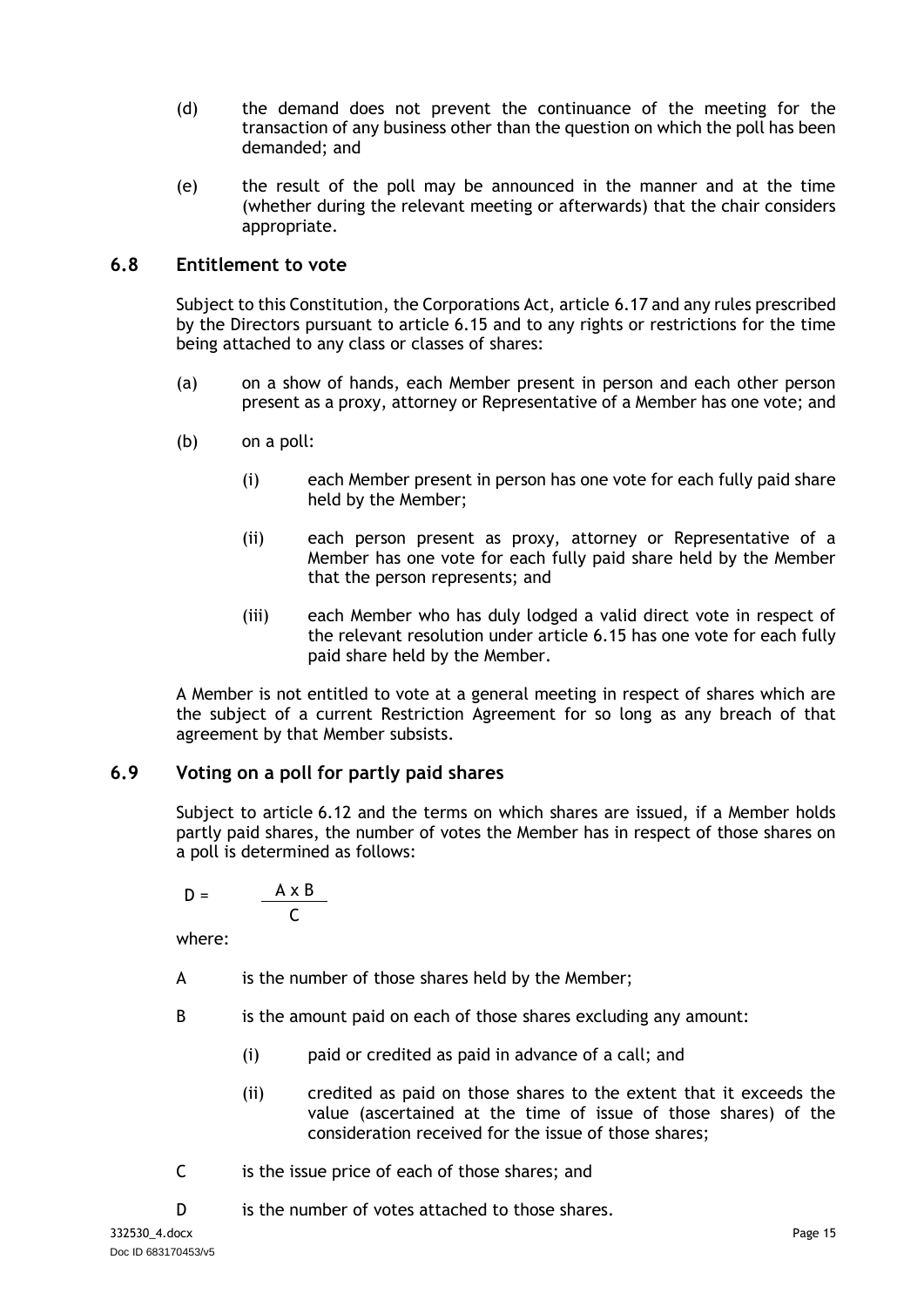- (d) the demand does not prevent the continuance of the meeting for the transaction of any business other than the question on which the poll has been demanded; and
- (e) the result of the poll may be announced in the manner and at the time (whether during the relevant meeting or afterwards) that the chair considers appropriate.

# <span id="page-18-0"></span>**6.8 Entitlement to vote**

Subject to this Constitution, the Corporations Act, article [6.17](#page-20-1) and any rules prescribed by the Directors pursuant to article [6.15](#page-19-5) and to any rights or restrictions for the time being attached to any class or classes of shares:

- (a) on a show of hands, each Member present in person and each other person present as a proxy, attorney or Representative of a Member has one vote; and
- (b) on a poll:
	- (i) each Member present in person has one vote for each fully paid share held by the Member;
	- (ii) each person present as proxy, attorney or Representative of a Member has one vote for each fully paid share held by the Member that the person represents; and
	- (iii) each Member who has duly lodged a valid direct vote in respect of the relevant resolution under article [6.15](#page-19-5) has one vote for each fully paid share held by the Member.

A Member is not entitled to vote at a general meeting in respect of shares which are the subject of a current Restriction Agreement for so long as any breach of that agreement by that Member subsists.

# <span id="page-18-1"></span>**6.9 Voting on a poll for partly paid shares**

Subject to article [6.12](#page-19-2) and the terms on which shares are issued, if a Member holds partly paid shares, the number of votes the Member has in respect of those shares on a poll is determined as follows:

$$
D = \frac{A \times B}{C}
$$

where:

- A is the number of those shares held by the Member;
- B is the amount paid on each of those shares excluding any amount:
	- (i) paid or credited as paid in advance of a call; and
	- (ii) credited as paid on those shares to the extent that it exceeds the value (ascertained at the time of issue of those shares) of the consideration received for the issue of those shares;
- C is the issue price of each of those shares; and
- D is the number of votes attached to those shares.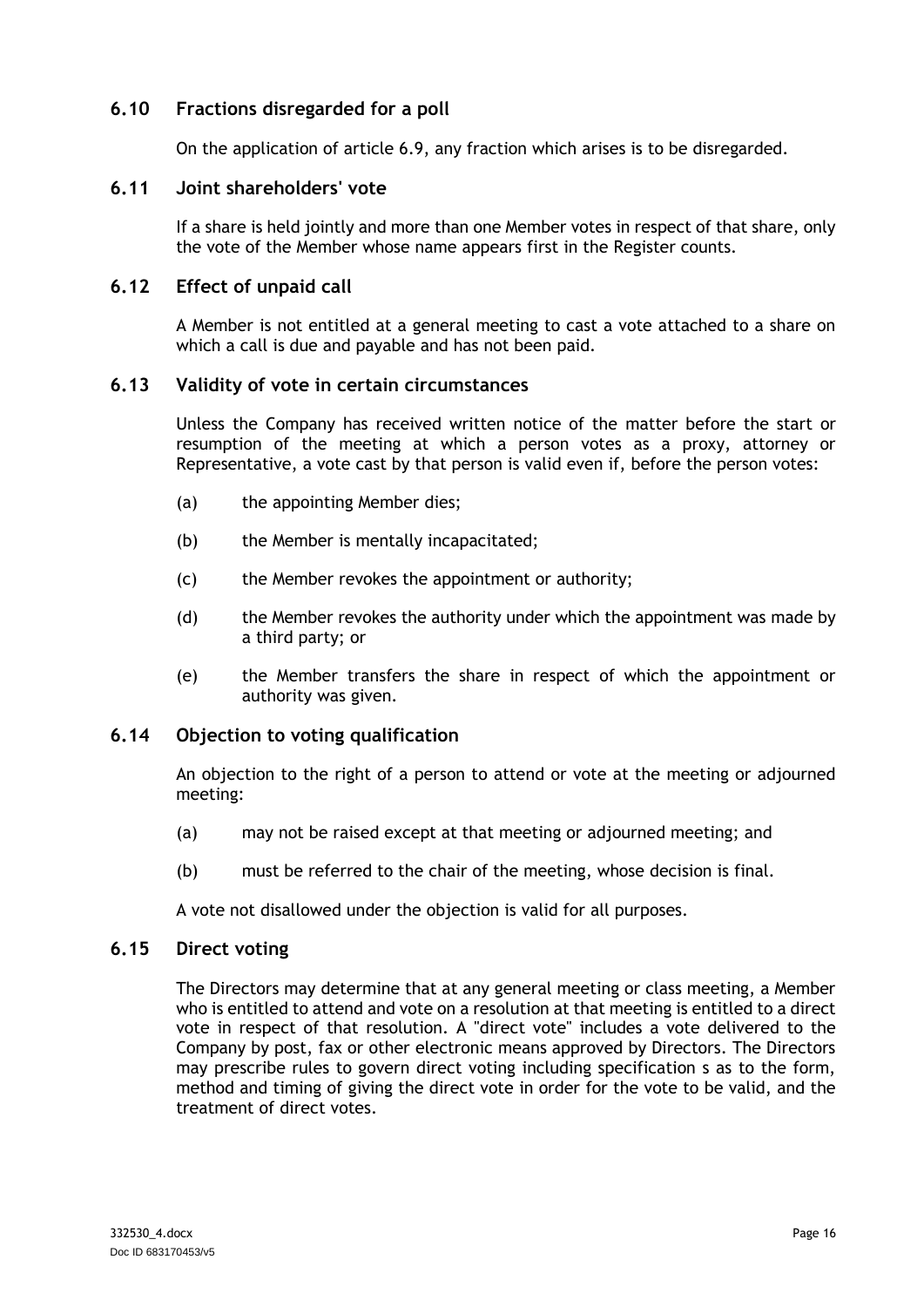# <span id="page-19-0"></span>**6.10 Fractions disregarded for a poll**

On the application of article [6.9,](#page-18-1) any fraction which arises is to be disregarded.

### <span id="page-19-1"></span>**6.11 Joint shareholders' vote**

If a share is held jointly and more than one Member votes in respect of that share, only the vote of the Member whose name appears first in the Register counts.

### <span id="page-19-2"></span>**6.12 Effect of unpaid call**

A Member is not entitled at a general meeting to cast a vote attached to a share on which a call is due and payable and has not been paid.

### <span id="page-19-3"></span>**6.13 Validity of vote in certain circumstances**

Unless the Company has received written notice of the matter before the start or resumption of the meeting at which a person votes as a proxy, attorney or Representative, a vote cast by that person is valid even if, before the person votes:

- (a) the appointing Member dies;
- (b) the Member is mentally incapacitated;
- (c) the Member revokes the appointment or authority;
- (d) the Member revokes the authority under which the appointment was made by a third party; or
- (e) the Member transfers the share in respect of which the appointment or authority was given.

#### <span id="page-19-4"></span>**6.14 Objection to voting qualification**

An objection to the right of a person to attend or vote at the meeting or adjourned meeting:

- (a) may not be raised except at that meeting or adjourned meeting; and
- (b) must be referred to the chair of the meeting, whose decision is final.

A vote not disallowed under the objection is valid for all purposes.

#### <span id="page-19-5"></span>**6.15 Direct voting**

The Directors may determine that at any general meeting or class meeting, a Member who is entitled to attend and vote on a resolution at that meeting is entitled to a direct vote in respect of that resolution. A "direct vote" includes a vote delivered to the Company by post, fax or other electronic means approved by Directors. The Directors may prescribe rules to govern direct voting including specification s as to the form, method and timing of giving the direct vote in order for the vote to be valid, and the treatment of direct votes.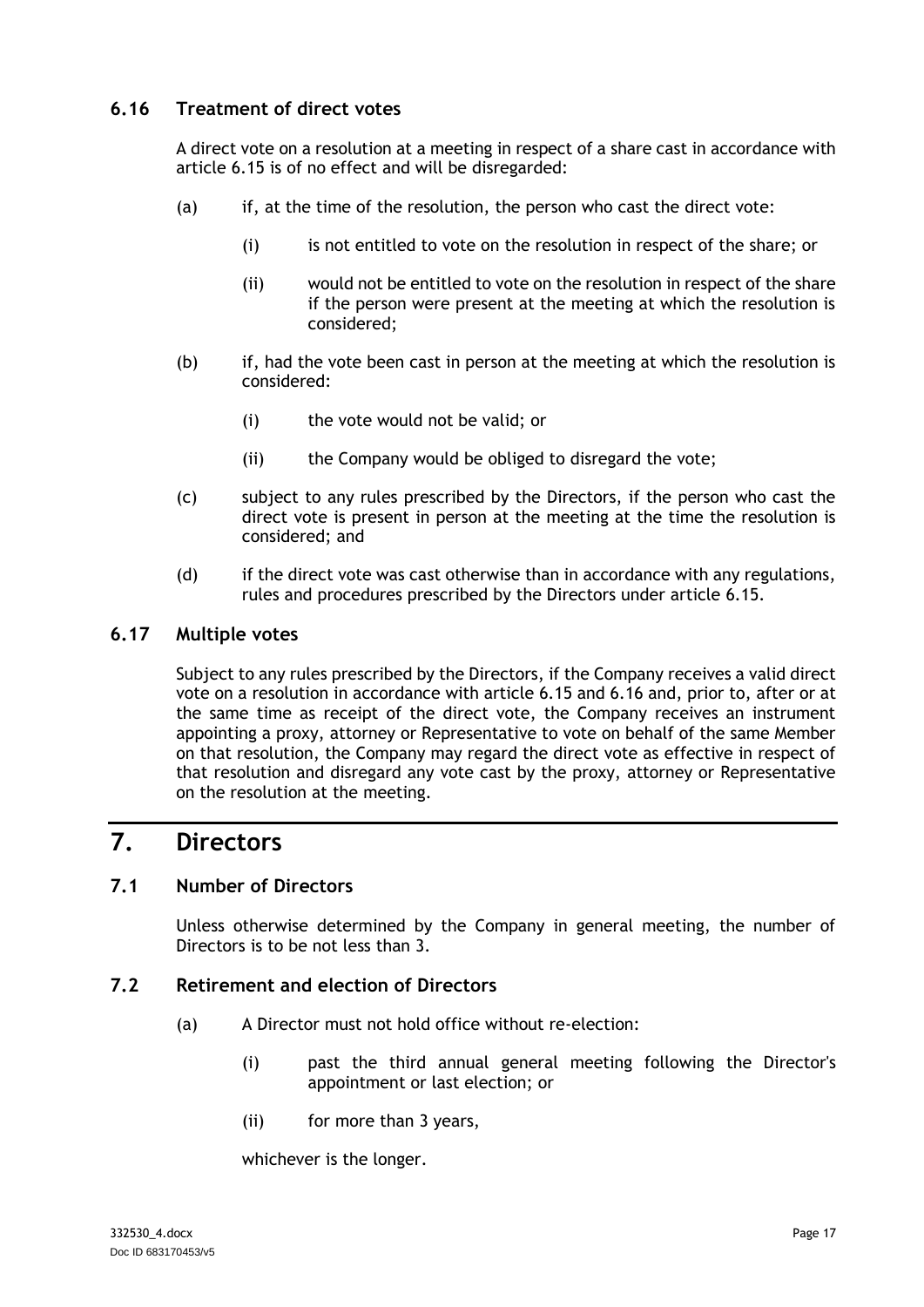# <span id="page-20-0"></span>**6.16 Treatment of direct votes**

A direct vote on a resolution at a meeting in respect of a share cast in accordance with article [6.15](#page-19-5) is of no effect and will be disregarded:

- (a) if, at the time of the resolution, the person who cast the direct vote:
	- (i) is not entitled to vote on the resolution in respect of the share; or
	- (ii) would not be entitled to vote on the resolution in respect of the share if the person were present at the meeting at which the resolution is considered;
- (b) if, had the vote been cast in person at the meeting at which the resolution is considered:
	- (i) the vote would not be valid; or
	- (ii) the Company would be obliged to disregard the vote;
- (c) subject to any rules prescribed by the Directors, if the person who cast the direct vote is present in person at the meeting at the time the resolution is considered; and
- (d) if the direct vote was cast otherwise than in accordance with any regulations, rules and procedures prescribed by the Directors under article [6.15.](#page-19-5)

### <span id="page-20-1"></span>**6.17 Multiple votes**

Subject to any rules prescribed by the Directors, if the Company receives a valid direct vote on a resolution in accordance with article [6.15](#page-19-5) and [6.16](#page-20-0) and, prior to, after or at the same time as receipt of the direct vote, the Company receives an instrument appointing a proxy, attorney or Representative to vote on behalf of the same Member on that resolution, the Company may regard the direct vote as effective in respect of that resolution and disregard any vote cast by the proxy, attorney or Representative on the resolution at the meeting.

# <span id="page-20-2"></span>**7. Directors**

# <span id="page-20-3"></span>**7.1 Number of Directors**

Unless otherwise determined by the Company in general meeting, the number of Directors is to be not less than 3.

# <span id="page-20-5"></span><span id="page-20-4"></span>**7.2 Retirement and election of Directors**

- (a) A Director must not hold office without re-election:
	- (i) past the third annual general meeting following the Director's appointment or last election; or
	- (ii) for more than 3 years,

whichever is the longer.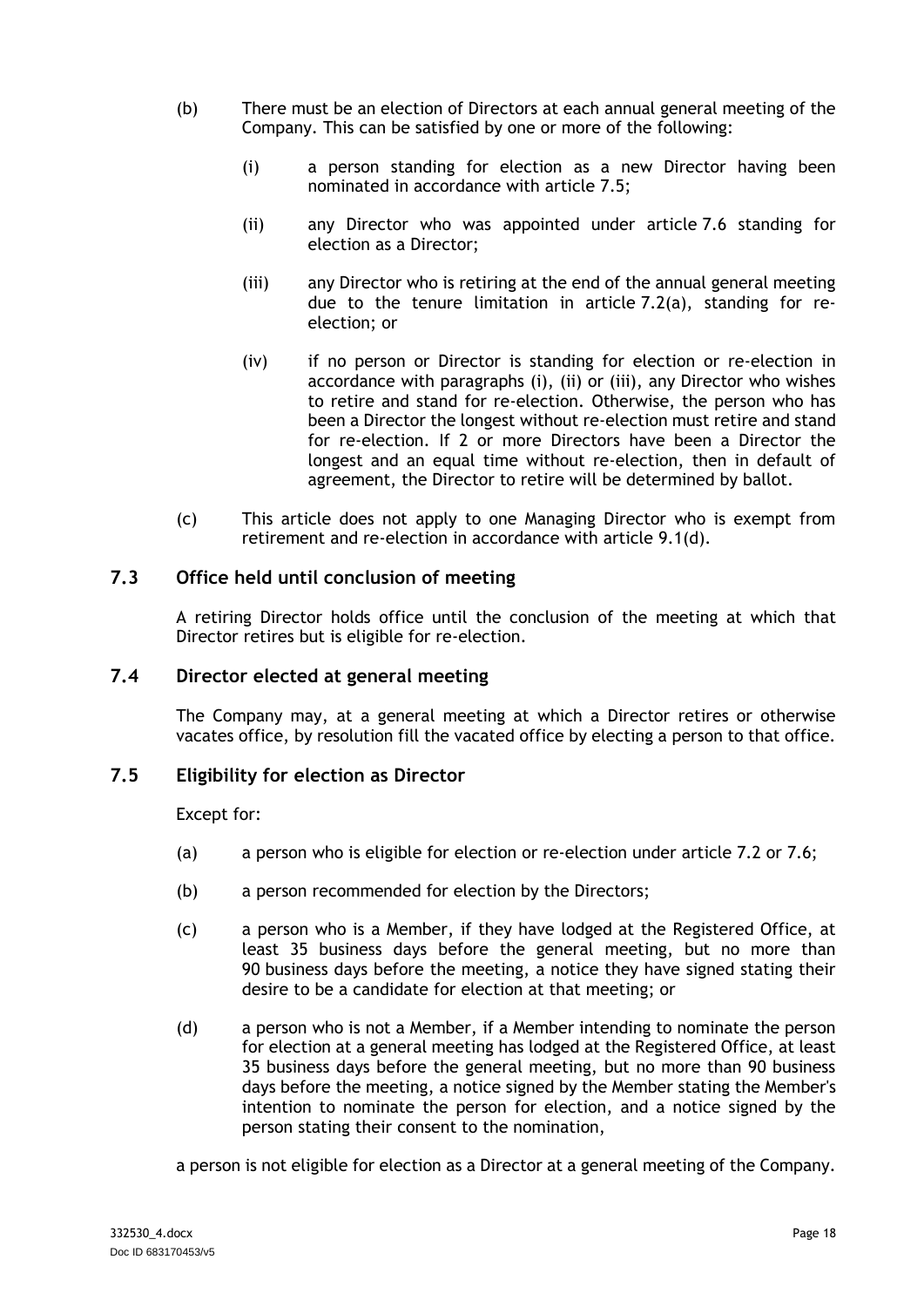- <span id="page-21-5"></span><span id="page-21-4"></span><span id="page-21-3"></span>(b) There must be an election of Directors at each annual general meeting of the Company. This can be satisfied by one or more of the following:
	- (i) a person standing for election as a new Director having been nominated in accordance with article [7.5;](#page-21-2)
	- (ii) any Director who was appointed under article [7.6](#page-22-0) standing for election as a Director;
	- (iii) any Director who is retiring at the end of the annual general meeting due to the tenure limitation in article [7.2\(a\),](#page-20-5) standing for reelection; or
	- (iv) if no person or Director is standing for election or re-election in accordance with paragraphs [\(i\),](#page-21-3) [\(ii\)](#page-21-4) or [\(iii\),](#page-21-5) any Director who wishes to retire and stand for re-election. Otherwise, the person who has been a Director the longest without re-election must retire and stand for re-election. If 2 or more Directors have been a Director the longest and an equal time without re-election, then in default of agreement, the Director to retire will be determined by ballot.
- (c) This article does not apply to one Managing Director who is exempt from retirement and re-election in accordance with article [9.1\(d\).](#page-27-6)

# <span id="page-21-0"></span>**7.3 Office held until conclusion of meeting**

A retiring Director holds office until the conclusion of the meeting at which that Director retires but is eligible for re-election.

### <span id="page-21-1"></span>**7.4 Director elected at general meeting**

The Company may, at a general meeting at which a Director retires or otherwise vacates office, by resolution fill the vacated office by electing a person to that office.

### <span id="page-21-2"></span>**7.5 Eligibility for election as Director**

Except for:

- (a) a person who is eligible for election or re-election under article [7.2](#page-20-4) or [7.6;](#page-22-0)
- (b) a person recommended for election by the Directors;
- (c) a person who is a Member, if they have lodged at the Registered Office, at least 35 business days before the general meeting, but no more than 90 business days before the meeting, a notice they have signed stating their desire to be a candidate for election at that meeting; or
- (d) a person who is not a Member, if a Member intending to nominate the person for election at a general meeting has lodged at the Registered Office, at least 35 business days before the general meeting, but no more than 90 business days before the meeting, a notice signed by the Member stating the Member's intention to nominate the person for election, and a notice signed by the person stating their consent to the nomination,

a person is not eligible for election as a Director at a general meeting of the Company.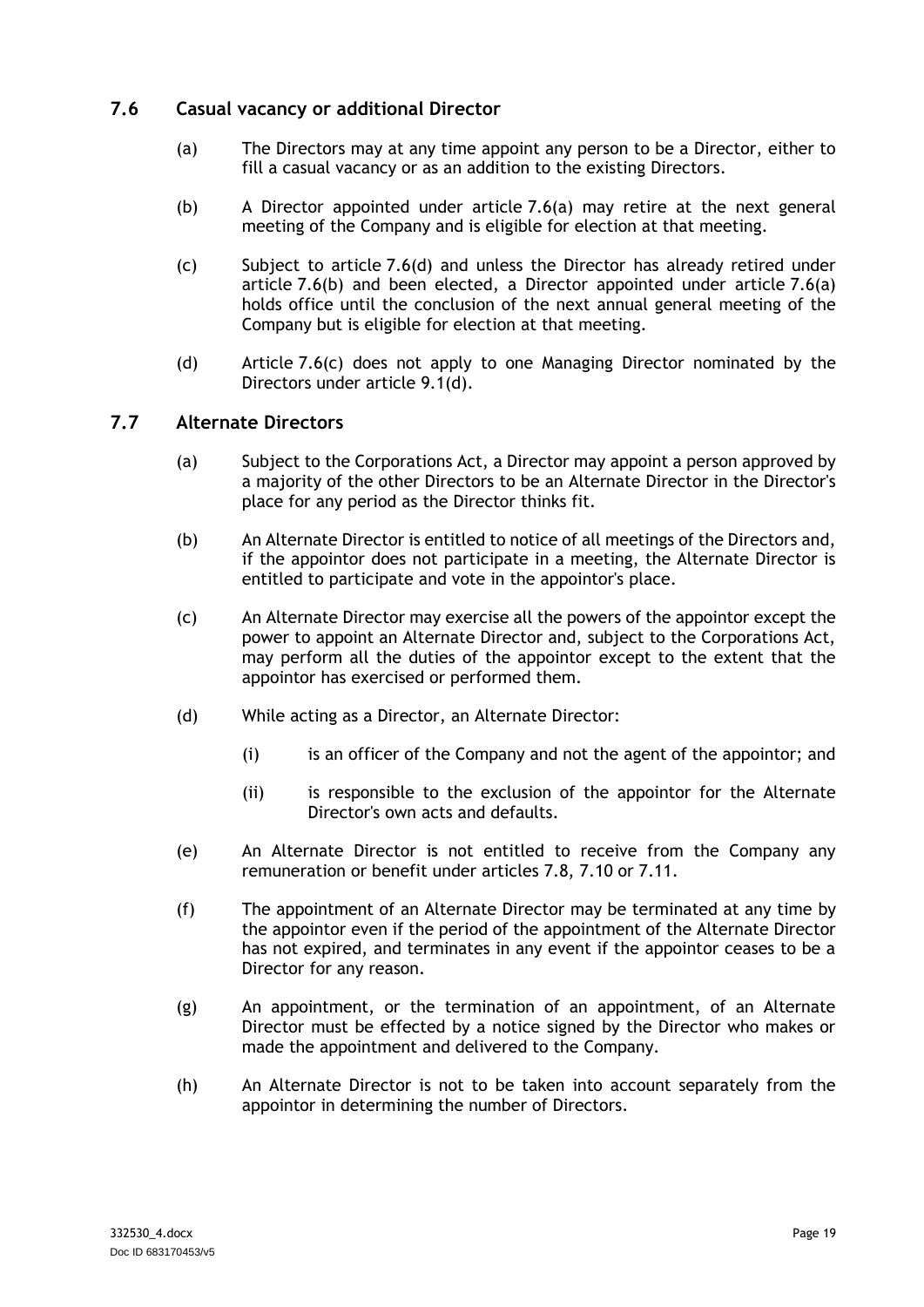# <span id="page-22-3"></span><span id="page-22-0"></span>**7.6 Casual vacancy or additional Director**

- (a) The Directors may at any time appoint any person to be a Director, either to fill a casual vacancy or as an addition to the existing Directors.
- <span id="page-22-5"></span>(b) A Director appointed under article [7.6\(a\)](#page-22-3) may retire at the next general meeting of the Company and is eligible for election at that meeting.
- <span id="page-22-6"></span>(c) Subject to article [7.6\(d\)](#page-22-4) and unless the Director has already retired under article [7.6\(b\)](#page-22-5) and been elected, a Director appointed under article [7.6\(a\)](#page-22-3) holds office until the conclusion of the next annual general meeting of the Company but is eligible for election at that meeting.
- <span id="page-22-4"></span>(d) Article [7.6\(c\)](#page-22-6) does not apply to one Managing Director nominated by the Directors under article [9.1\(d\).](#page-27-6)

### <span id="page-22-2"></span><span id="page-22-1"></span>**7.7 Alternate Directors**

- (a) Subject to the Corporations Act, a Director may appoint a person approved by a majority of the other Directors to be an Alternate Director in the Director's place for any period as the Director thinks fit.
- (b) An Alternate Director is entitled to notice of all meetings of the Directors and, if the appointor does not participate in a meeting, the Alternate Director is entitled to participate and vote in the appointor's place.
- (c) An Alternate Director may exercise all the powers of the appointor except the power to appoint an Alternate Director and, subject to the Corporations Act, may perform all the duties of the appointor except to the extent that the appointor has exercised or performed them.
- (d) While acting as a Director, an Alternate Director:
	- (i) is an officer of the Company and not the agent of the appointor; and
	- (ii) is responsible to the exclusion of the appointor for the Alternate Director's own acts and defaults.
- (e) An Alternate Director is not entitled to receive from the Company any remuneration or benefit under articles [7.8,](#page-23-0) [7.10](#page-23-2) or [7.11.](#page-24-0)
- (f) The appointment of an Alternate Director may be terminated at any time by the appointor even if the period of the appointment of the Alternate Director has not expired, and terminates in any event if the appointor ceases to be a Director for any reason.
- (g) An appointment, or the termination of an appointment, of an Alternate Director must be effected by a notice signed by the Director who makes or made the appointment and delivered to the Company.
- (h) An Alternate Director is not to be taken into account separately from the appointor in determining the number of Directors.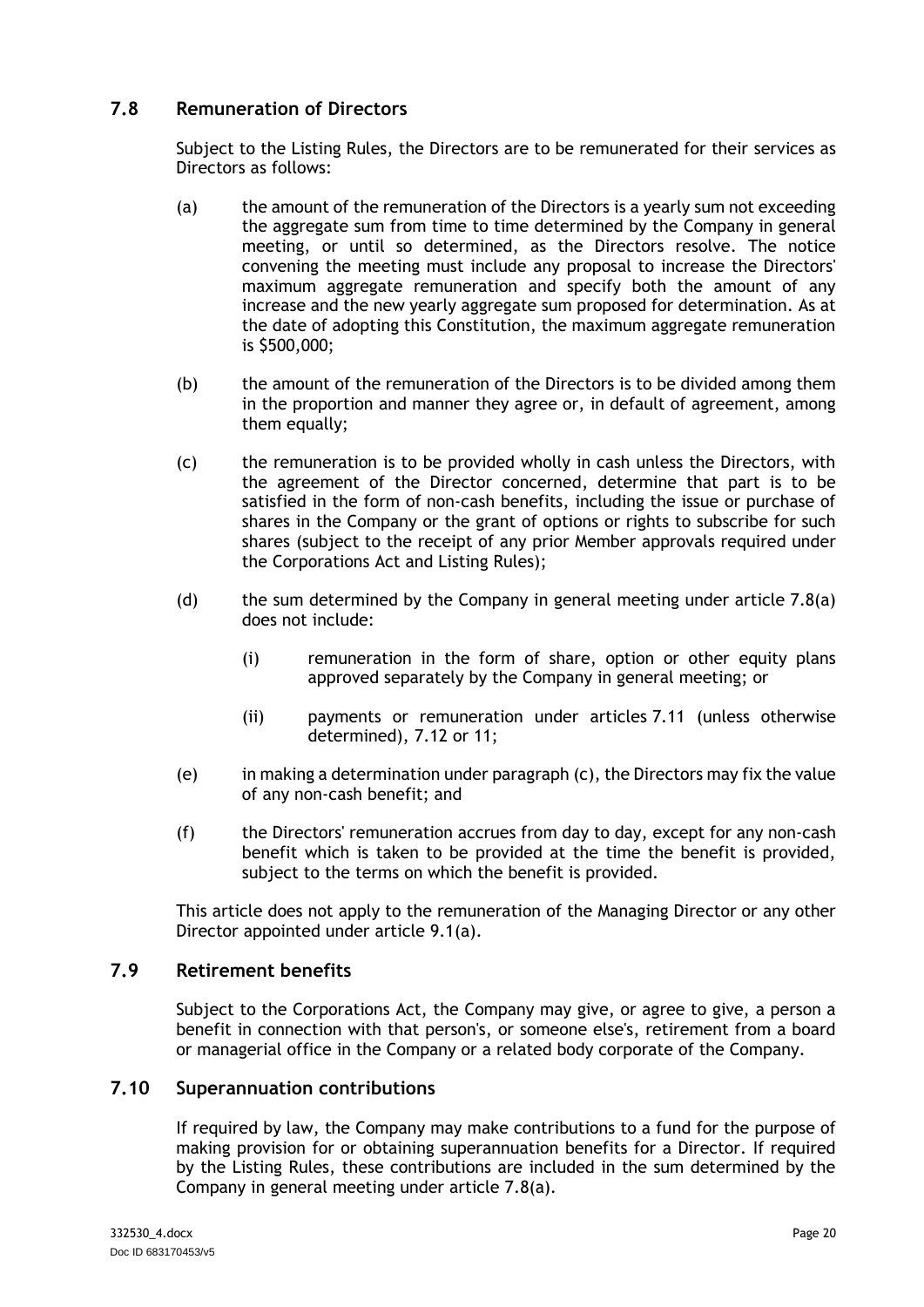# <span id="page-23-0"></span>**7.8 Remuneration of Directors**

Subject to the Listing Rules, the Directors are to be remunerated for their services as Directors as follows:

- <span id="page-23-3"></span>(a) the amount of the remuneration of the Directors is a yearly sum not exceeding the aggregate sum from time to time determined by the Company in general meeting, or until so determined, as the Directors resolve. The notice convening the meeting must include any proposal to increase the Directors' maximum aggregate remuneration and specify both the amount of any increase and the new yearly aggregate sum proposed for determination. As at the date of adopting this Constitution, the maximum aggregate remuneration is \$500,000;
- (b) the amount of the remuneration of the Directors is to be divided among them in the proportion and manner they agree or, in default of agreement, among them equally;
- <span id="page-23-4"></span>(c) the remuneration is to be provided wholly in cash unless the Directors, with the agreement of the Director concerned, determine that part is to be satisfied in the form of non-cash benefits, including the issue or purchase of shares in the Company or the grant of options or rights to subscribe for such shares (subject to the receipt of any prior Member approvals required under the Corporations Act and Listing Rules);
- (d) the sum determined by the Company in general meeting under article  $7.8(a)$ does not include:
	- (i) remuneration in the form of share, option or other equity plans approved separately by the Company in general meeting; or
	- (ii) payments or remuneration under articles [7.11](#page-24-0) (unless otherwise determined), [7.12](#page-24-1) or [11;](#page-30-1)
- (e) in making a determination under paragrap[h \(c\),](#page-23-4) the Directors may fix the value of any non-cash benefit; and
- (f) the Directors' remuneration accrues from day to day, except for any non-cash benefit which is taken to be provided at the time the benefit is provided, subject to the terms on which the benefit is provided.

This article does not apply to the remuneration of the Managing Director or any other Director appointed under article [9.1\(a\).](#page-27-5)

# <span id="page-23-1"></span>**7.9 Retirement benefits**

Subject to the Corporations Act, the Company may give, or agree to give, a person a benefit in connection with that person's, or someone else's, retirement from a board or managerial office in the Company or a related body corporate of the Company.

#### <span id="page-23-2"></span>**7.10 Superannuation contributions**

If required by law, the Company may make contributions to a fund for the purpose of making provision for or obtaining superannuation benefits for a Director. If required by the Listing Rules, these contributions are included in the sum determined by the Company in general meeting under article [7.8\(a\).](#page-23-3)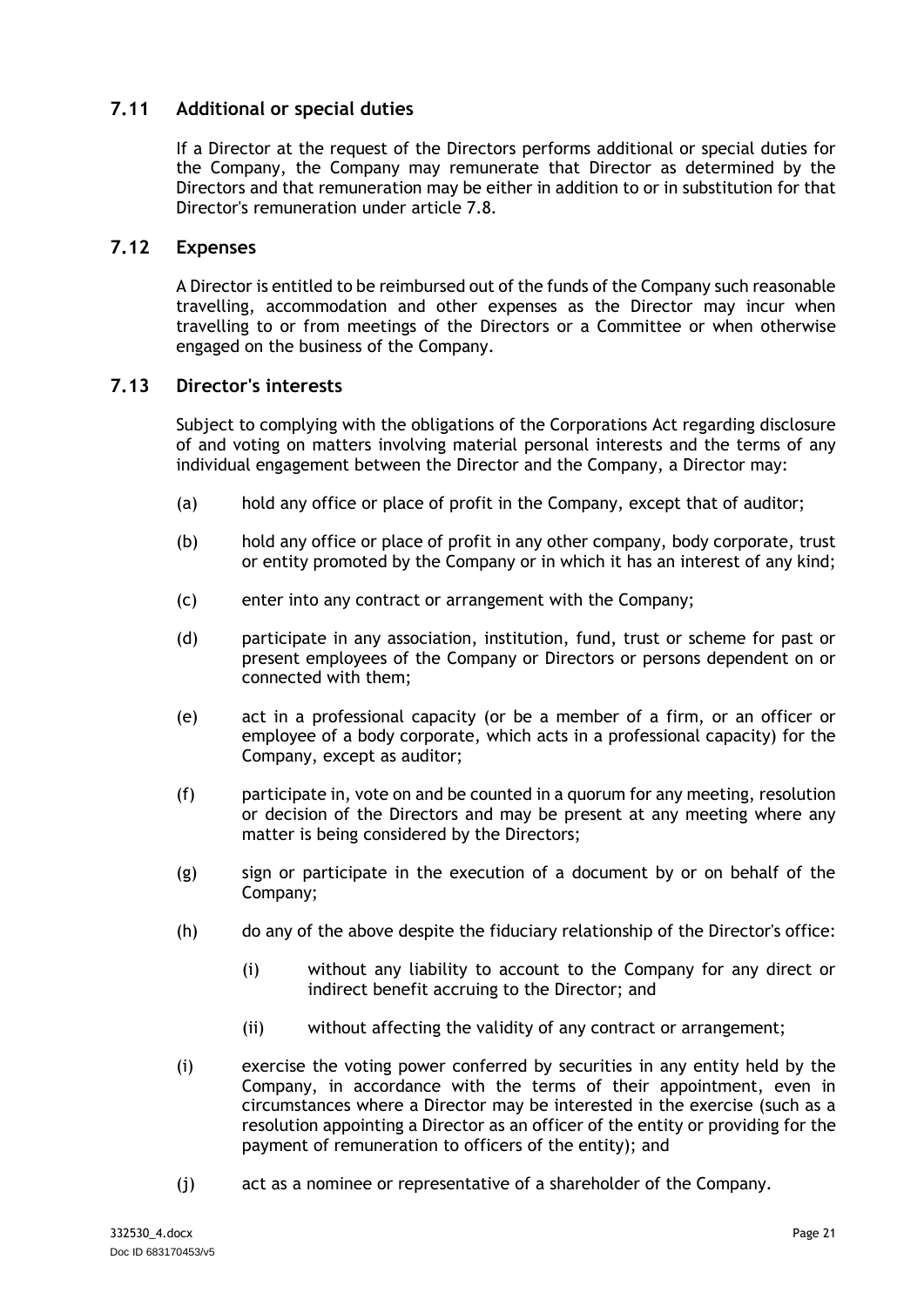# <span id="page-24-0"></span>**7.11 Additional or special duties**

If a Director at the request of the Directors performs additional or special duties for the Company, the Company may remunerate that Director as determined by the Directors and that remuneration may be either in addition to or in substitution for that Director's remuneration under article [7.8.](#page-23-0)

### <span id="page-24-1"></span>**7.12 Expenses**

A Director is entitled to be reimbursed out of the funds of the Company such reasonable travelling, accommodation and other expenses as the Director may incur when travelling to or from meetings of the Directors or a Committee or when otherwise engaged on the business of the Company.

### <span id="page-24-2"></span>**7.13 Director's interests**

Subject to complying with the obligations of the Corporations Act regarding disclosure of and voting on matters involving material personal interests and the terms of any individual engagement between the Director and the Company, a Director may:

- (a) hold any office or place of profit in the Company, except that of auditor;
- (b) hold any office or place of profit in any other company, body corporate, trust or entity promoted by the Company or in which it has an interest of any kind;
- (c) enter into any contract or arrangement with the Company;
- (d) participate in any association, institution, fund, trust or scheme for past or present employees of the Company or Directors or persons dependent on or connected with them;
- (e) act in a professional capacity (or be a member of a firm, or an officer or employee of a body corporate, which acts in a professional capacity) for the Company, except as auditor;
- (f) participate in, vote on and be counted in a quorum for any meeting, resolution or decision of the Directors and may be present at any meeting where any matter is being considered by the Directors;
- (g) sign or participate in the execution of a document by or on behalf of the Company;
- (h) do any of the above despite the fiduciary relationship of the Director's office:
	- (i) without any liability to account to the Company for any direct or indirect benefit accruing to the Director; and
	- (ii) without affecting the validity of any contract or arrangement;
- (i) exercise the voting power conferred by securities in any entity held by the Company, in accordance with the terms of their appointment, even in circumstances where a Director may be interested in the exercise (such as a resolution appointing a Director as an officer of the entity or providing for the payment of remuneration to officers of the entity); and
- (j) act as a nominee or representative of a shareholder of the Company.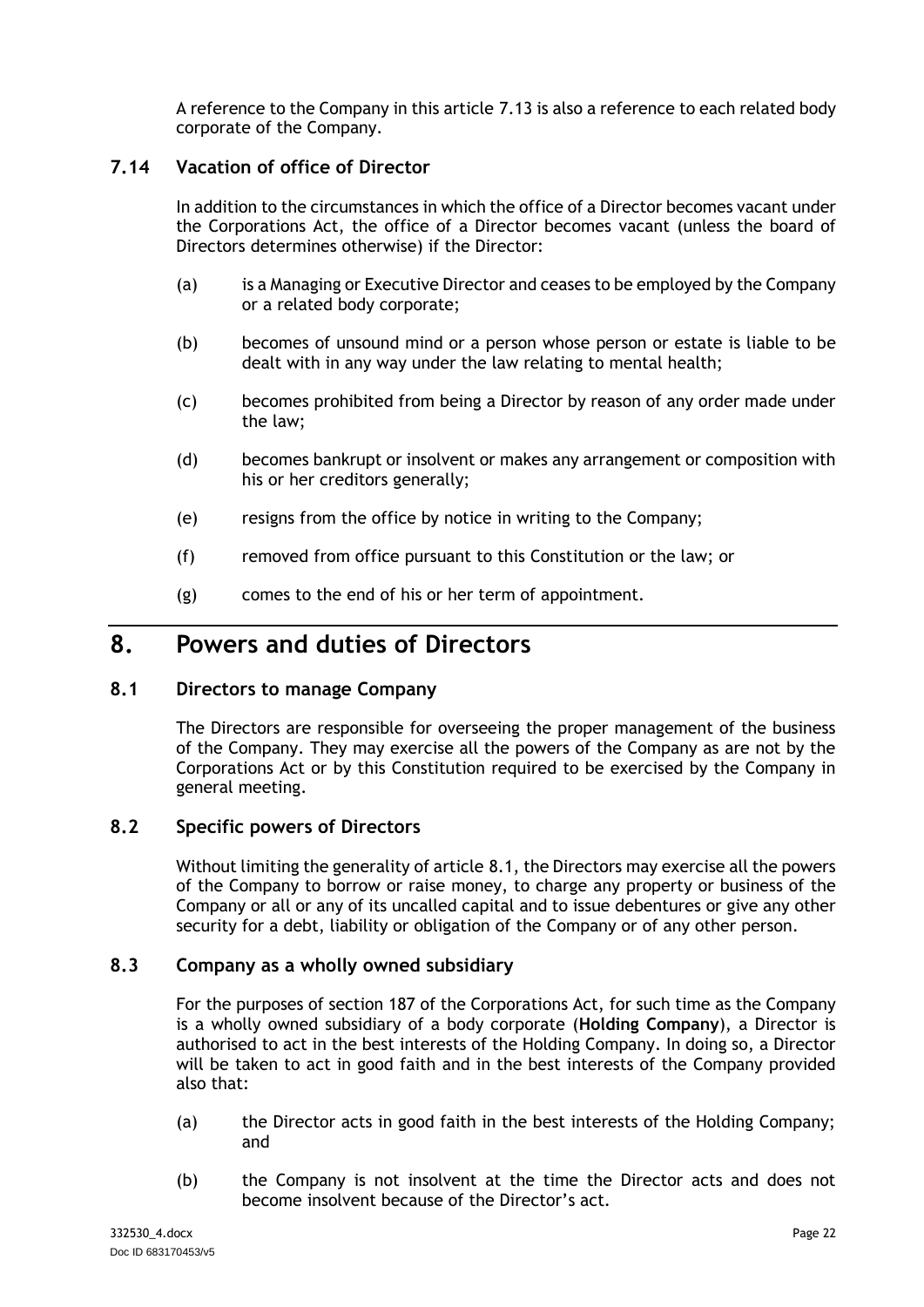A reference to the Company in this article [7.13](#page-24-2) is also a reference to each related body corporate of the Company.

# <span id="page-25-0"></span>**7.14 Vacation of office of Director**

In addition to the circumstances in which the office of a Director becomes vacant under the Corporations Act, the office of a Director becomes vacant (unless the board of Directors determines otherwise) if the Director:

- (a) is a Managing or Executive Director and ceases to be employed by the Company or a related body corporate;
- (b) becomes of unsound mind or a person whose person or estate is liable to be dealt with in any way under the law relating to mental health;
- (c) becomes prohibited from being a Director by reason of any order made under the law;
- (d) becomes bankrupt or insolvent or makes any arrangement or composition with his or her creditors generally;
- (e) resigns from the office by notice in writing to the Company;
- (f) removed from office pursuant to this Constitution or the law; or
- (g) comes to the end of his or her term of appointment.

# <span id="page-25-1"></span>**8. Powers and duties of Directors**

# <span id="page-25-2"></span>**8.1 Directors to manage Company**

The Directors are responsible for overseeing the proper management of the business of the Company. They may exercise all the powers of the Company as are not by the Corporations Act or by this Constitution required to be exercised by the Company in general meeting.

# <span id="page-25-3"></span>**8.2 Specific powers of Directors**

Without limiting the generality of article [8.1,](#page-25-2) the Directors may exercise all the powers of the Company to borrow or raise money, to charge any property or business of the Company or all or any of its uncalled capital and to issue debentures or give any other security for a debt, liability or obligation of the Company or of any other person.

#### <span id="page-25-4"></span>**8.3 Company as a wholly owned subsidiary**

For the purposes of section 187 of the Corporations Act, for such time as the Company is a wholly owned subsidiary of a body corporate (**Holding Company**), a Director is authorised to act in the best interests of the Holding Company. In doing so, a Director will be taken to act in good faith and in the best interests of the Company provided also that:

- (a) the Director acts in good faith in the best interests of the Holding Company; and
- (b) the Company is not insolvent at the time the Director acts and does not become insolvent because of the Director's act.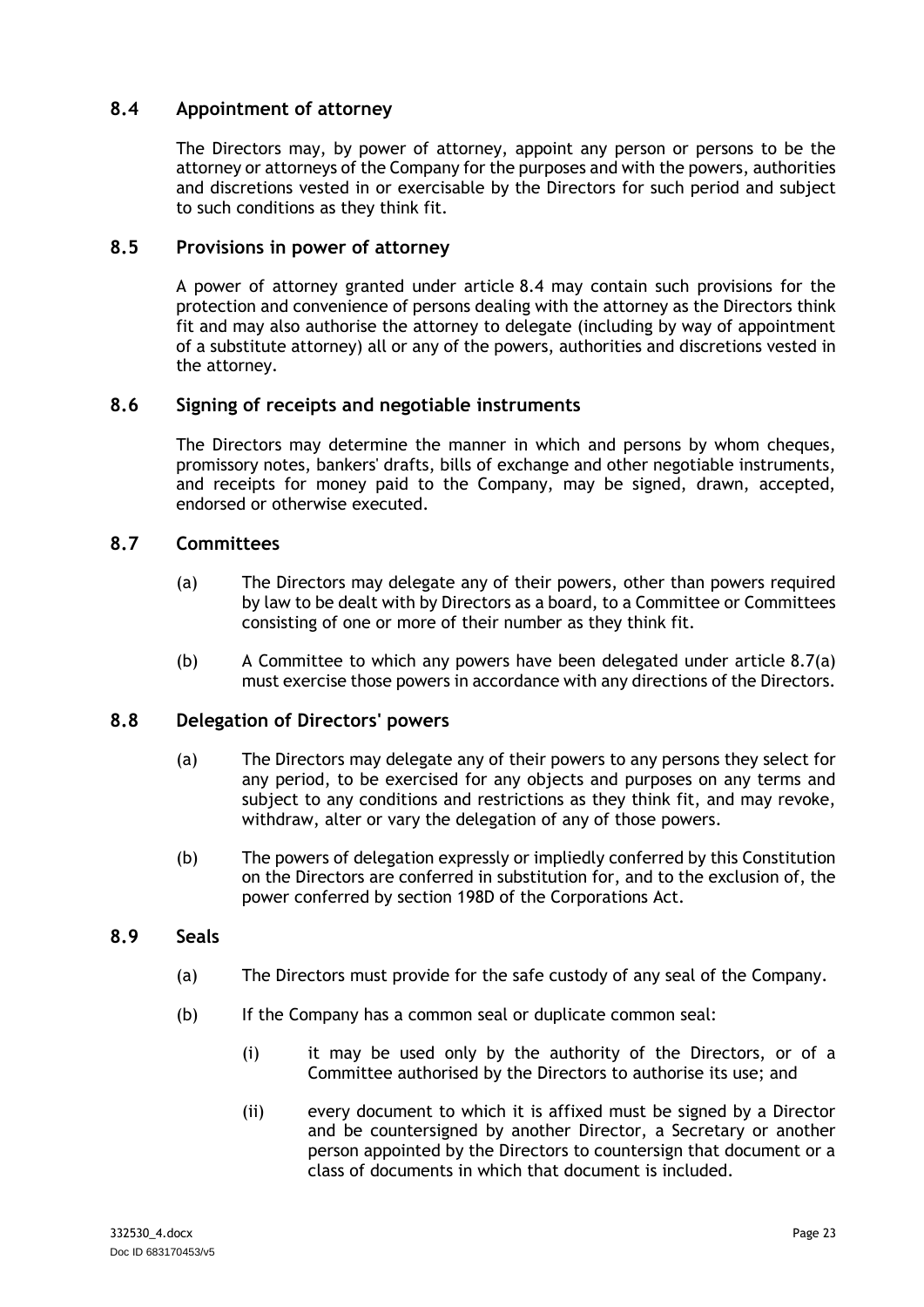# <span id="page-26-0"></span>**8.4 Appointment of attorney**

The Directors may, by power of attorney, appoint any person or persons to be the attorney or attorneys of the Company for the purposes and with the powers, authorities and discretions vested in or exercisable by the Directors for such period and subject to such conditions as they think fit.

# <span id="page-26-1"></span>**8.5 Provisions in power of attorney**

A power of attorney granted under article [8.4](#page-26-0) may contain such provisions for the protection and convenience of persons dealing with the attorney as the Directors think fit and may also authorise the attorney to delegate (including by way of appointment of a substitute attorney) all or any of the powers, authorities and discretions vested in the attorney.

### <span id="page-26-2"></span>**8.6 Signing of receipts and negotiable instruments**

The Directors may determine the manner in which and persons by whom cheques, promissory notes, bankers' drafts, bills of exchange and other negotiable instruments, and receipts for money paid to the Company, may be signed, drawn, accepted, endorsed or otherwise executed.

### <span id="page-26-6"></span><span id="page-26-3"></span>**8.7 Committees**

- (a) The Directors may delegate any of their powers, other than powers required by law to be dealt with by Directors as a board, to a Committee or Committees consisting of one or more of their number as they think fit.
- (b) A Committee to which any powers have been delegated under article [8.7\(a\)](#page-26-6) must exercise those powers in accordance with any directions of the Directors.

#### <span id="page-26-4"></span>**8.8 Delegation of Directors' powers**

- (a) The Directors may delegate any of their powers to any persons they select for any period, to be exercised for any objects and purposes on any terms and subject to any conditions and restrictions as they think fit, and may revoke, withdraw, alter or vary the delegation of any of those powers.
- (b) The powers of delegation expressly or impliedly conferred by this Constitution on the Directors are conferred in substitution for, and to the exclusion of, the power conferred by section 198D of the Corporations Act.

#### <span id="page-26-5"></span>**8.9 Seals**

- (a) The Directors must provide for the safe custody of any seal of the Company.
- (b) If the Company has a common seal or duplicate common seal:
	- (i) it may be used only by the authority of the Directors, or of a Committee authorised by the Directors to authorise its use; and
	- (ii) every document to which it is affixed must be signed by a Director and be countersigned by another Director, a Secretary or another person appointed by the Directors to countersign that document or a class of documents in which that document is included.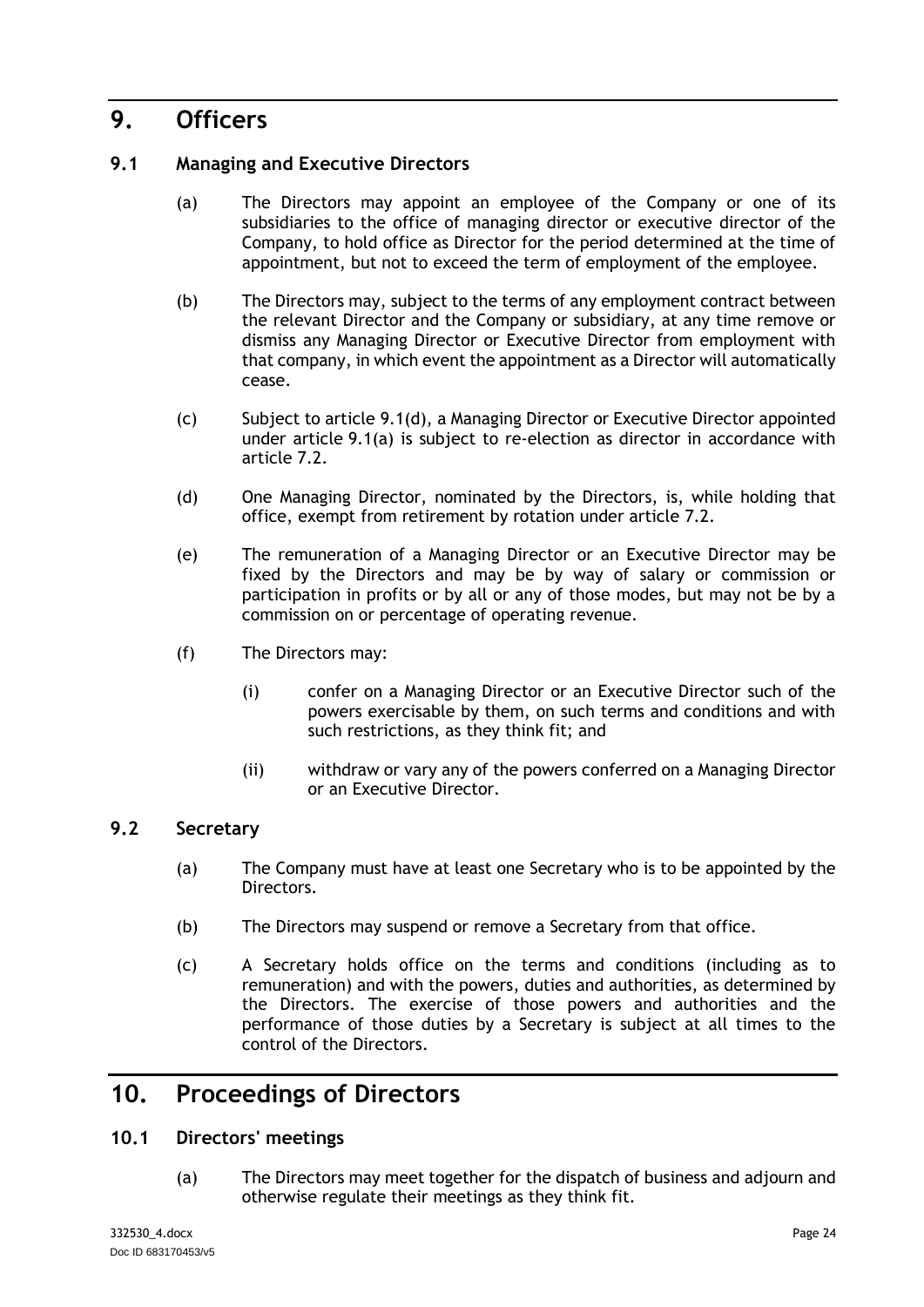# <span id="page-27-0"></span>**9. Officers**

# <span id="page-27-5"></span><span id="page-27-1"></span>**9.1 Managing and Executive Directors**

- (a) The Directors may appoint an employee of the Company or one of its subsidiaries to the office of managing director or executive director of the Company, to hold office as Director for the period determined at the time of appointment, but not to exceed the term of employment of the employee.
- (b) The Directors may, subject to the terms of any employment contract between the relevant Director and the Company or subsidiary, at any time remove or dismiss any Managing Director or Executive Director from employment with that company, in which event the appointment as a Director will automatically cease.
- (c) Subject to article [9.1\(d\),](#page-27-6) a Managing Director or Executive Director appointed under article [9.1\(a\)](#page-27-5) is subject to re-election as director in accordance with article [7.2.](#page-20-4)
- <span id="page-27-6"></span>(d) One Managing Director, nominated by the Directors, is, while holding that office, exempt from retirement by rotation under article [7.2.](#page-20-4)
- (e) The remuneration of a Managing Director or an Executive Director may be fixed by the Directors and may be by way of salary or commission or participation in profits or by all or any of those modes, but may not be by a commission on or percentage of operating revenue.
- (f) The Directors may:
	- (i) confer on a Managing Director or an Executive Director such of the powers exercisable by them, on such terms and conditions and with such restrictions, as they think fit; and
	- (ii) withdraw or vary any of the powers conferred on a Managing Director or an Executive Director.

# <span id="page-27-2"></span>**9.2 Secretary**

- (a) The Company must have at least one Secretary who is to be appointed by the Directors.
- (b) The Directors may suspend or remove a Secretary from that office.
- (c) A Secretary holds office on the terms and conditions (including as to remuneration) and with the powers, duties and authorities, as determined by the Directors. The exercise of those powers and authorities and the performance of those duties by a Secretary is subject at all times to the control of the Directors.

# <span id="page-27-3"></span>**10. Proceedings of Directors**

# <span id="page-27-4"></span>**10.1 Directors' meetings**

(a) The Directors may meet together for the dispatch of business and adjourn and otherwise regulate their meetings as they think fit.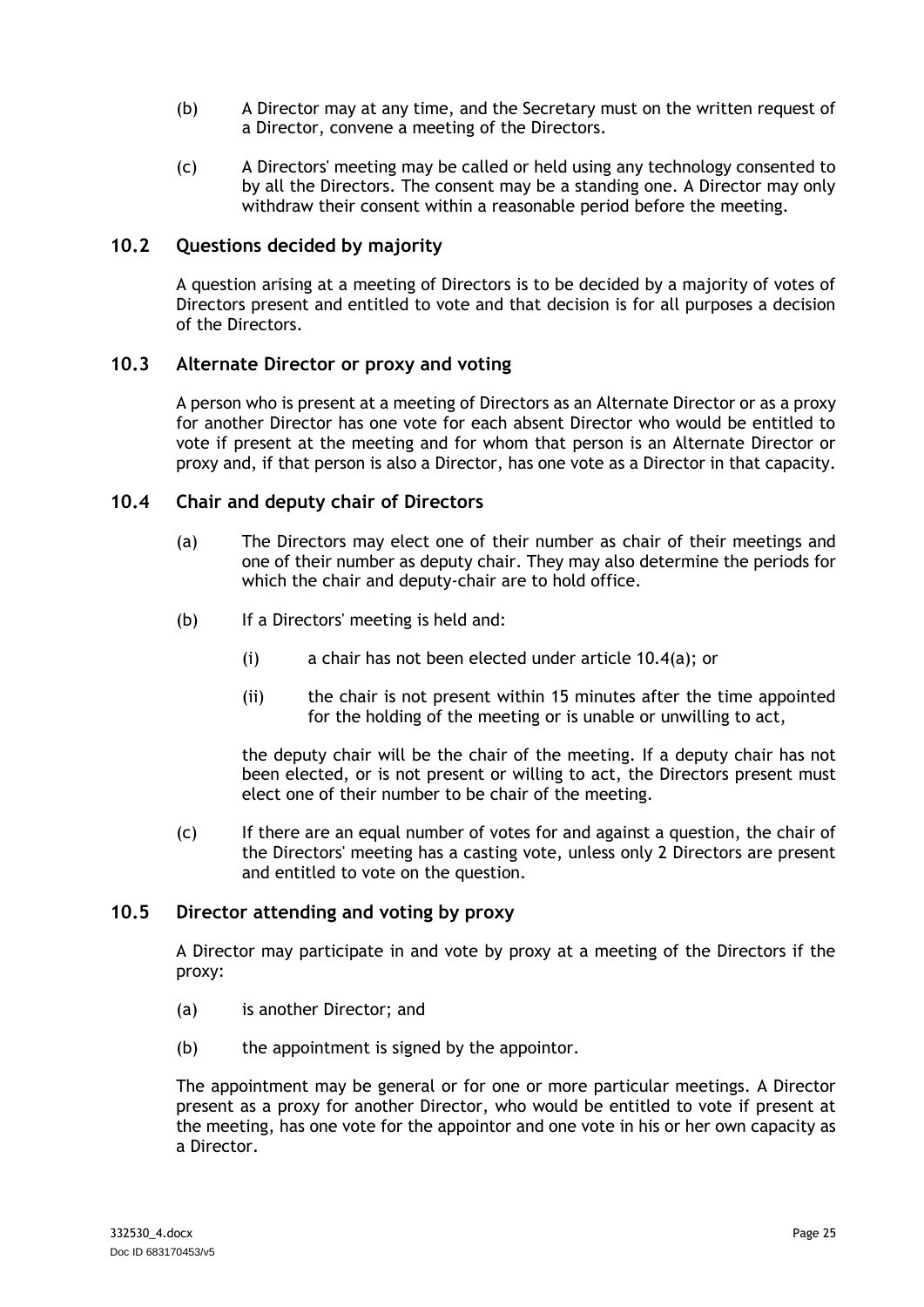- (b) A Director may at any time, and the Secretary must on the written request of a Director, convene a meeting of the Directors.
- (c) A Directors' meeting may be called or held using any technology consented to by all the Directors. The consent may be a standing one. A Director may only withdraw their consent within a reasonable period before the meeting.

### <span id="page-28-0"></span>**10.2 Questions decided by majority**

A question arising at a meeting of Directors is to be decided by a majority of votes of Directors present and entitled to vote and that decision is for all purposes a decision of the Directors.

### <span id="page-28-1"></span>**10.3 Alternate Director or proxy and voting**

A person who is present at a meeting of Directors as an Alternate Director or as a proxy for another Director has one vote for each absent Director who would be entitled to vote if present at the meeting and for whom that person is an Alternate Director or proxy and, if that person is also a Director, has one vote as a Director in that capacity.

#### <span id="page-28-4"></span><span id="page-28-2"></span>**10.4 Chair and deputy chair of Directors**

- (a) The Directors may elect one of their number as chair of their meetings and one of their number as deputy chair. They may also determine the periods for which the chair and deputy-chair are to hold office.
- (b) If a Directors' meeting is held and:
	- (i) a chair has not been elected under article [10.4\(a\);](#page-28-4) or
	- (ii) the chair is not present within 15 minutes after the time appointed for the holding of the meeting or is unable or unwilling to act,

the deputy chair will be the chair of the meeting. If a deputy chair has not been elected, or is not present or willing to act, the Directors present must elect one of their number to be chair of the meeting.

(c) If there are an equal number of votes for and against a question, the chair of the Directors' meeting has a casting vote, unless only 2 Directors are present and entitled to vote on the question.

#### <span id="page-28-3"></span>**10.5 Director attending and voting by proxy**

A Director may participate in and vote by proxy at a meeting of the Directors if the proxy:

- (a) is another Director; and
- (b) the appointment is signed by the appointor.

The appointment may be general or for one or more particular meetings. A Director present as a proxy for another Director, who would be entitled to vote if present at the meeting, has one vote for the appointor and one vote in his or her own capacity as a Director.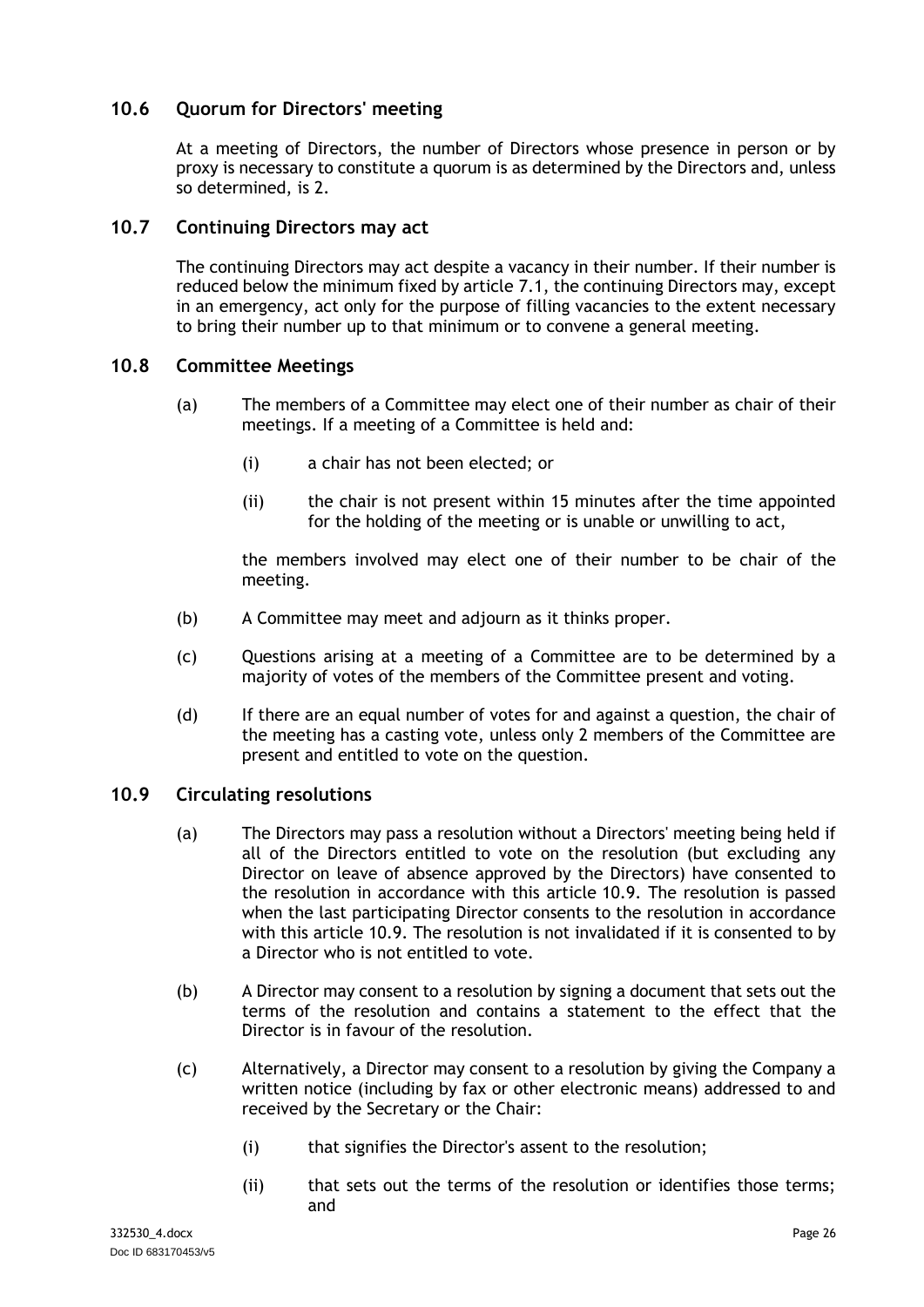# <span id="page-29-0"></span>**10.6 Quorum for Directors' meeting**

At a meeting of Directors, the number of Directors whose presence in person or by proxy is necessary to constitute a quorum is as determined by the Directors and, unless so determined, is 2.

### <span id="page-29-1"></span>**10.7 Continuing Directors may act**

The continuing Directors may act despite a vacancy in their number. If their number is reduced below the minimum fixed by article [7.1,](#page-20-3) the continuing Directors may, except in an emergency, act only for the purpose of filling vacancies to the extent necessary to bring their number up to that minimum or to convene a general meeting.

### <span id="page-29-2"></span>**10.8 Committee Meetings**

- (a) The members of a Committee may elect one of their number as chair of their meetings. If a meeting of a Committee is held and:
	- (i) a chair has not been elected; or
	- (ii) the chair is not present within 15 minutes after the time appointed for the holding of the meeting or is unable or unwilling to act,

the members involved may elect one of their number to be chair of the meeting.

- (b) A Committee may meet and adjourn as it thinks proper.
- (c) Questions arising at a meeting of a Committee are to be determined by a majority of votes of the members of the Committee present and voting.
- (d) If there are an equal number of votes for and against a question, the chair of the meeting has a casting vote, unless only 2 members of the Committee are present and entitled to vote on the question.

#### <span id="page-29-3"></span>**10.9 Circulating resolutions**

- (a) The Directors may pass a resolution without a Directors' meeting being held if all of the Directors entitled to vote on the resolution (but excluding any Director on leave of absence approved by the Directors) have consented to the resolution in accordance with this article [10.9.](#page-29-3) The resolution is passed when the last participating Director consents to the resolution in accordance with this article [10.9.](#page-29-3) The resolution is not invalidated if it is consented to by a Director who is not entitled to vote.
- (b) A Director may consent to a resolution by signing a document that sets out the terms of the resolution and contains a statement to the effect that the Director is in favour of the resolution.
- (c) Alternatively, a Director may consent to a resolution by giving the Company a written notice (including by fax or other electronic means) addressed to and received by the Secretary or the Chair:
	- (i) that signifies the Director's assent to the resolution;
	- (ii) that sets out the terms of the resolution or identifies those terms; and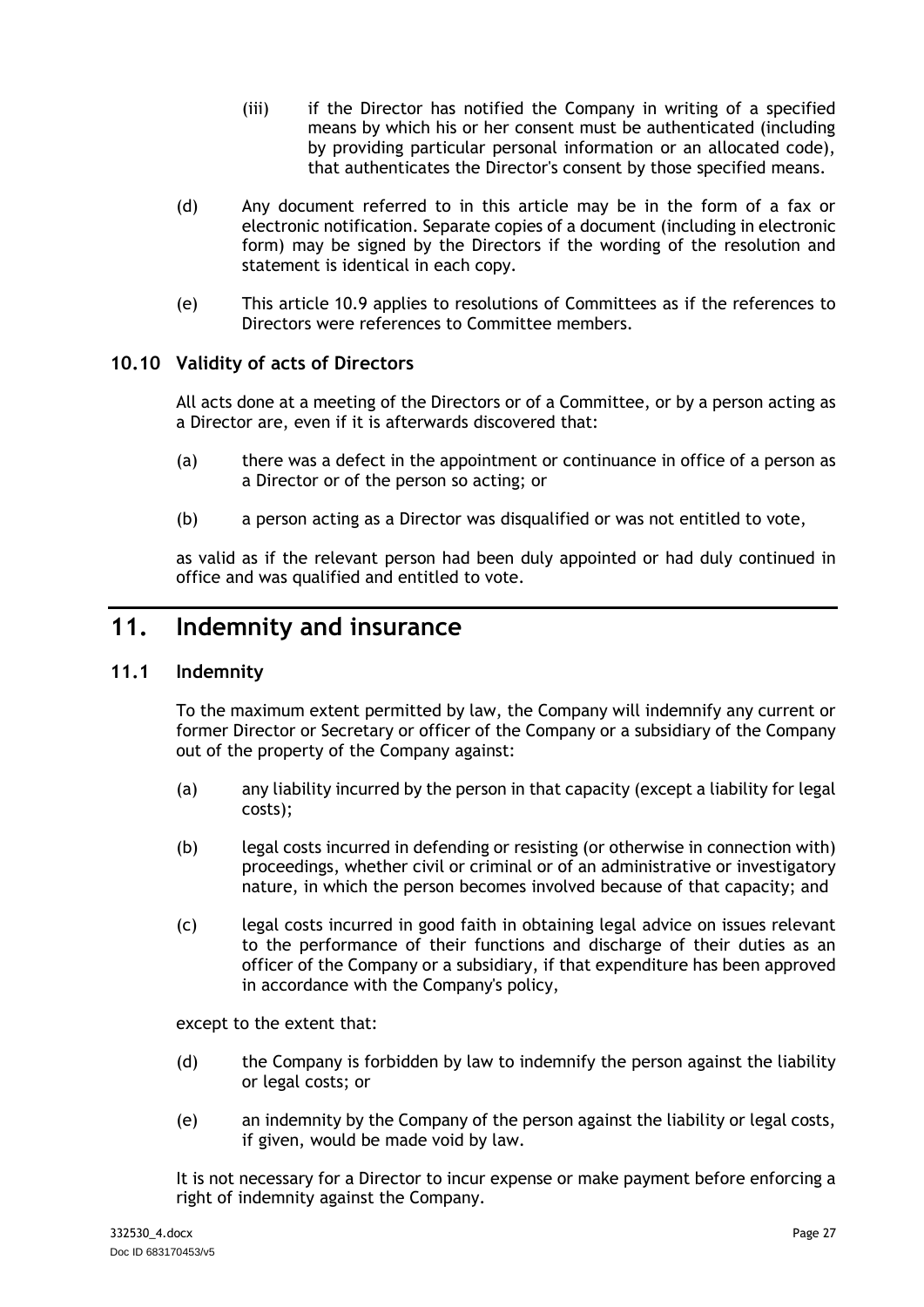- (iii) if the Director has notified the Company in writing of a specified means by which his or her consent must be authenticated (including by providing particular personal information or an allocated code), that authenticates the Director's consent by those specified means.
- (d) Any document referred to in this article may be in the form of a fax or electronic notification. Separate copies of a document (including in electronic form) may be signed by the Directors if the wording of the resolution and statement is identical in each copy.
- (e) This article [10.9](#page-29-3) applies to resolutions of Committees as if the references to Directors were references to Committee members.

# <span id="page-30-0"></span>**10.10 Validity of acts of Directors**

All acts done at a meeting of the Directors or of a Committee, or by a person acting as a Director are, even if it is afterwards discovered that:

- (a) there was a defect in the appointment or continuance in office of a person as a Director or of the person so acting; or
- (b) a person acting as a Director was disqualified or was not entitled to vote,

as valid as if the relevant person had been duly appointed or had duly continued in office and was qualified and entitled to vote.

# <span id="page-30-1"></span>**11. Indemnity and insurance**

# <span id="page-30-2"></span>**11.1 Indemnity**

To the maximum extent permitted by law, the Company will indemnify any current or former Director or Secretary or officer of the Company or a subsidiary of the Company out of the property of the Company against:

- (a) any liability incurred by the person in that capacity (except a liability for legal costs);
- (b) legal costs incurred in defending or resisting (or otherwise in connection with) proceedings, whether civil or criminal or of an administrative or investigatory nature, in which the person becomes involved because of that capacity; and
- (c) legal costs incurred in good faith in obtaining legal advice on issues relevant to the performance of their functions and discharge of their duties as an officer of the Company or a subsidiary, if that expenditure has been approved in accordance with the Company's policy,

except to the extent that:

- (d) the Company is forbidden by law to indemnify the person against the liability or legal costs; or
- (e) an indemnity by the Company of the person against the liability or legal costs, if given, would be made void by law.

It is not necessary for a Director to incur expense or make payment before enforcing a right of indemnity against the Company.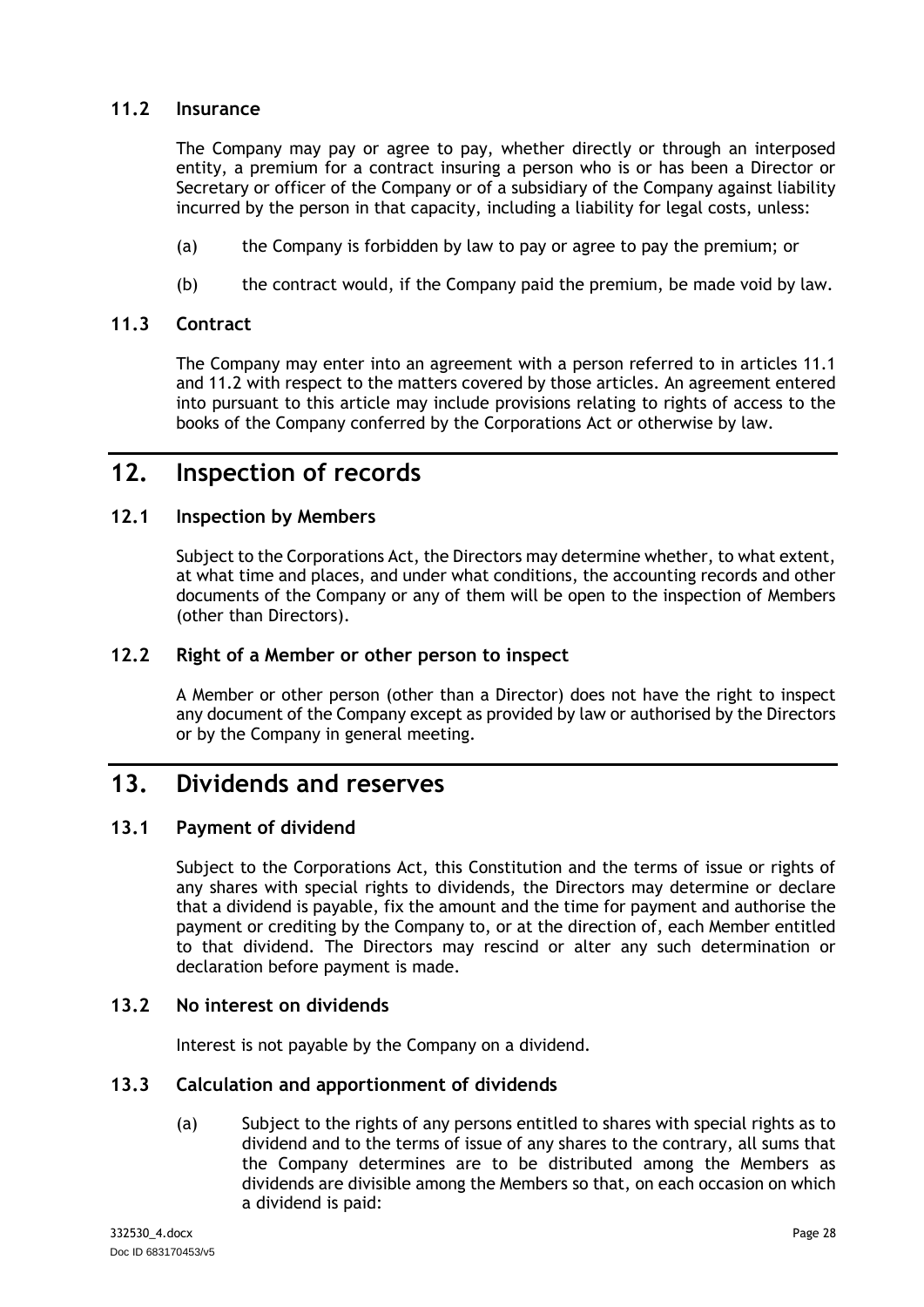# <span id="page-31-0"></span>**11.2 Insurance**

The Company may pay or agree to pay, whether directly or through an interposed entity, a premium for a contract insuring a person who is or has been a Director or Secretary or officer of the Company or of a subsidiary of the Company against liability incurred by the person in that capacity, including a liability for legal costs, unless:

- (a) the Company is forbidden by law to pay or agree to pay the premium; or
- (b) the contract would, if the Company paid the premium, be made void by law.

### <span id="page-31-1"></span>**11.3 Contract**

The Company may enter into an agreement with a person referred to in articles [11.1](#page-30-2) and [11.2](#page-31-0) with respect to the matters covered by those articles. An agreement entered into pursuant to this article may include provisions relating to rights of access to the books of the Company conferred by the Corporations Act or otherwise by law.

# <span id="page-31-2"></span>**12. Inspection of records**

# <span id="page-31-3"></span>**12.1 Inspection by Members**

Subject to the Corporations Act, the Directors may determine whether, to what extent, at what time and places, and under what conditions, the accounting records and other documents of the Company or any of them will be open to the inspection of Members (other than Directors).

# <span id="page-31-4"></span>**12.2 Right of a Member or other person to inspect**

A Member or other person (other than a Director) does not have the right to inspect any document of the Company except as provided by law or authorised by the Directors or by the Company in general meeting.

# <span id="page-31-5"></span>**13. Dividends and reserves**

# <span id="page-31-6"></span>**13.1 Payment of dividend**

Subject to the Corporations Act, this Constitution and the terms of issue or rights of any shares with special rights to dividends, the Directors may determine or declare that a dividend is payable, fix the amount and the time for payment and authorise the payment or crediting by the Company to, or at the direction of, each Member entitled to that dividend. The Directors may rescind or alter any such determination or declaration before payment is made.

# <span id="page-31-7"></span>**13.2 No interest on dividends**

Interest is not payable by the Company on a dividend.

#### <span id="page-31-8"></span>**13.3 Calculation and apportionment of dividends**

(a) Subject to the rights of any persons entitled to shares with special rights as to dividend and to the terms of issue of any shares to the contrary, all sums that the Company determines are to be distributed among the Members as dividends are divisible among the Members so that, on each occasion on which a dividend is paid: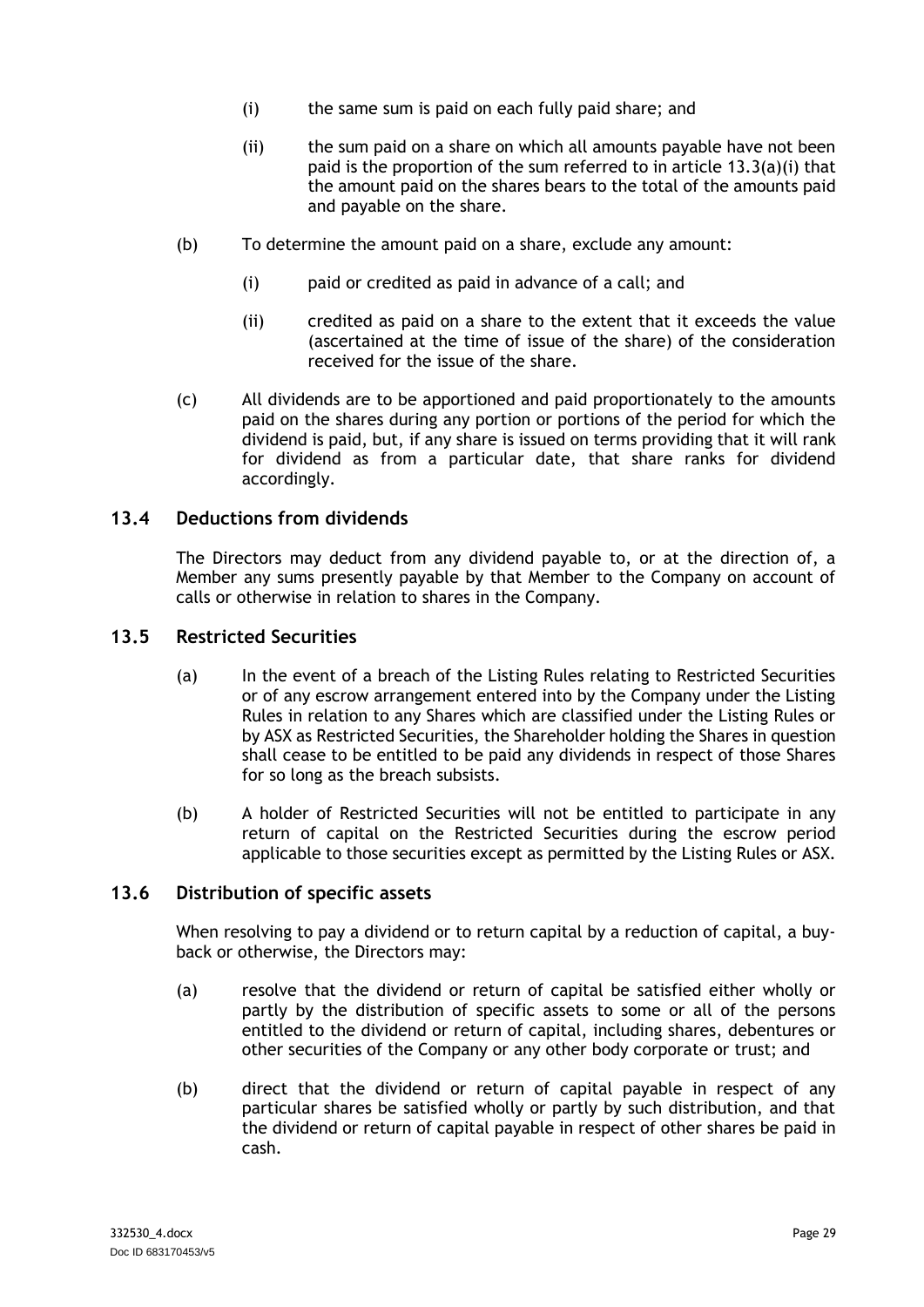- <span id="page-32-2"></span>(i) the same sum is paid on each fully paid share; and
- (ii) the sum paid on a share on which all amounts payable have not been paid is the proportion of the sum referred to in article [13.3\(a\)\(i\)](#page-32-2) that the amount paid on the shares bears to the total of the amounts paid and payable on the share.
- (b) To determine the amount paid on a share, exclude any amount:
	- (i) paid or credited as paid in advance of a call; and
	- (ii) credited as paid on a share to the extent that it exceeds the value (ascertained at the time of issue of the share) of the consideration received for the issue of the share.
- (c) All dividends are to be apportioned and paid proportionately to the amounts paid on the shares during any portion or portions of the period for which the dividend is paid, but, if any share is issued on terms providing that it will rank for dividend as from a particular date, that share ranks for dividend accordingly.

### <span id="page-32-0"></span>**13.4 Deductions from dividends**

The Directors may deduct from any dividend payable to, or at the direction of, a Member any sums presently payable by that Member to the Company on account of calls or otherwise in relation to shares in the Company.

#### <span id="page-32-1"></span>**13.5 Restricted Securities**

- (a) In the event of a breach of the Listing Rules relating to Restricted Securities or of any escrow arrangement entered into by the Company under the Listing Rules in relation to any Shares which are classified under the Listing Rules or by ASX as Restricted Securities, the Shareholder holding the Shares in question shall cease to be entitled to be paid any dividends in respect of those Shares for so long as the breach subsists.
- (b) A holder of Restricted Securities will not be entitled to participate in any return of capital on the Restricted Securities during the escrow period applicable to those securities except as permitted by the Listing Rules or ASX.

### **13.6 Distribution of specific assets**

When resolving to pay a dividend or to return capital by a reduction of capital, a buyback or otherwise, the Directors may:

- (a) resolve that the dividend or return of capital be satisfied either wholly or partly by the distribution of specific assets to some or all of the persons entitled to the dividend or return of capital, including shares, debentures or other securities of the Company or any other body corporate or trust; and
- (b) direct that the dividend or return of capital payable in respect of any particular shares be satisfied wholly or partly by such distribution, and that the dividend or return of capital payable in respect of other shares be paid in cash.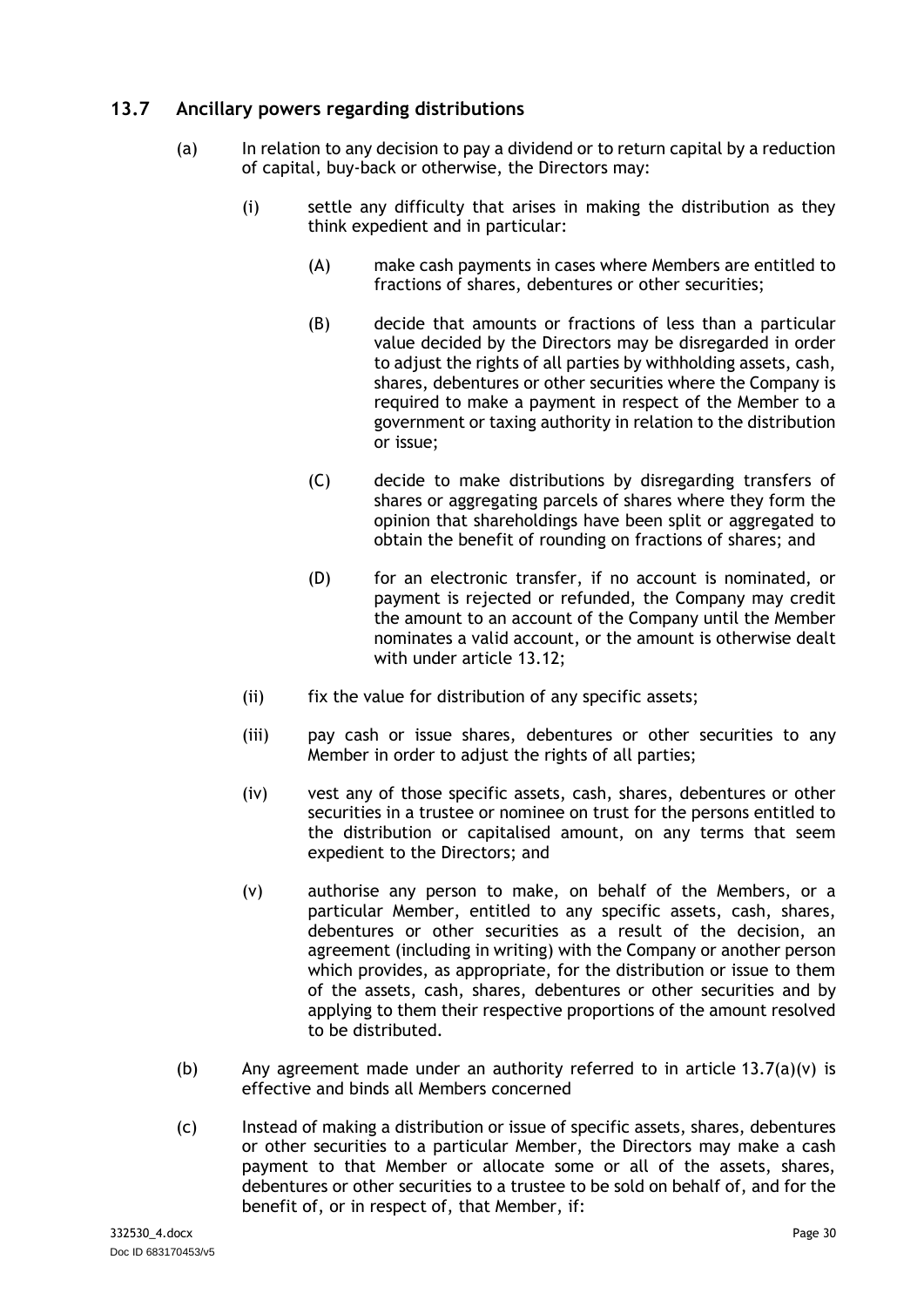# <span id="page-33-0"></span>**13.7 Ancillary powers regarding distributions**

- (a) In relation to any decision to pay a dividend or to return capital by a reduction of capital, buy-back or otherwise, the Directors may:
	- (i) settle any difficulty that arises in making the distribution as they think expedient and in particular:
		- (A) make cash payments in cases where Members are entitled to fractions of shares, debentures or other securities;
		- (B) decide that amounts or fractions of less than a particular value decided by the Directors may be disregarded in order to adjust the rights of all parties by withholding assets, cash, shares, debentures or other securities where the Company is required to make a payment in respect of the Member to a government or taxing authority in relation to the distribution or issue;
		- (C) decide to make distributions by disregarding transfers of shares or aggregating parcels of shares where they form the opinion that shareholdings have been split or aggregated to obtain the benefit of rounding on fractions of shares; and
		- (D) for an electronic transfer, if no account is nominated, or payment is rejected or refunded, the Company may credit the amount to an account of the Company until the Member nominates a valid account, or the amount is otherwise dealt with under article [13.12;](#page-35-0)
	- (ii) fix the value for distribution of any specific assets;
	- (iii) pay cash or issue shares, debentures or other securities to any Member in order to adjust the rights of all parties;
	- (iv) vest any of those specific assets, cash, shares, debentures or other securities in a trustee or nominee on trust for the persons entitled to the distribution or capitalised amount, on any terms that seem expedient to the Directors; and
	- (v) authorise any person to make, on behalf of the Members, or a particular Member, entitled to any specific assets, cash, shares, debentures or other securities as a result of the decision, an agreement (including in writing) with the Company or another person which provides, as appropriate, for the distribution or issue to them of the assets, cash, shares, debentures or other securities and by applying to them their respective proportions of the amount resolved to be distributed.
- <span id="page-33-1"></span>(b) Any agreement made under an authority referred to in article  $13.7(a)(v)$  is effective and binds all Members concerned
- (c) Instead of making a distribution or issue of specific assets, shares, debentures or other securities to a particular Member, the Directors may make a cash payment to that Member or allocate some or all of the assets, shares, debentures or other securities to a trustee to be sold on behalf of, and for the benefit of, or in respect of, that Member, if: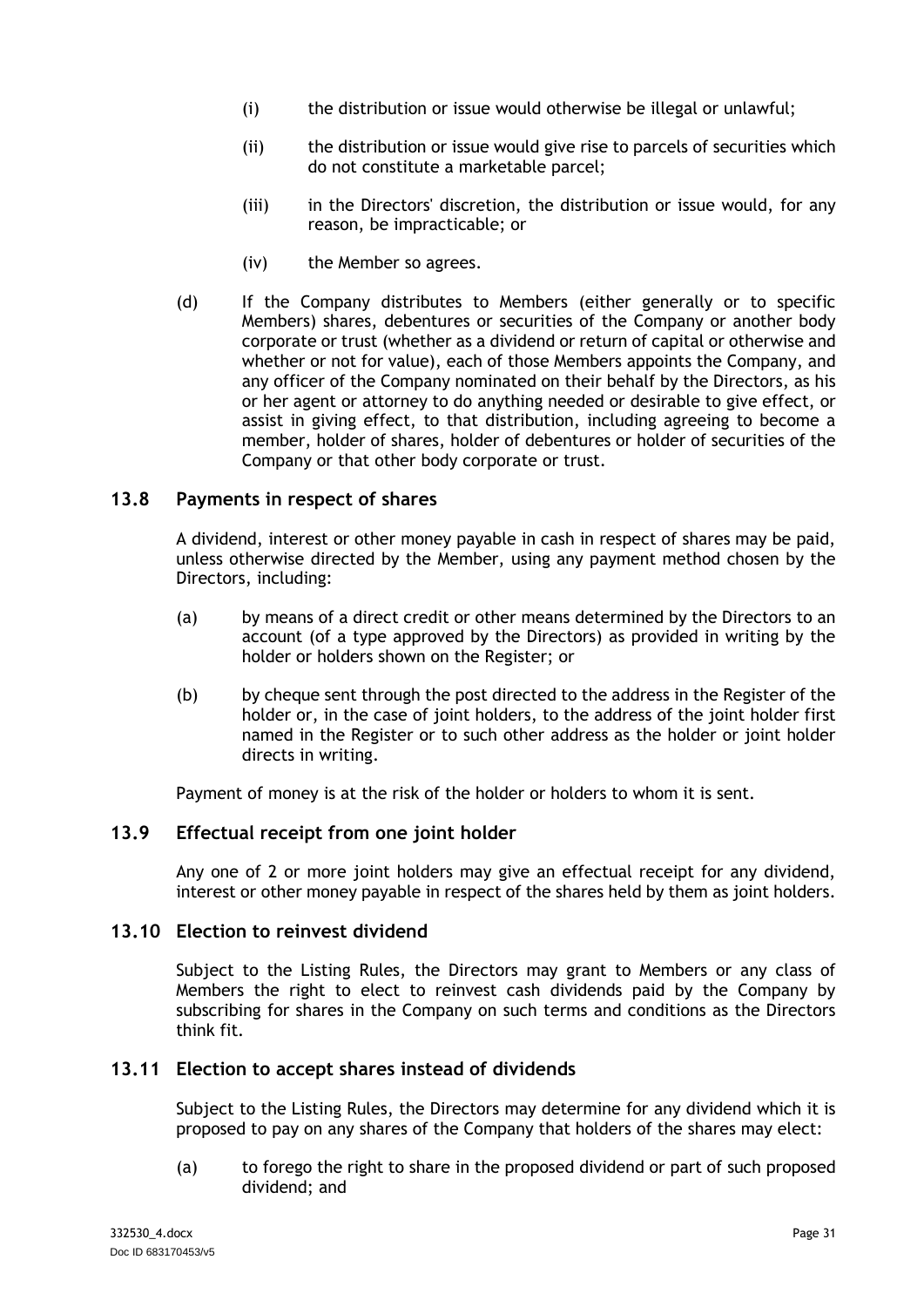- (i) the distribution or issue would otherwise be illegal or unlawful;
- (ii) the distribution or issue would give rise to parcels of securities which do not constitute a marketable parcel;
- (iii) in the Directors' discretion, the distribution or issue would, for any reason, be impracticable; or
- (iv) the Member so agrees.
- (d) If the Company distributes to Members (either generally or to specific Members) shares, debentures or securities of the Company or another body corporate or trust (whether as a dividend or return of capital or otherwise and whether or not for value), each of those Members appoints the Company, and any officer of the Company nominated on their behalf by the Directors, as his or her agent or attorney to do anything needed or desirable to give effect, or assist in giving effect, to that distribution, including agreeing to become a member, holder of shares, holder of debentures or holder of securities of the Company or that other body corporate or trust.

### <span id="page-34-0"></span>**13.8 Payments in respect of shares**

A dividend, interest or other money payable in cash in respect of shares may be paid, unless otherwise directed by the Member, using any payment method chosen by the Directors, including:

- (a) by means of a direct credit or other means determined by the Directors to an account (of a type approved by the Directors) as provided in writing by the holder or holders shown on the Register; or
- (b) by cheque sent through the post directed to the address in the Register of the holder or, in the case of joint holders, to the address of the joint holder first named in the Register or to such other address as the holder or joint holder directs in writing.

Payment of money is at the risk of the holder or holders to whom it is sent.

#### <span id="page-34-1"></span>**13.9 Effectual receipt from one joint holder**

Any one of 2 or more joint holders may give an effectual receipt for any dividend, interest or other money payable in respect of the shares held by them as joint holders.

#### <span id="page-34-2"></span>**13.10 Election to reinvest dividend**

Subject to the Listing Rules, the Directors may grant to Members or any class of Members the right to elect to reinvest cash dividends paid by the Company by subscribing for shares in the Company on such terms and conditions as the Directors think fit.

#### <span id="page-34-3"></span>**13.11 Election to accept shares instead of dividends**

Subject to the Listing Rules, the Directors may determine for any dividend which it is proposed to pay on any shares of the Company that holders of the shares may elect:

(a) to forego the right to share in the proposed dividend or part of such proposed dividend; and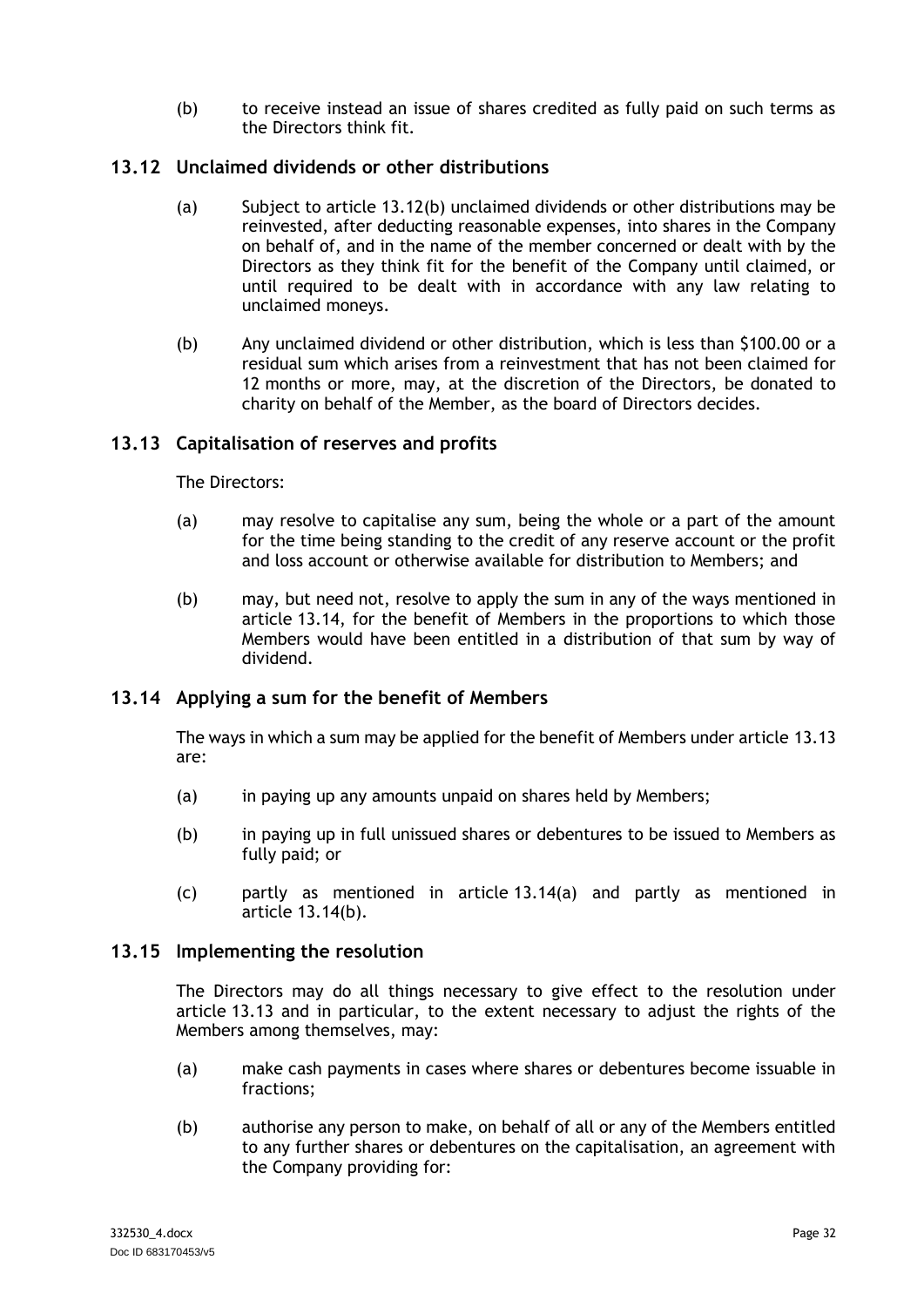(b) to receive instead an issue of shares credited as fully paid on such terms as the Directors think fit.

# <span id="page-35-0"></span>**13.12 Unclaimed dividends or other distributions**

- (a) Subject to article [13.12\(b\)](#page-35-4) unclaimed dividends or other distributions may be reinvested, after deducting reasonable expenses, into shares in the Company on behalf of, and in the name of the member concerned or dealt with by the Directors as they think fit for the benefit of the Company until claimed, or until required to be dealt with in accordance with any law relating to unclaimed moneys.
- <span id="page-35-4"></span>(b) Any unclaimed dividend or other distribution, which is less than \$100.00 or a residual sum which arises from a reinvestment that has not been claimed for 12 months or more, may, at the discretion of the Directors, be donated to charity on behalf of the Member, as the board of Directors decides.

# <span id="page-35-1"></span>**13.13 Capitalisation of reserves and profits**

The Directors:

- (a) may resolve to capitalise any sum, being the whole or a part of the amount for the time being standing to the credit of any reserve account or the profit and loss account or otherwise available for distribution to Members; and
- (b) may, but need not, resolve to apply the sum in any of the ways mentioned in article [13.14,](#page-35-2) for the benefit of Members in the proportions to which those Members would have been entitled in a distribution of that sum by way of dividend.

# <span id="page-35-2"></span>**13.14 Applying a sum for the benefit of Members**

The ways in which a sum may be applied for the benefit of Members under article [13.13](#page-35-1) are:

- <span id="page-35-5"></span>(a) in paying up any amounts unpaid on shares held by Members;
- <span id="page-35-6"></span>(b) in paying up in full unissued shares or debentures to be issued to Members as fully paid; or
- (c) partly as mentioned in article [13.14\(a\)](#page-35-5) and partly as mentioned in article [13.14\(b\).](#page-35-6)

#### <span id="page-35-3"></span>**13.15 Implementing the resolution**

The Directors may do all things necessary to give effect to the resolution under article [13.13](#page-35-1) and in particular, to the extent necessary to adjust the rights of the Members among themselves, may:

- (a) make cash payments in cases where shares or debentures become issuable in fractions;
- (b) authorise any person to make, on behalf of all or any of the Members entitled to any further shares or debentures on the capitalisation, an agreement with the Company providing for: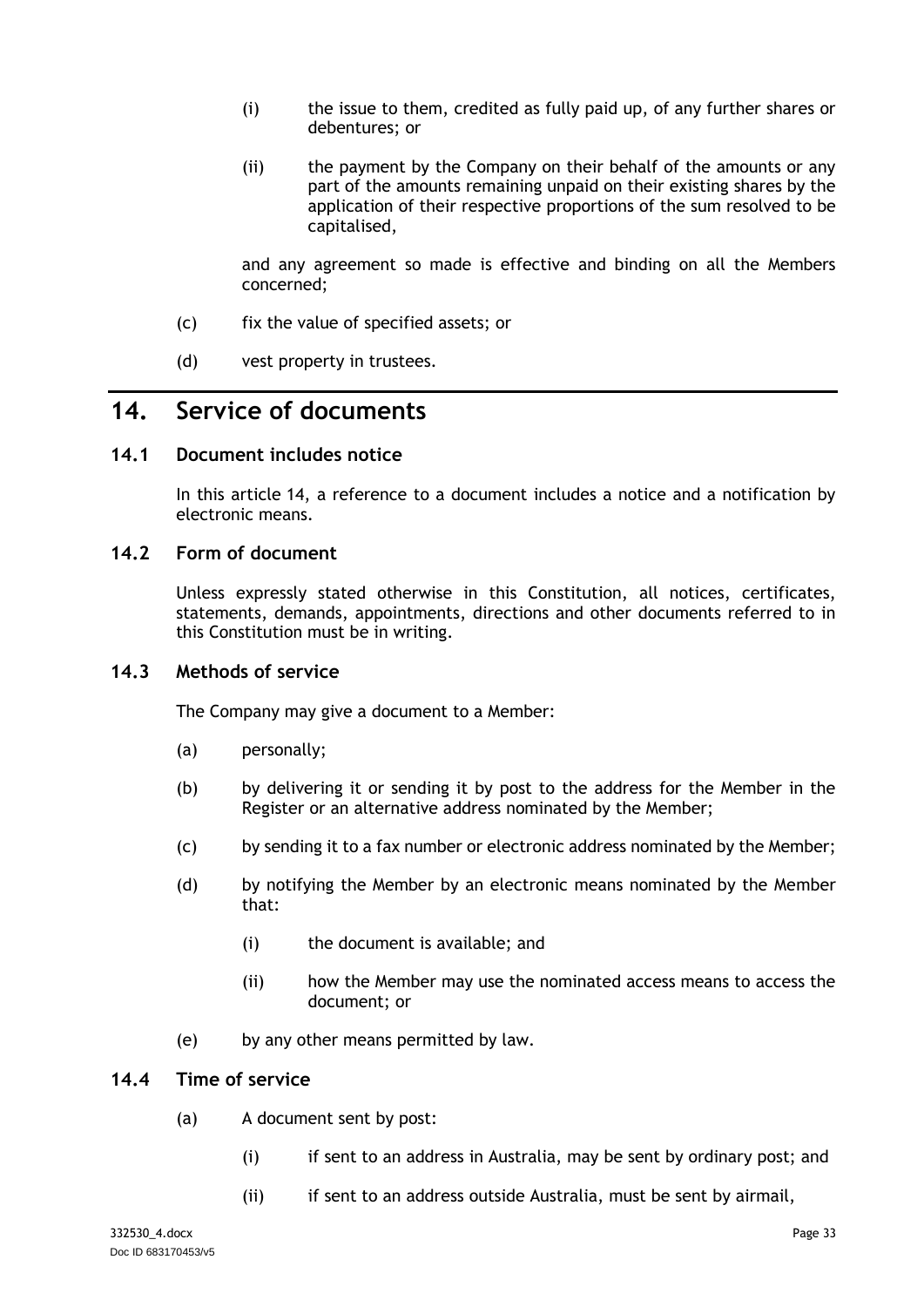- (i) the issue to them, credited as fully paid up, of any further shares or debentures; or
- (ii) the payment by the Company on their behalf of the amounts or any part of the amounts remaining unpaid on their existing shares by the application of their respective proportions of the sum resolved to be capitalised,

and any agreement so made is effective and binding on all the Members concerned;

- (c) fix the value of specified assets; or
- (d) vest property in trustees.

# <span id="page-36-0"></span>**14. Service of documents**

# <span id="page-36-1"></span>**14.1 Document includes notice**

In this article [14,](#page-36-0) a reference to a document includes a notice and a notification by electronic means.

# <span id="page-36-2"></span>**14.2 Form of document**

Unless expressly stated otherwise in this Constitution, all notices, certificates, statements, demands, appointments, directions and other documents referred to in this Constitution must be in writing.

### <span id="page-36-3"></span>**14.3 Methods of service**

The Company may give a document to a Member:

- (a) personally;
- (b) by delivering it or sending it by post to the address for the Member in the Register or an alternative address nominated by the Member;
- (c) by sending it to a fax number or electronic address nominated by the Member;
- (d) by notifying the Member by an electronic means nominated by the Member that:
	- (i) the document is available; and
	- (ii) how the Member may use the nominated access means to access the document; or
- (e) by any other means permitted by law.

### <span id="page-36-4"></span>**14.4 Time of service**

- (a) A document sent by post:
	- (i) if sent to an address in Australia, may be sent by ordinary post; and
	- (ii) if sent to an address outside Australia, must be sent by airmail,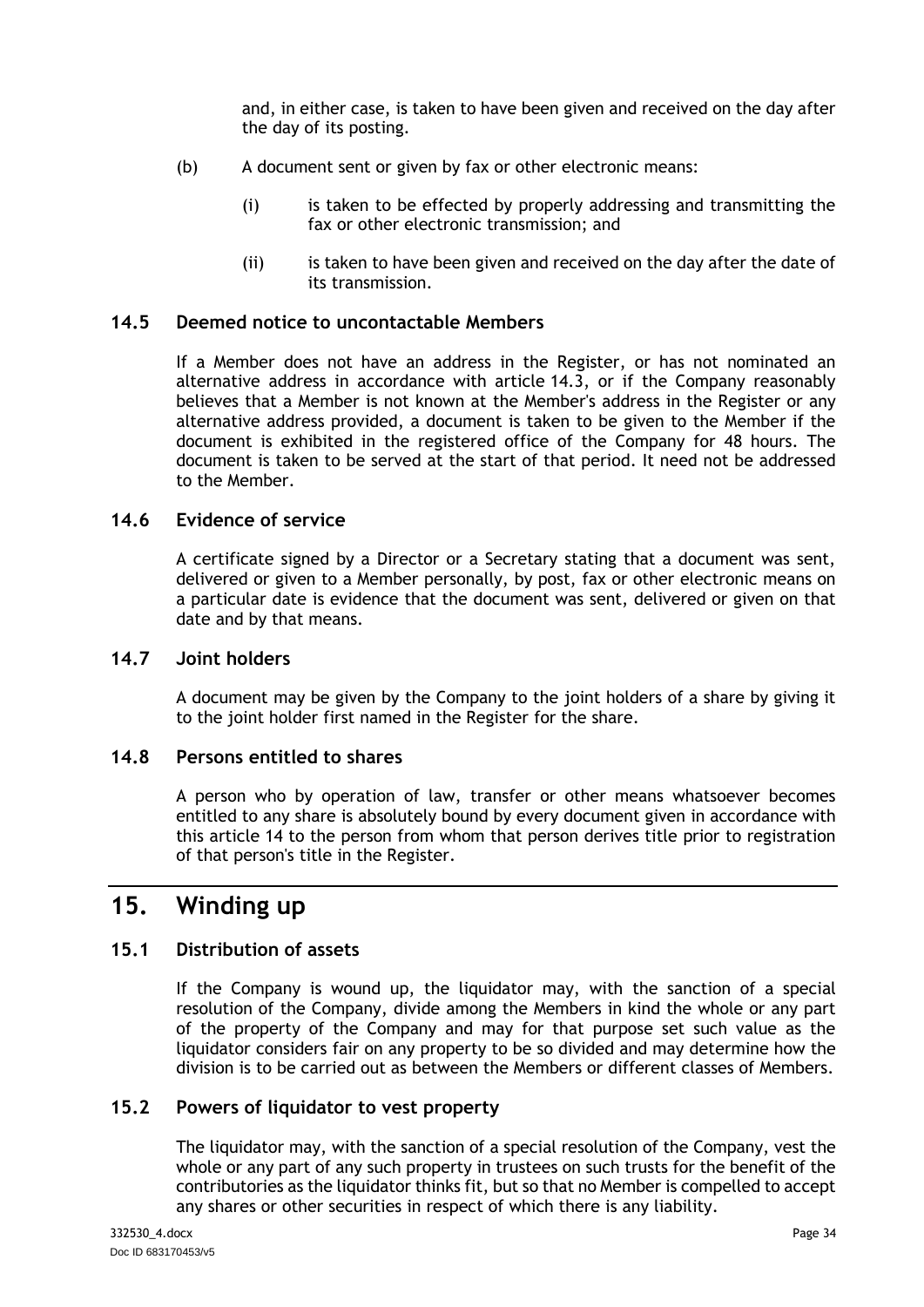and, in either case, is taken to have been given and received on the day after the day of its posting.

- (b) A document sent or given by fax or other electronic means:
	- (i) is taken to be effected by properly addressing and transmitting the fax or other electronic transmission; and
	- (ii) is taken to have been given and received on the day after the date of its transmission.

#### <span id="page-37-0"></span>**14.5 Deemed notice to uncontactable Members**

If a Member does not have an address in the Register, or has not nominated an alternative address in accordance with article  $14.3$ , or if the Company reasonably believes that a Member is not known at the Member's address in the Register or any alternative address provided, a document is taken to be given to the Member if the document is exhibited in the registered office of the Company for 48 hours. The document is taken to be served at the start of that period. It need not be addressed to the Member.

#### <span id="page-37-1"></span>**14.6 Evidence of service**

A certificate signed by a Director or a Secretary stating that a document was sent, delivered or given to a Member personally, by post, fax or other electronic means on a particular date is evidence that the document was sent, delivered or given on that date and by that means.

# <span id="page-37-2"></span>**14.7 Joint holders**

A document may be given by the Company to the joint holders of a share by giving it to the joint holder first named in the Register for the share.

#### <span id="page-37-3"></span>**14.8 Persons entitled to shares**

A person who by operation of law, transfer or other means whatsoever becomes entitled to any share is absolutely bound by every document given in accordance with this article [14](#page-36-0) to the person from whom that person derives title prior to registration of that person's title in the Register.

# <span id="page-37-4"></span>**15. Winding up**

### <span id="page-37-5"></span>**15.1 Distribution of assets**

If the Company is wound up, the liquidator may, with the sanction of a special resolution of the Company, divide among the Members in kind the whole or any part of the property of the Company and may for that purpose set such value as the liquidator considers fair on any property to be so divided and may determine how the division is to be carried out as between the Members or different classes of Members.

#### <span id="page-37-6"></span>**15.2 Powers of liquidator to vest property**

The liquidator may, with the sanction of a special resolution of the Company, vest the whole or any part of any such property in trustees on such trusts for the benefit of the contributories as the liquidator thinks fit, but so that no Member is compelled to accept any shares or other securities in respect of which there is any liability.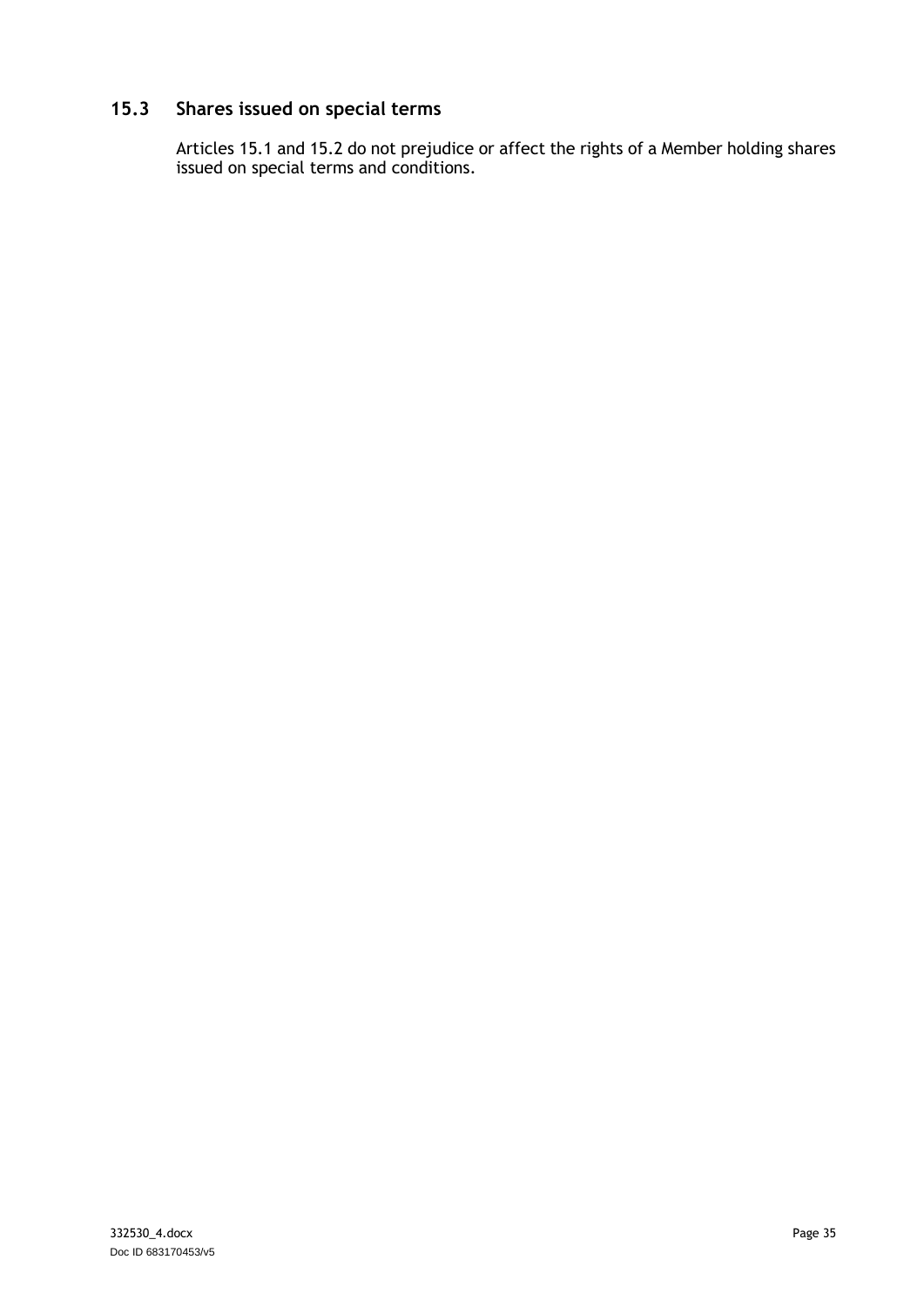# <span id="page-38-0"></span>**15.3 Shares issued on special terms**

Articles [15.1](#page-37-5) and [15.2](#page-37-6) do not prejudice or affect the rights of a Member holding shares issued on special terms and conditions.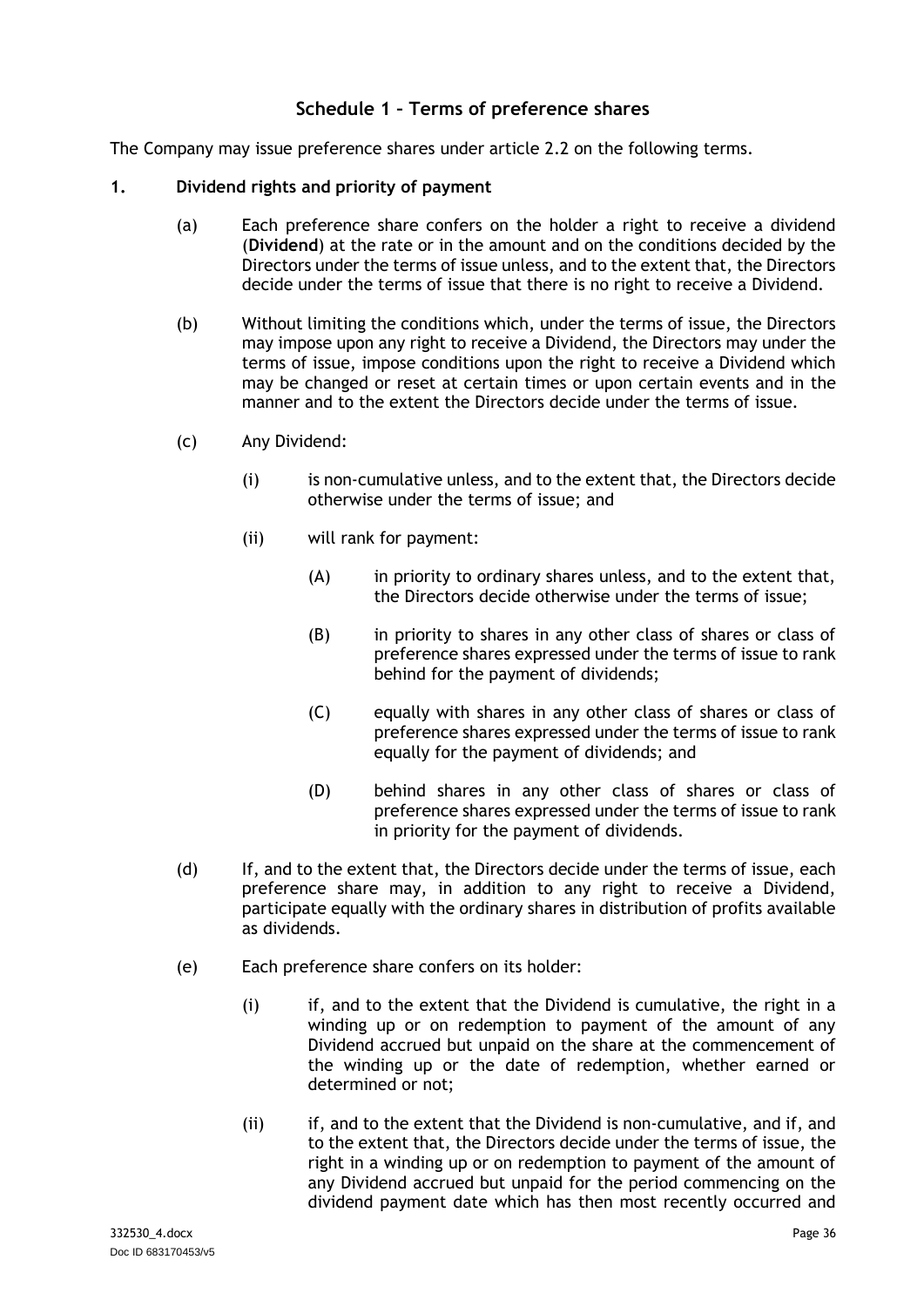# **Schedule 1 – Terms of preference shares**

<span id="page-39-0"></span>The Company may issue preference shares under article [2.2](#page-8-2) on the following terms.

#### **1. Dividend rights and priority of payment**

- (a) Each preference share confers on the holder a right to receive a dividend (**Dividend**) at the rate or in the amount and on the conditions decided by the Directors under the terms of issue unless, and to the extent that, the Directors decide under the terms of issue that there is no right to receive a Dividend.
- (b) Without limiting the conditions which, under the terms of issue, the Directors may impose upon any right to receive a Dividend, the Directors may under the terms of issue, impose conditions upon the right to receive a Dividend which may be changed or reset at certain times or upon certain events and in the manner and to the extent the Directors decide under the terms of issue.
- (c) Any Dividend:
	- (i) is non-cumulative unless, and to the extent that, the Directors decide otherwise under the terms of issue; and
	- (ii) will rank for payment:
		- (A) in priority to ordinary shares unless, and to the extent that, the Directors decide otherwise under the terms of issue;
		- (B) in priority to shares in any other class of shares or class of preference shares expressed under the terms of issue to rank behind for the payment of dividends;
		- (C) equally with shares in any other class of shares or class of preference shares expressed under the terms of issue to rank equally for the payment of dividends; and
		- (D) behind shares in any other class of shares or class of preference shares expressed under the terms of issue to rank in priority for the payment of dividends.
- (d) If, and to the extent that, the Directors decide under the terms of issue, each preference share may, in addition to any right to receive a Dividend, participate equally with the ordinary shares in distribution of profits available as dividends.
- (e) Each preference share confers on its holder:
	- (i) if, and to the extent that the Dividend is cumulative, the right in a winding up or on redemption to payment of the amount of any Dividend accrued but unpaid on the share at the commencement of the winding up or the date of redemption, whether earned or determined or not;
	- (ii) if, and to the extent that the Dividend is non-cumulative, and if, and to the extent that, the Directors decide under the terms of issue, the right in a winding up or on redemption to payment of the amount of any Dividend accrued but unpaid for the period commencing on the dividend payment date which has then most recently occurred and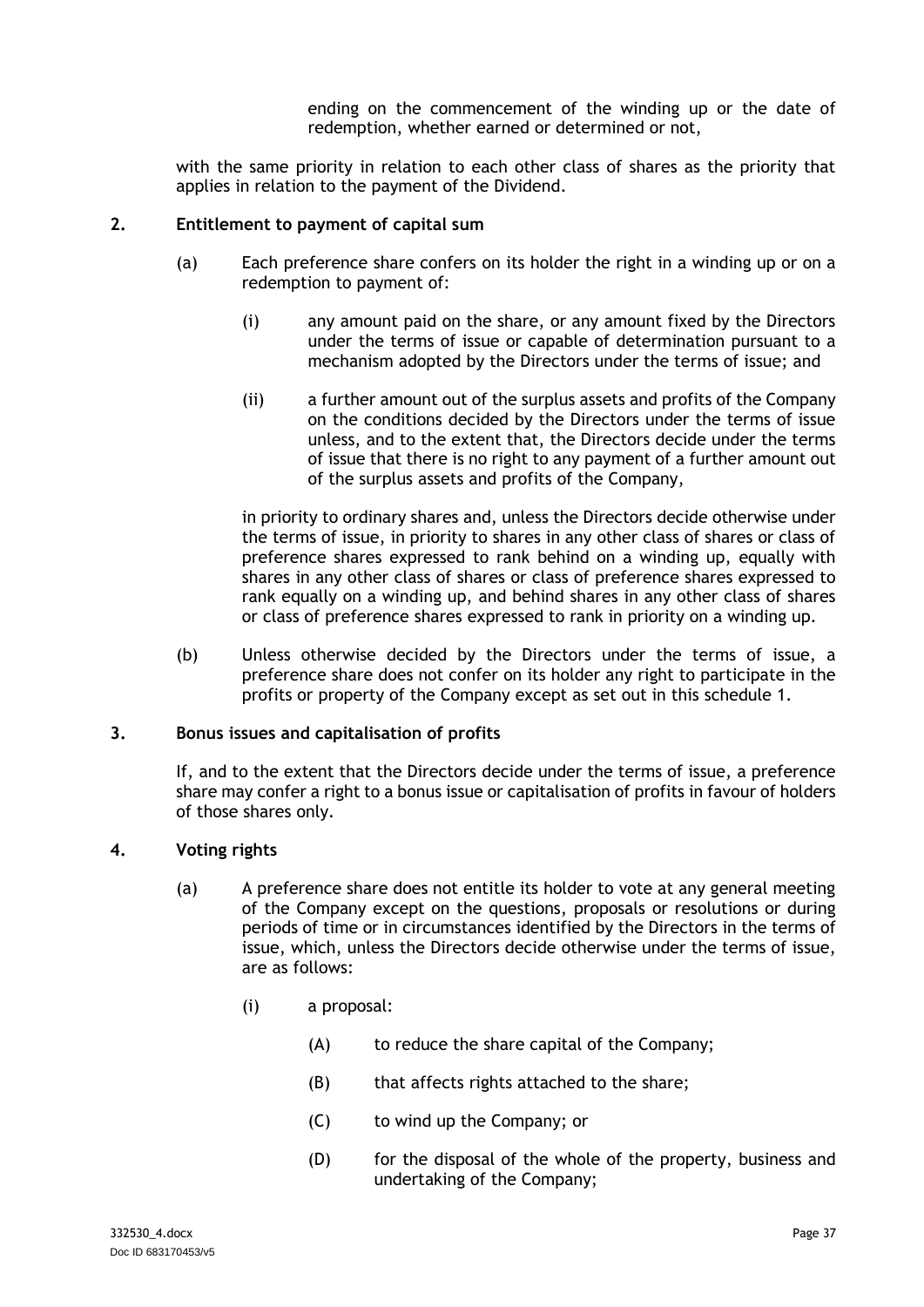ending on the commencement of the winding up or the date of redemption, whether earned or determined or not,

with the same priority in relation to each other class of shares as the priority that applies in relation to the payment of the Dividend.

#### **2. Entitlement to payment of capital sum**

- (a) Each preference share confers on its holder the right in a winding up or on a redemption to payment of:
	- (i) any amount paid on the share, or any amount fixed by the Directors under the terms of issue or capable of determination pursuant to a mechanism adopted by the Directors under the terms of issue; and
	- (ii) a further amount out of the surplus assets and profits of the Company on the conditions decided by the Directors under the terms of issue unless, and to the extent that, the Directors decide under the terms of issue that there is no right to any payment of a further amount out of the surplus assets and profits of the Company,

in priority to ordinary shares and, unless the Directors decide otherwise under the terms of issue, in priority to shares in any other class of shares or class of preference shares expressed to rank behind on a winding up, equally with shares in any other class of shares or class of preference shares expressed to rank equally on a winding up, and behind shares in any other class of shares or class of preference shares expressed to rank in priority on a winding up.

(b) Unless otherwise decided by the Directors under the terms of issue, a preference share does not confer on its holder any right to participate in the profits or property of the Company except as set out in this schedule 1.

#### **3. Bonus issues and capitalisation of profits**

If, and to the extent that the Directors decide under the terms of issue, a preference share may confer a right to a bonus issue or capitalisation of profits in favour of holders of those shares only.

#### **4. Voting rights**

- (a) A preference share does not entitle its holder to vote at any general meeting of the Company except on the questions, proposals or resolutions or during periods of time or in circumstances identified by the Directors in the terms of issue, which, unless the Directors decide otherwise under the terms of issue, are as follows:
	- (i) a proposal:
		- (A) to reduce the share capital of the Company;
		- (B) that affects rights attached to the share;
		- (C) to wind up the Company; or
		- (D) for the disposal of the whole of the property, business and undertaking of the Company;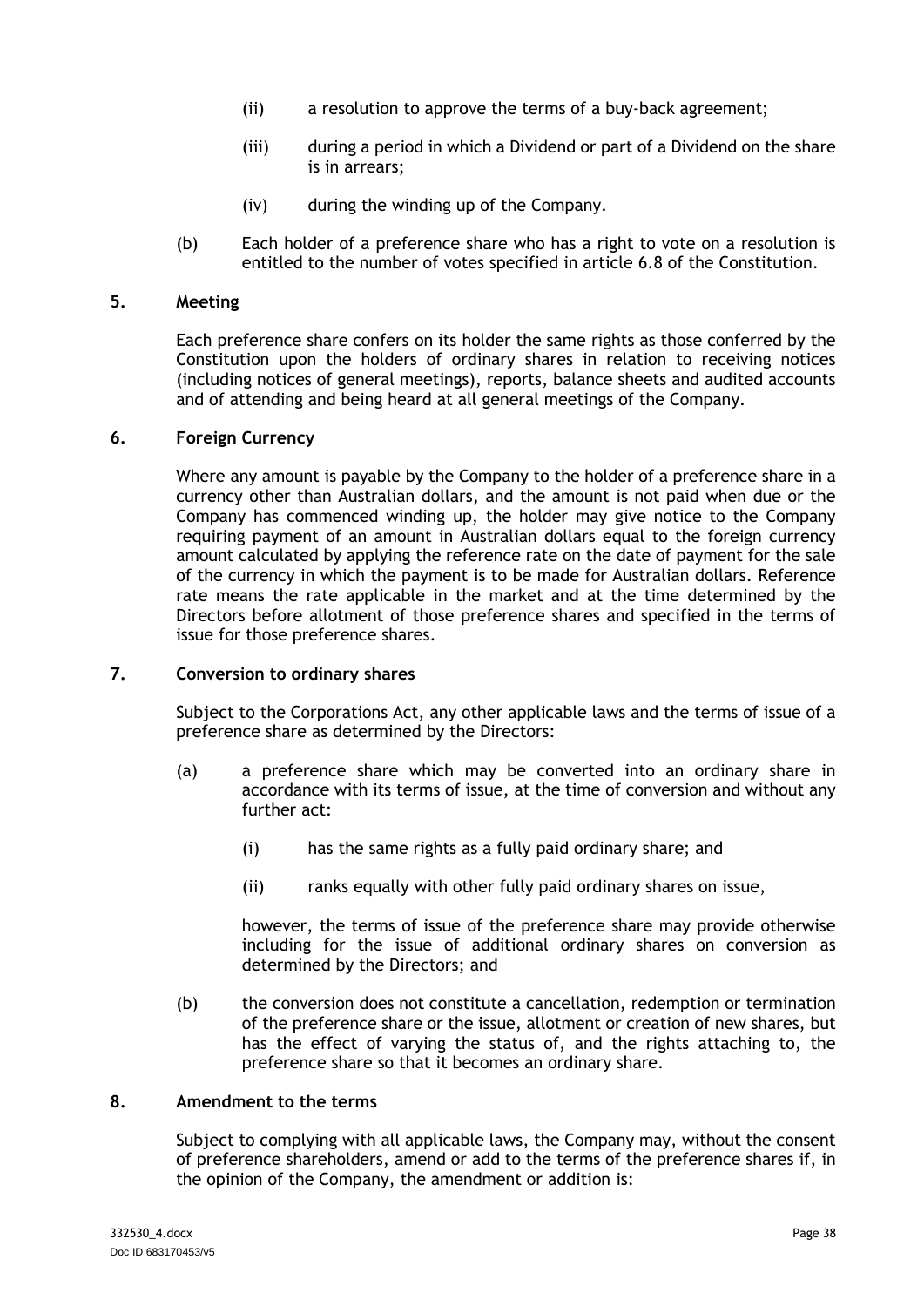- (ii) a resolution to approve the terms of a buy-back agreement;
- (iii) during a period in which a Dividend or part of a Dividend on the share is in arrears;
- (iv) during the winding up of the Company.
- (b) Each holder of a preference share who has a right to vote on a resolution is entitled to the number of votes specified in article [6.8](#page-18-0) of the Constitution.

#### **5. Meeting**

Each preference share confers on its holder the same rights as those conferred by the Constitution upon the holders of ordinary shares in relation to receiving notices (including notices of general meetings), reports, balance sheets and audited accounts and of attending and being heard at all general meetings of the Company.

#### **6. Foreign Currency**

Where any amount is payable by the Company to the holder of a preference share in a currency other than Australian dollars, and the amount is not paid when due or the Company has commenced winding up, the holder may give notice to the Company requiring payment of an amount in Australian dollars equal to the foreign currency amount calculated by applying the reference rate on the date of payment for the sale of the currency in which the payment is to be made for Australian dollars. Reference rate means the rate applicable in the market and at the time determined by the Directors before allotment of those preference shares and specified in the terms of issue for those preference shares.

#### **7. Conversion to ordinary shares**

Subject to the Corporations Act, any other applicable laws and the terms of issue of a preference share as determined by the Directors:

- (a) a preference share which may be converted into an ordinary share in accordance with its terms of issue, at the time of conversion and without any further act:
	- (i) has the same rights as a fully paid ordinary share; and
	- (ii) ranks equally with other fully paid ordinary shares on issue,

however, the terms of issue of the preference share may provide otherwise including for the issue of additional ordinary shares on conversion as determined by the Directors; and

(b) the conversion does not constitute a cancellation, redemption or termination of the preference share or the issue, allotment or creation of new shares, but has the effect of varying the status of, and the rights attaching to, the preference share so that it becomes an ordinary share.

#### <span id="page-41-0"></span>**8. Amendment to the terms**

Subject to complying with all applicable laws, the Company may, without the consent of preference shareholders, amend or add to the terms of the preference shares if, in the opinion of the Company, the amendment or addition is: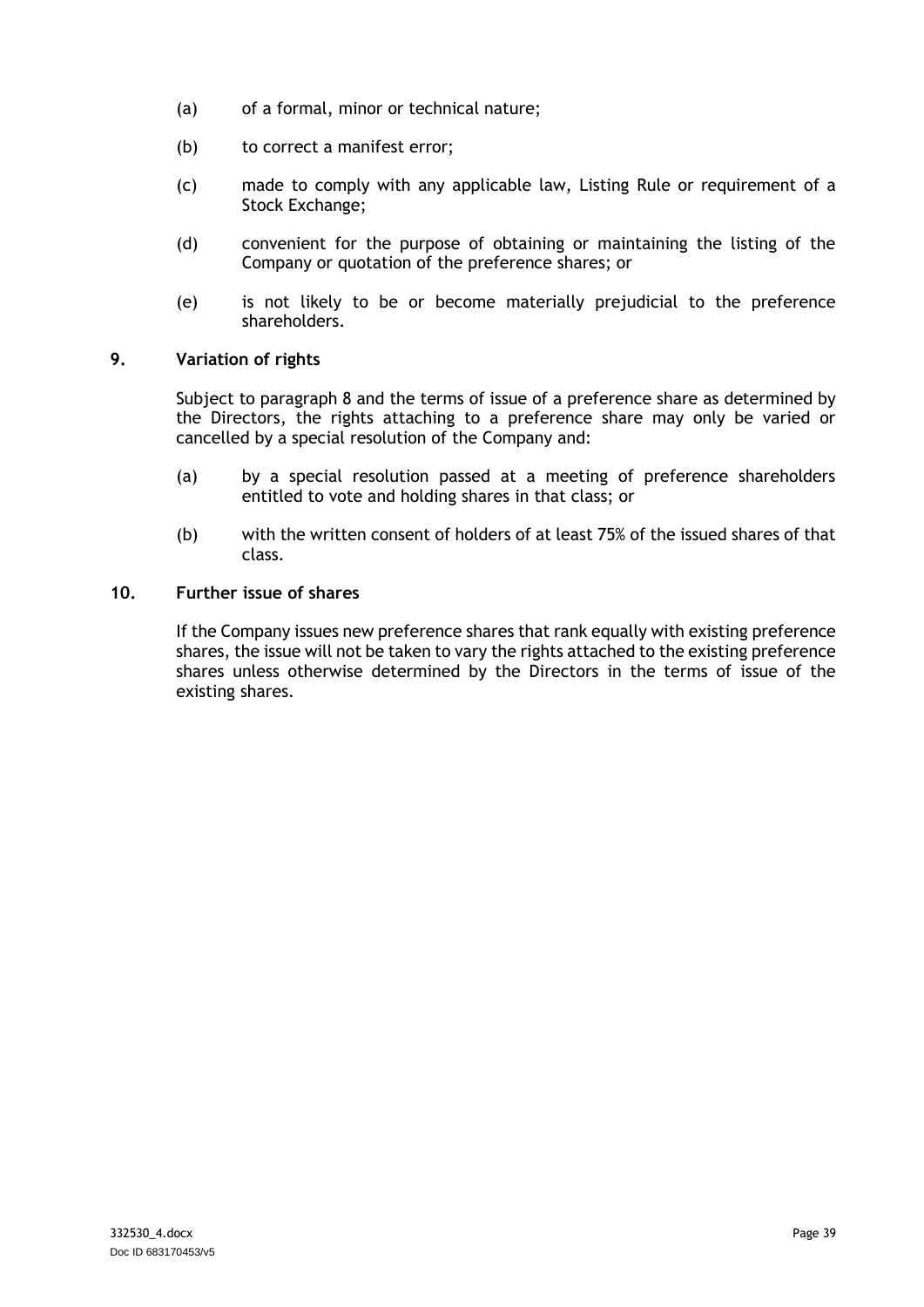- (a) of a formal, minor or technical nature;
- (b) to correct a manifest error;
- (c) made to comply with any applicable law, Listing Rule or requirement of a Stock Exchange;
- (d) convenient for the purpose of obtaining or maintaining the listing of the Company or quotation of the preference shares; or
- (e) is not likely to be or become materially prejudicial to the preference shareholders.

### **9. Variation of rights**

Subject to paragraph [8](#page-41-0) and the terms of issue of a preference share as determined by the Directors, the rights attaching to a preference share may only be varied or cancelled by a special resolution of the Company and:

- (a) by a special resolution passed at a meeting of preference shareholders entitled to vote and holding shares in that class; or
- (b) with the written consent of holders of at least 75% of the issued shares of that class.

#### **10. Further issue of shares**

If the Company issues new preference shares that rank equally with existing preference shares, the issue will not be taken to vary the rights attached to the existing preference shares unless otherwise determined by the Directors in the terms of issue of the existing shares.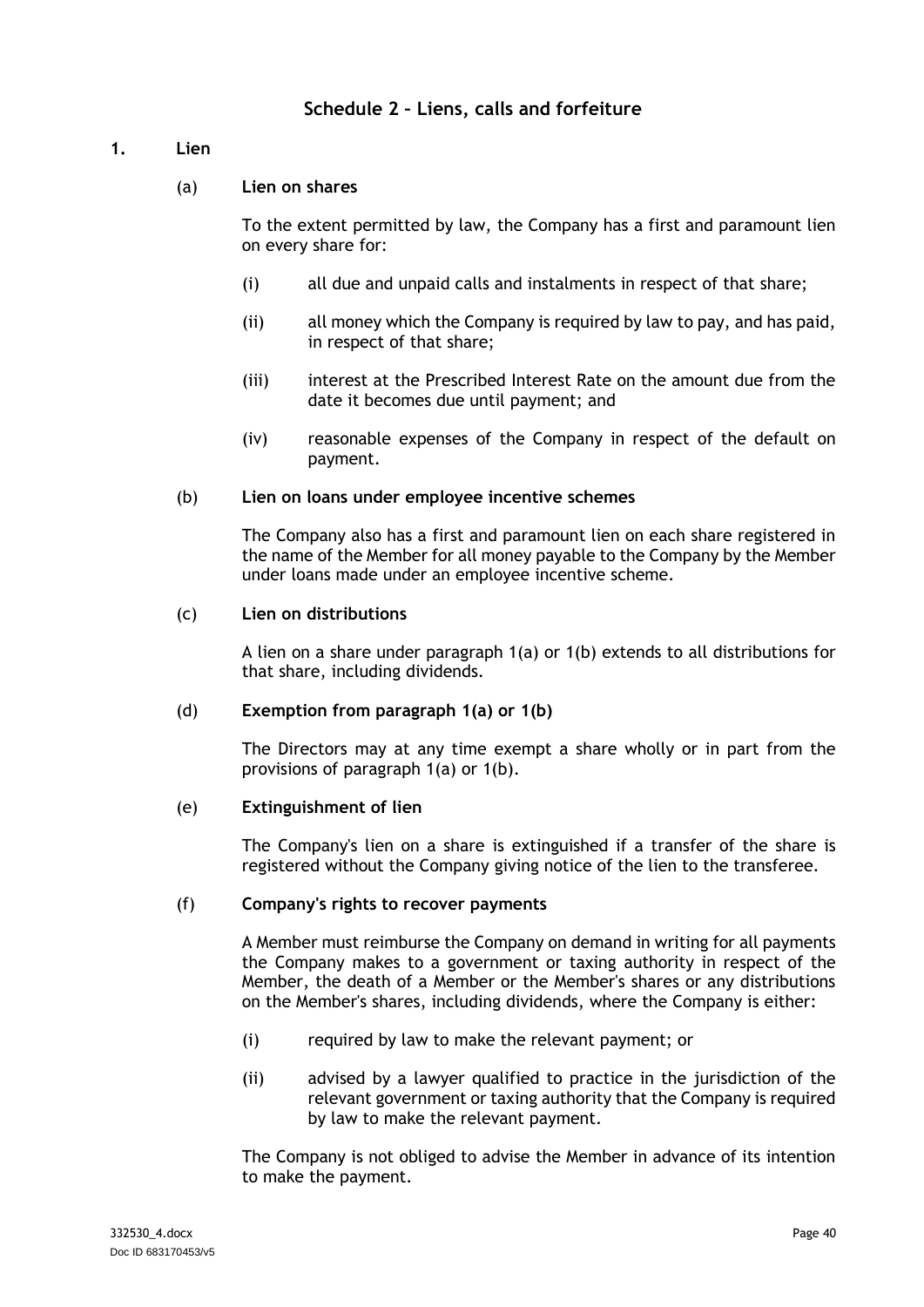# **Schedule 2 – Liens, calls and forfeiture**

### <span id="page-43-1"></span><span id="page-43-0"></span>**1. Lien**

### (a) **Lien on shares**

To the extent permitted by law, the Company has a first and paramount lien on every share for:

- (i) all due and unpaid calls and instalments in respect of that share;
- (ii) all money which the Company is required by law to pay, and has paid, in respect of that share;
- (iii) interest at the Prescribed Interest Rate on the amount due from the date it becomes due until payment; and
- (iv) reasonable expenses of the Company in respect of the default on payment.

#### <span id="page-43-2"></span>(b) **Lien on loans under employee incentive schemes**

The Company also has a first and paramount lien on each share registered in the name of the Member for all money payable to the Company by the Member under loans made under an employee incentive scheme.

#### (c) **Lien on distributions**

A lien on a share under paragraph [1\(a\)](#page-43-1) or [1\(b\)](#page-43-2) extends to all distributions for that share, including dividends.

#### (d) **Exemption from paragraph [1\(a\)](#page-43-1) or [1\(b\)](#page-43-2)**

The Directors may at any time exempt a share wholly or in part from the provisions of paragraph [1\(a\)](#page-43-1) or [1\(b\).](#page-43-2)

#### (e) **Extinguishment of lien**

The Company's lien on a share is extinguished if a transfer of the share is registered without the Company giving notice of the lien to the transferee.

#### (f) **Company's rights to recover payments**

A Member must reimburse the Company on demand in writing for all payments the Company makes to a government or taxing authority in respect of the Member, the death of a Member or the Member's shares or any distributions on the Member's shares, including dividends, where the Company is either:

- (i) required by law to make the relevant payment; or
- (ii) advised by a lawyer qualified to practice in the jurisdiction of the relevant government or taxing authority that the Company is required by law to make the relevant payment.

The Company is not obliged to advise the Member in advance of its intention to make the payment.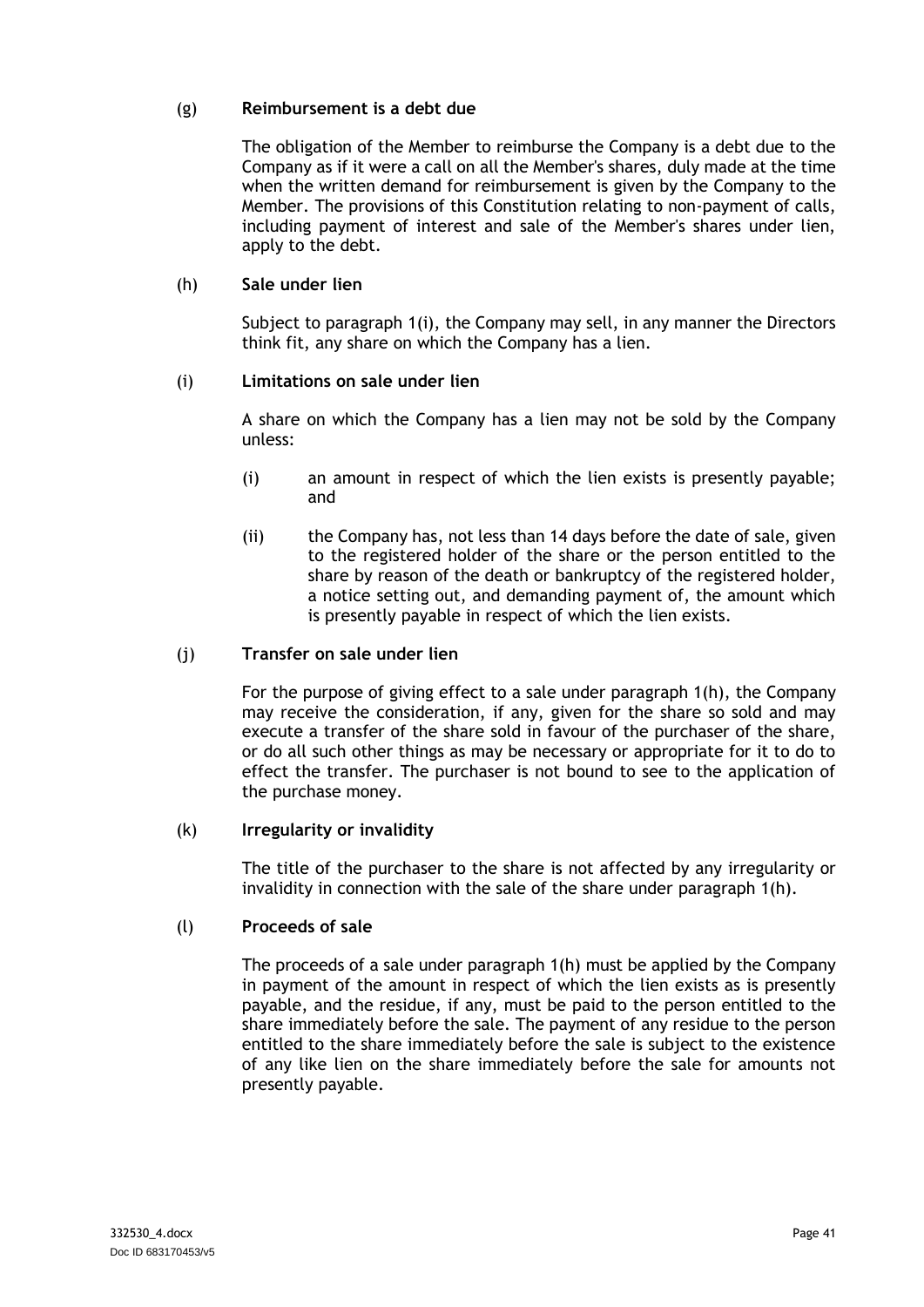#### (g) **Reimbursement is a debt due**

The obligation of the Member to reimburse the Company is a debt due to the Company as if it were a call on all the Member's shares, duly made at the time when the written demand for reimbursement is given by the Company to the Member. The provisions of this Constitution relating to non-payment of calls, including payment of interest and sale of the Member's shares under lien, apply to the debt.

### <span id="page-44-1"></span>(h) **Sale under lien**

Subject to paragraph [1\(i\),](#page-44-0) the Company may sell, in any manner the Directors think fit, any share on which the Company has a lien.

#### <span id="page-44-0"></span>(i) **Limitations on sale under lien**

A share on which the Company has a lien may not be sold by the Company unless:

- (i) an amount in respect of which the lien exists is presently payable; and
- (ii) the Company has, not less than 14 days before the date of sale, given to the registered holder of the share or the person entitled to the share by reason of the death or bankruptcy of the registered holder, a notice setting out, and demanding payment of, the amount which is presently payable in respect of which the lien exists.

#### (j) **Transfer on sale under lien**

For the purpose of giving effect to a sale under paragraph [1\(h\),](#page-44-1) the Company may receive the consideration, if any, given for the share so sold and may execute a transfer of the share sold in favour of the purchaser of the share, or do all such other things as may be necessary or appropriate for it to do to effect the transfer. The purchaser is not bound to see to the application of the purchase money.

#### (k) **Irregularity or invalidity**

The title of the purchaser to the share is not affected by any irregularity or invalidity in connection with the sale of the share under paragraph [1\(h\).](#page-44-1)

#### (l) **Proceeds of sale**

The proceeds of a sale under paragraph [1\(h\)](#page-44-1) must be applied by the Company in payment of the amount in respect of which the lien exists as is presently payable, and the residue, if any, must be paid to the person entitled to the share immediately before the sale. The payment of any residue to the person entitled to the share immediately before the sale is subject to the existence of any like lien on the share immediately before the sale for amounts not presently payable.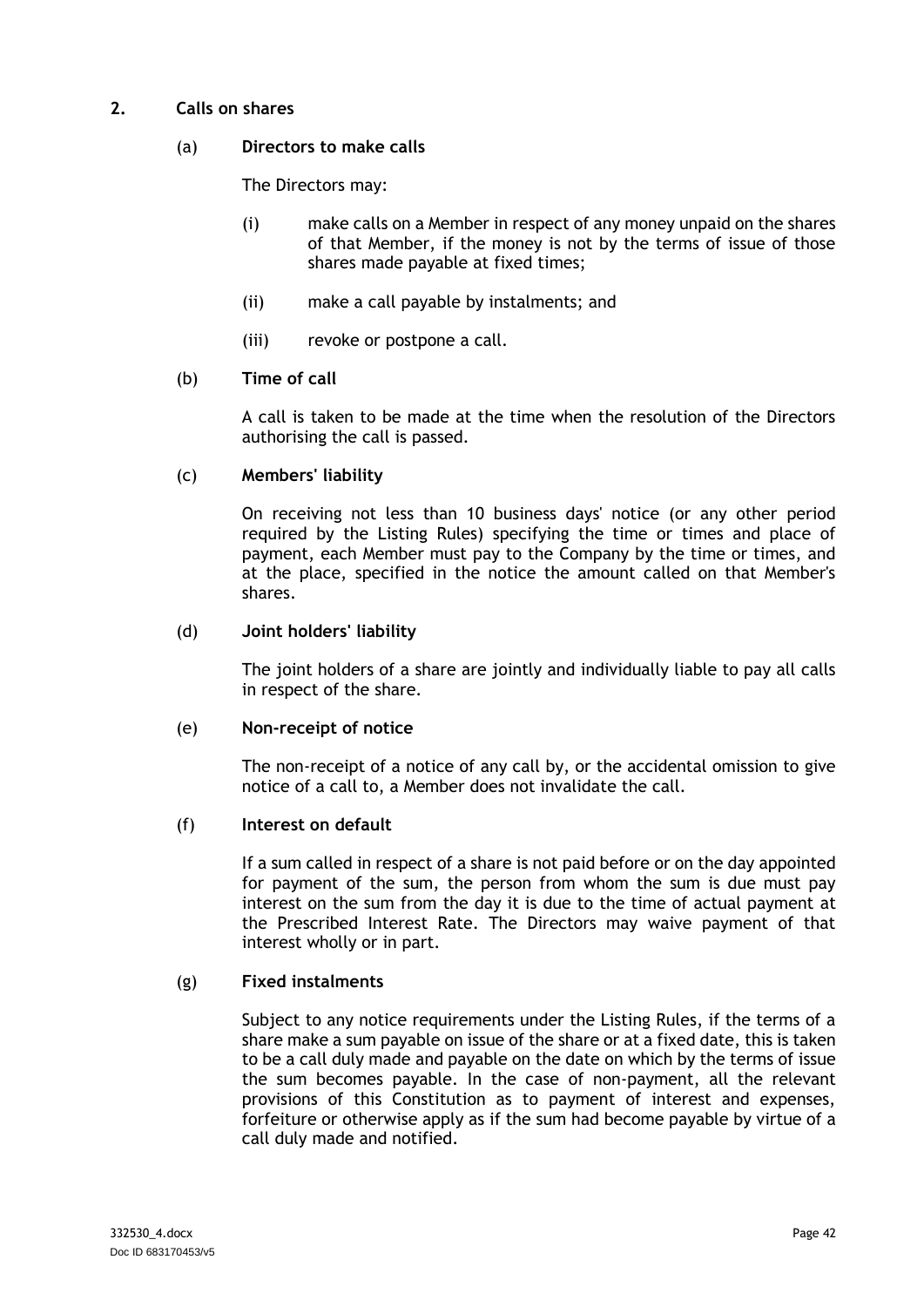#### **2. Calls on shares**

#### (a) **Directors to make calls**

The Directors may:

- (i) make calls on a Member in respect of any money unpaid on the shares of that Member, if the money is not by the terms of issue of those shares made payable at fixed times;
- (ii) make a call payable by instalments; and
- (iii) revoke or postpone a call.

### (b) **Time of call**

A call is taken to be made at the time when the resolution of the Directors authorising the call is passed.

### (c) **Members' liability**

On receiving not less than 10 business days' notice (or any other period required by the Listing Rules) specifying the time or times and place of payment, each Member must pay to the Company by the time or times, and at the place, specified in the notice the amount called on that Member's shares.

#### (d) **Joint holders' liability**

The joint holders of a share are jointly and individually liable to pay all calls in respect of the share.

#### (e) **Non-receipt of notice**

The non-receipt of a notice of any call by, or the accidental omission to give notice of a call to, a Member does not invalidate the call.

#### (f) **Interest on default**

If a sum called in respect of a share is not paid before or on the day appointed for payment of the sum, the person from whom the sum is due must pay interest on the sum from the day it is due to the time of actual payment at the Prescribed Interest Rate. The Directors may waive payment of that interest wholly or in part.

#### (g) **Fixed instalments**

Subject to any notice requirements under the Listing Rules, if the terms of a share make a sum payable on issue of the share or at a fixed date, this is taken to be a call duly made and payable on the date on which by the terms of issue the sum becomes payable. In the case of non-payment, all the relevant provisions of this Constitution as to payment of interest and expenses, forfeiture or otherwise apply as if the sum had become payable by virtue of a call duly made and notified.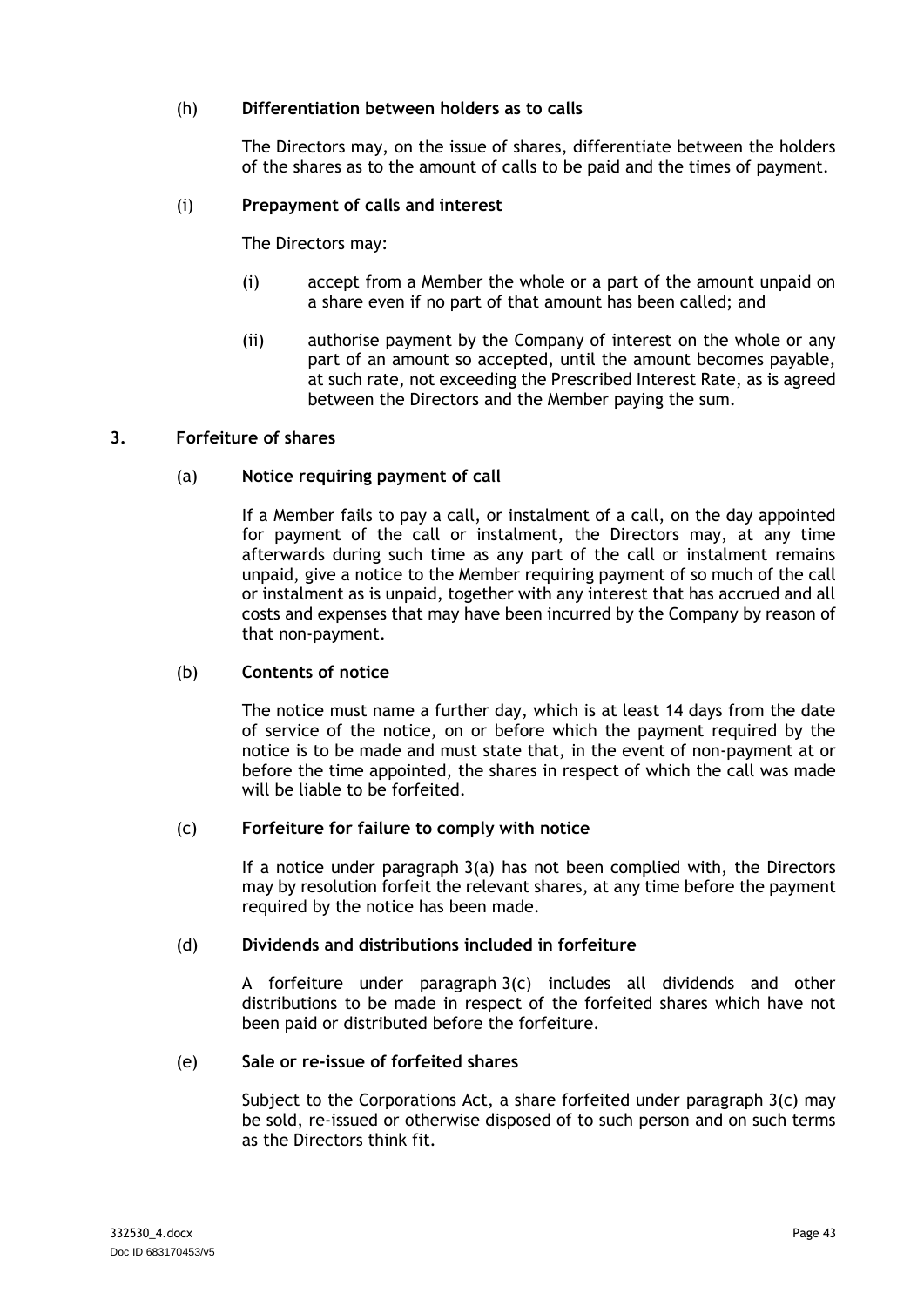#### (h) **Differentiation between holders as to calls**

The Directors may, on the issue of shares, differentiate between the holders of the shares as to the amount of calls to be paid and the times of payment.

#### (i) **Prepayment of calls and interest**

The Directors may:

- (i) accept from a Member the whole or a part of the amount unpaid on a share even if no part of that amount has been called; and
- (ii) authorise payment by the Company of interest on the whole or any part of an amount so accepted, until the amount becomes payable, at such rate, not exceeding the Prescribed Interest Rate, as is agreed between the Directors and the Member paying the sum.

#### <span id="page-46-0"></span>**3. Forfeiture of shares**

#### (a) **Notice requiring payment of call**

If a Member fails to pay a call, or instalment of a call, on the day appointed for payment of the call or instalment, the Directors may, at any time afterwards during such time as any part of the call or instalment remains unpaid, give a notice to the Member requiring payment of so much of the call or instalment as is unpaid, together with any interest that has accrued and all costs and expenses that may have been incurred by the Company by reason of that non-payment.

#### (b) **Contents of notice**

The notice must name a further day, which is at least 14 days from the date of service of the notice, on or before which the payment required by the notice is to be made and must state that, in the event of non-payment at or before the time appointed, the shares in respect of which the call was made will be liable to be forfeited.

#### <span id="page-46-1"></span>(c) **Forfeiture for failure to comply with notice**

If a notice under paragraph [3\(a\)](#page-46-0) has not been complied with, the Directors may by resolution forfeit the relevant shares, at any time before the payment required by the notice has been made.

#### (d) **Dividends and distributions included in forfeiture**

A forfeiture under paragraph [3\(c\)](#page-46-1) includes all dividends and other distributions to be made in respect of the forfeited shares which have not been paid or distributed before the forfeiture.

#### <span id="page-46-2"></span>(e) **Sale or re-issue of forfeited shares**

Subject to the Corporations Act, a share forfeited under paragraph  $3(c)$  may be sold, re-issued or otherwise disposed of to such person and on such terms as the Directors think fit.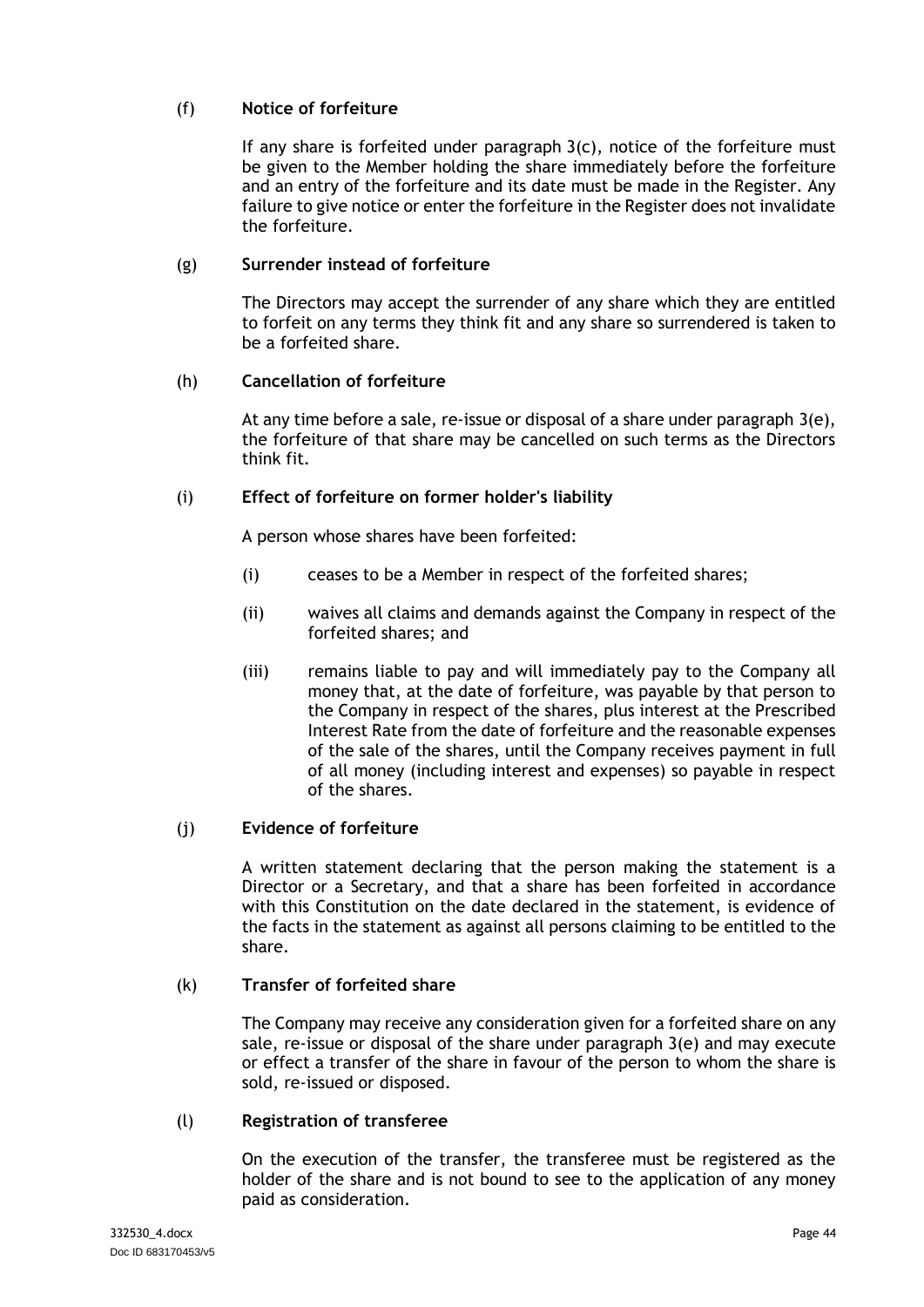# (f) **Notice of forfeiture**

If any share is forfeited under paragraph [3\(c\),](#page-46-1) notice of the forfeiture must be given to the Member holding the share immediately before the forfeiture and an entry of the forfeiture and its date must be made in the Register. Any failure to give notice or enter the forfeiture in the Register does not invalidate the forfeiture.

### (g) **Surrender instead of forfeiture**

The Directors may accept the surrender of any share which they are entitled to forfeit on any terms they think fit and any share so surrendered is taken to be a forfeited share.

#### (h) **Cancellation of forfeiture**

At any time before a sale, re-issue or disposal of a share under paragraph [3\(e\),](#page-46-2) the forfeiture of that share may be cancelled on such terms as the Directors think fit.

#### (i) **Effect of forfeiture on former holder's liability**

A person whose shares have been forfeited:

- (i) ceases to be a Member in respect of the forfeited shares;
- (ii) waives all claims and demands against the Company in respect of the forfeited shares; and
- (iii) remains liable to pay and will immediately pay to the Company all money that, at the date of forfeiture, was payable by that person to the Company in respect of the shares, plus interest at the Prescribed Interest Rate from the date of forfeiture and the reasonable expenses of the sale of the shares, until the Company receives payment in full of all money (including interest and expenses) so payable in respect of the shares.

#### (j) **Evidence of forfeiture**

A written statement declaring that the person making the statement is a Director or a Secretary, and that a share has been forfeited in accordance with this Constitution on the date declared in the statement, is evidence of the facts in the statement as against all persons claiming to be entitled to the share.

#### (k) **Transfer of forfeited share**

The Company may receive any consideration given for a forfeited share on any sale, re-issue or disposal of the share under paragraph [3\(e\)](#page-46-2) and may execute or effect a transfer of the share in favour of the person to whom the share is sold, re-issued or disposed.

#### (l) **Registration of transferee**

On the execution of the transfer, the transferee must be registered as the holder of the share and is not bound to see to the application of any money paid as consideration.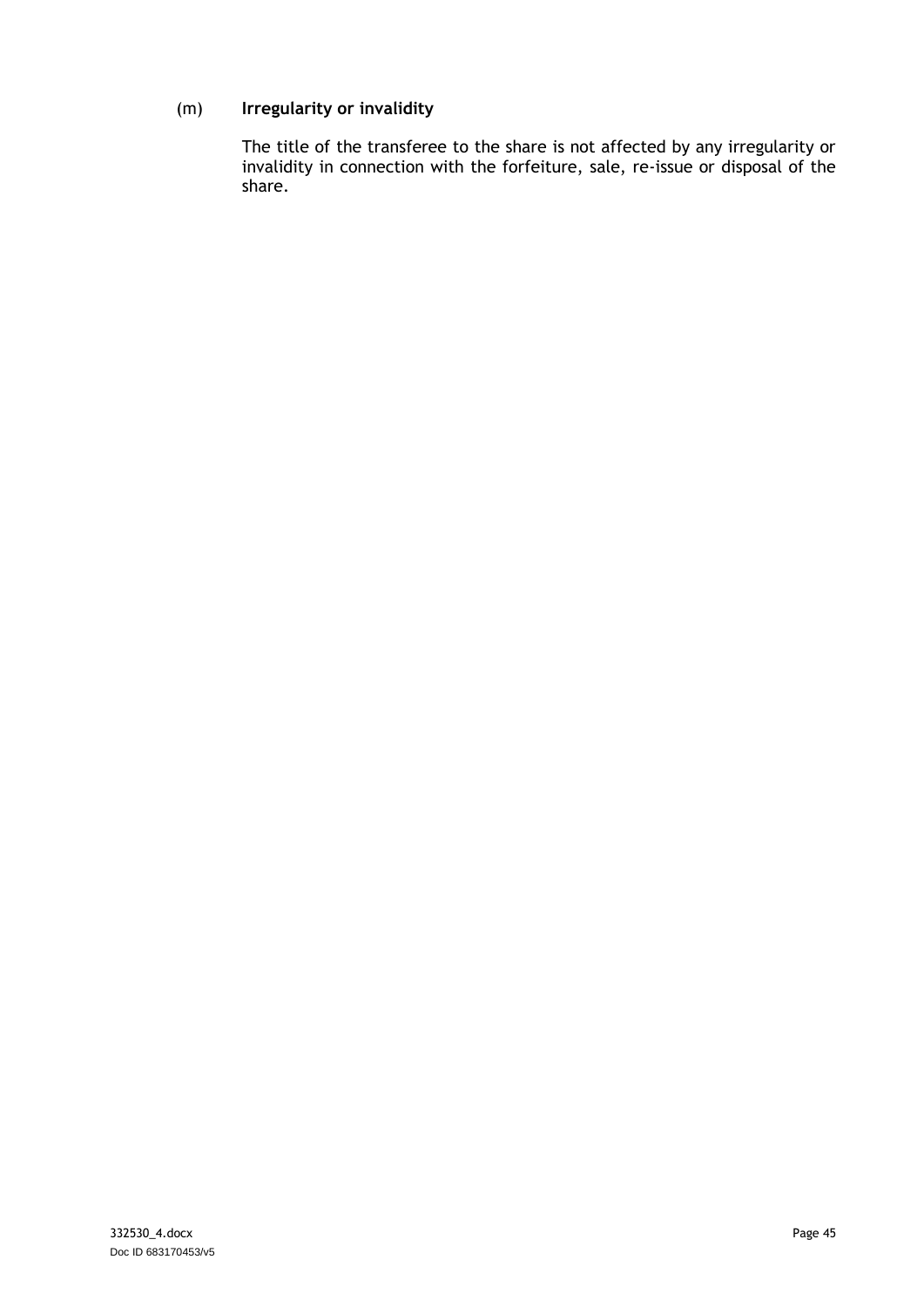# (m) **Irregularity or invalidity**

The title of the transferee to the share is not affected by any irregularity or invalidity in connection with the forfeiture, sale, re-issue or disposal of the share.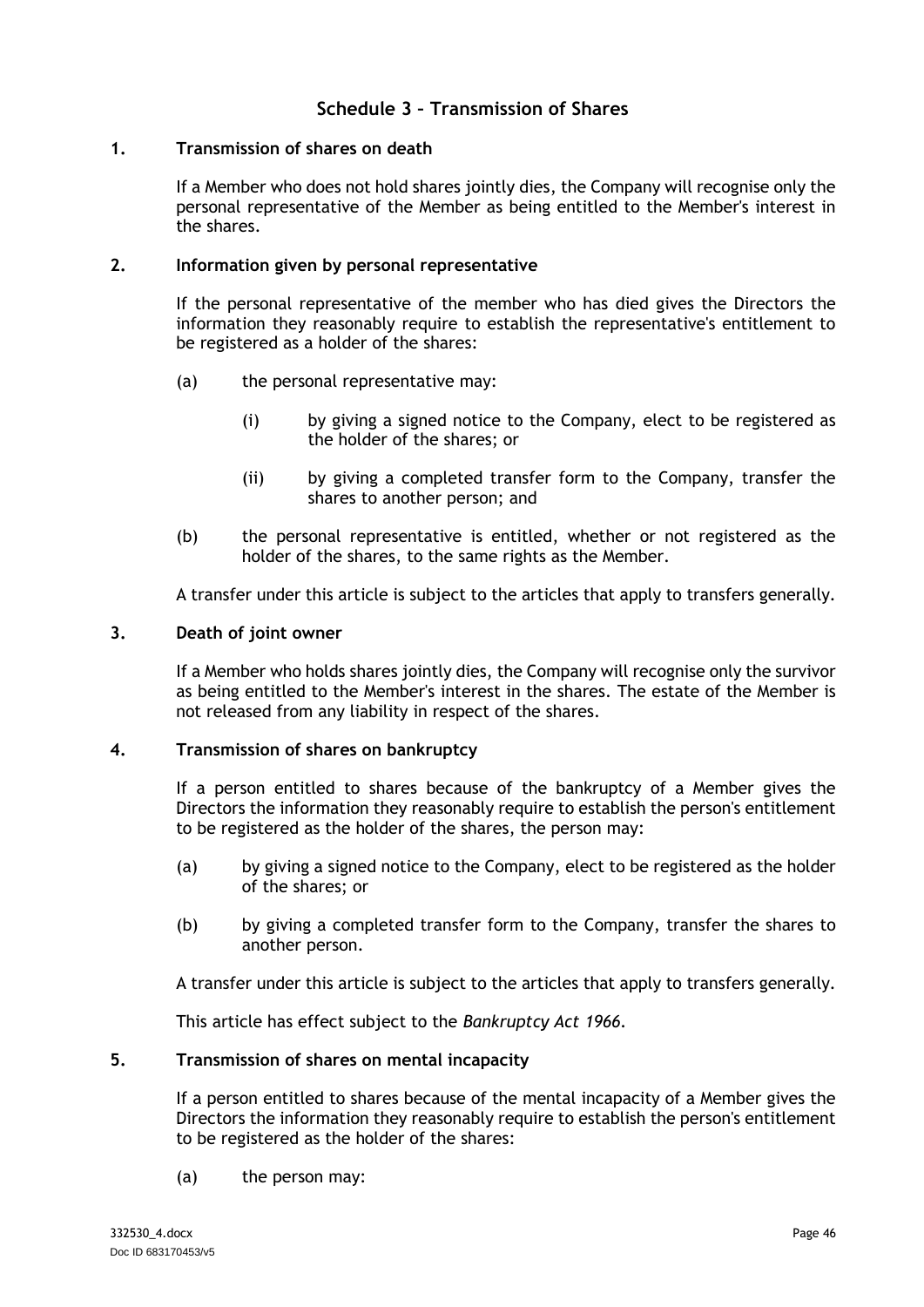# **Schedule 3 – Transmission of Shares**

#### <span id="page-49-1"></span><span id="page-49-0"></span>**1. Transmission of shares on death**

If a Member who does not hold shares jointly dies, the Company will recognise only the personal representative of the Member as being entitled to the Member's interest in the shares.

#### **2. Information given by personal representative**

If the personal representative of the member who has died gives the Directors the information they reasonably require to establish the representative's entitlement to be registered as a holder of the shares:

- (a) the personal representative may:
	- (i) by giving a signed notice to the Company, elect to be registered as the holder of the shares; or
	- (ii) by giving a completed transfer form to the Company, transfer the shares to another person; and
- (b) the personal representative is entitled, whether or not registered as the holder of the shares, to the same rights as the Member.

A transfer under this article is subject to the articles that apply to transfers generally.

#### **3. Death of joint owner**

If a Member who holds shares jointly dies, the Company will recognise only the survivor as being entitled to the Member's interest in the shares. The estate of the Member is not released from any liability in respect of the shares.

#### <span id="page-49-2"></span>**4. Transmission of shares on bankruptcy**

If a person entitled to shares because of the bankruptcy of a Member gives the Directors the information they reasonably require to establish the person's entitlement to be registered as the holder of the shares, the person may:

- (a) by giving a signed notice to the Company, elect to be registered as the holder of the shares; or
- (b) by giving a completed transfer form to the Company, transfer the shares to another person.

A transfer under this article is subject to the articles that apply to transfers generally.

This article has effect subject to the *Bankruptcy Act 1966.*

#### <span id="page-49-3"></span>**5. Transmission of shares on mental incapacity**

If a person entitled to shares because of the mental incapacity of a Member gives the Directors the information they reasonably require to establish the person's entitlement to be registered as the holder of the shares:

(a) the person may: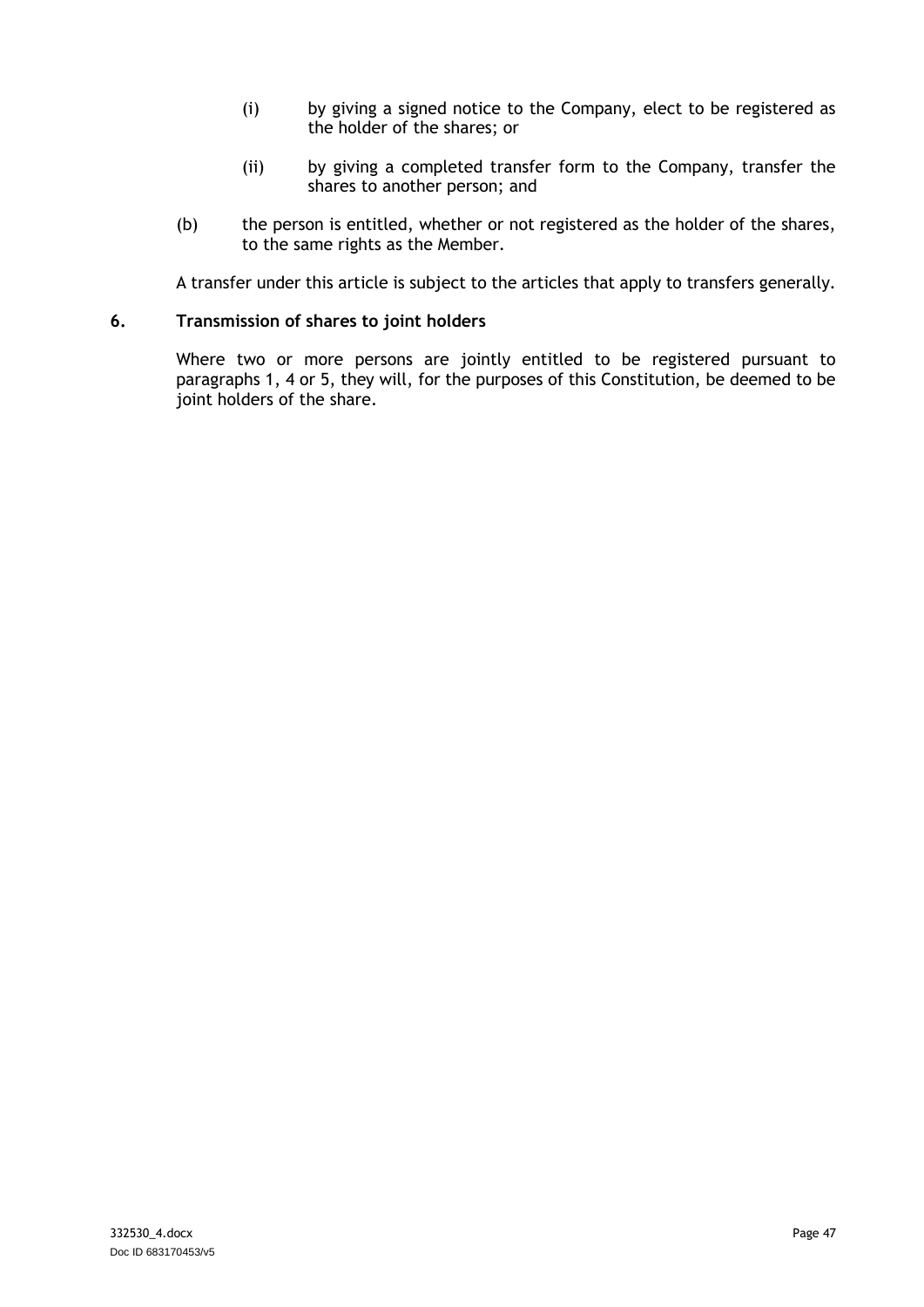- (i) by giving a signed notice to the Company, elect to be registered as the holder of the shares; or
- (ii) by giving a completed transfer form to the Company, transfer the shares to another person; and
- (b) the person is entitled, whether or not registered as the holder of the shares, to the same rights as the Member.

A transfer under this article is subject to the articles that apply to transfers generally.

#### **6. Transmission of shares to joint holders**

Where two or more persons are jointly entitled to be registered pursuant to paragraphs [1,](#page-49-1) [4](#page-49-2) or [5,](#page-49-3) they will, for the purposes of this Constitution, be deemed to be joint holders of the share.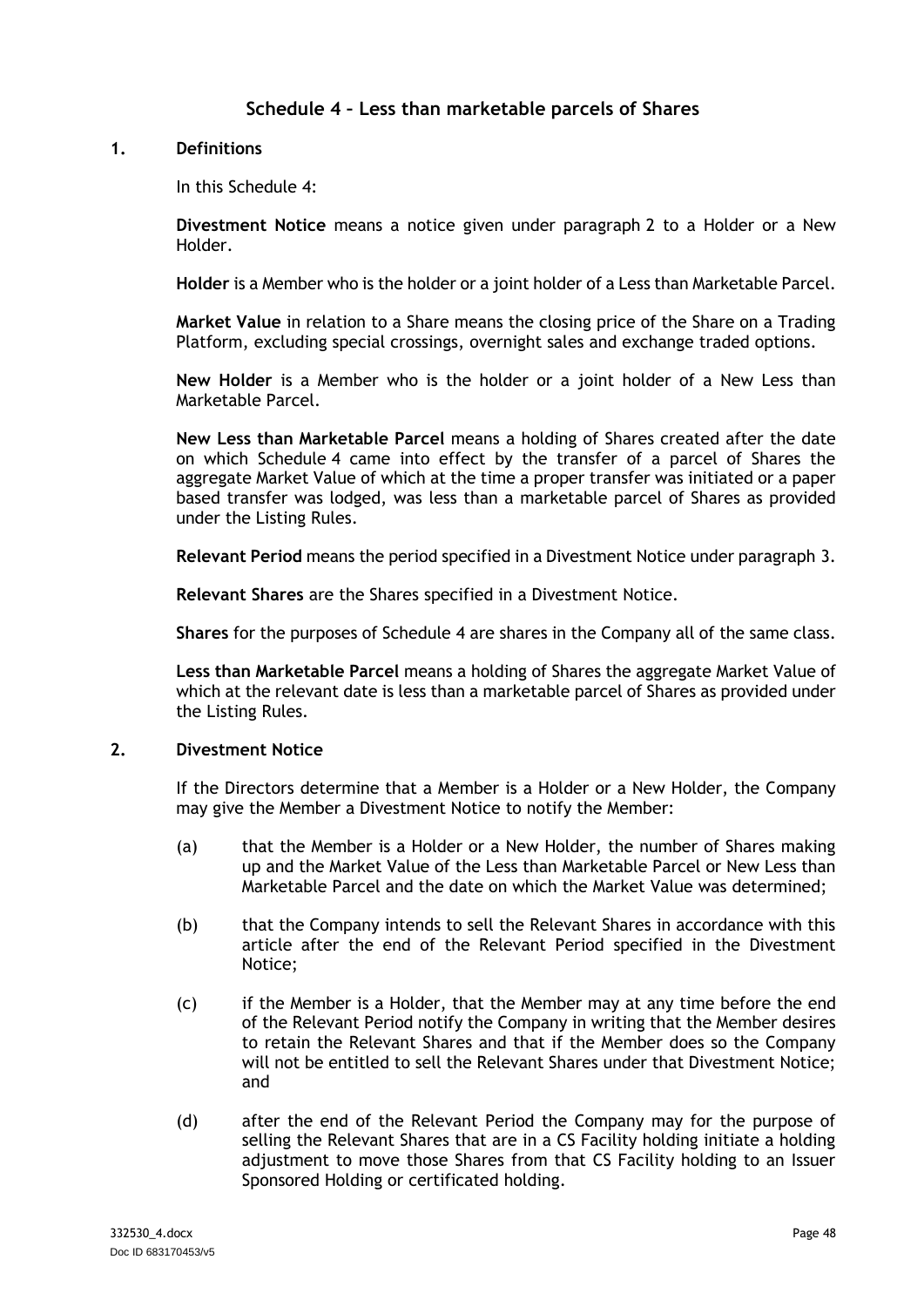# **Schedule 4 – Less than marketable parcels of Shares**

#### <span id="page-51-0"></span>**1. Definitions**

In this [Schedule](#page-51-0) 4:

**Divestment Notice** means a notice given under paragraph [2](#page-51-1) to a Holder or a New Holder.

**Holder** is a Member who is the holder or a joint holder of a Less than Marketable Parcel.

**Market Value** in relation to a Share means the closing price of the Share on a Trading Platform, excluding special crossings, overnight sales and exchange traded options.

**New Holder** is a Member who is the holder or a joint holder of a New Less than Marketable Parcel.

**New Less than Marketable Parcel** means a holding of Shares created after the date on which [Schedule](#page-51-0) 4 came into effect by the transfer of a parcel of Shares the aggregate Market Value of which at the time a proper transfer was initiated or a paper based transfer was lodged, was less than a marketable parcel of Shares as provided under the Listing Rules.

**Relevant Period** means the period specified in a Divestment Notice under paragraph [3.](#page-52-0)

**Relevant Shares** are the Shares specified in a Divestment Notice.

**Shares** for the purposes of [Schedule](#page-51-0) 4 are shares in the Company all of the same class.

**Less than Marketable Parcel** means a holding of Shares the aggregate Market Value of which at the relevant date is less than a marketable parcel of Shares as provided under the Listing Rules.

#### <span id="page-51-1"></span>**2. Divestment Notice**

If the Directors determine that a Member is a Holder or a New Holder, the Company may give the Member a Divestment Notice to notify the Member:

- (a) that the Member is a Holder or a New Holder, the number of Shares making up and the Market Value of the Less than Marketable Parcel or New Less than Marketable Parcel and the date on which the Market Value was determined;
- (b) that the Company intends to sell the Relevant Shares in accordance with this article after the end of the Relevant Period specified in the Divestment Notice;
- (c) if the Member is a Holder, that the Member may at any time before the end of the Relevant Period notify the Company in writing that the Member desires to retain the Relevant Shares and that if the Member does so the Company will not be entitled to sell the Relevant Shares under that Divestment Notice; and
- (d) after the end of the Relevant Period the Company may for the purpose of selling the Relevant Shares that are in a CS Facility holding initiate a holding adjustment to move those Shares from that CS Facility holding to an Issuer Sponsored Holding or certificated holding.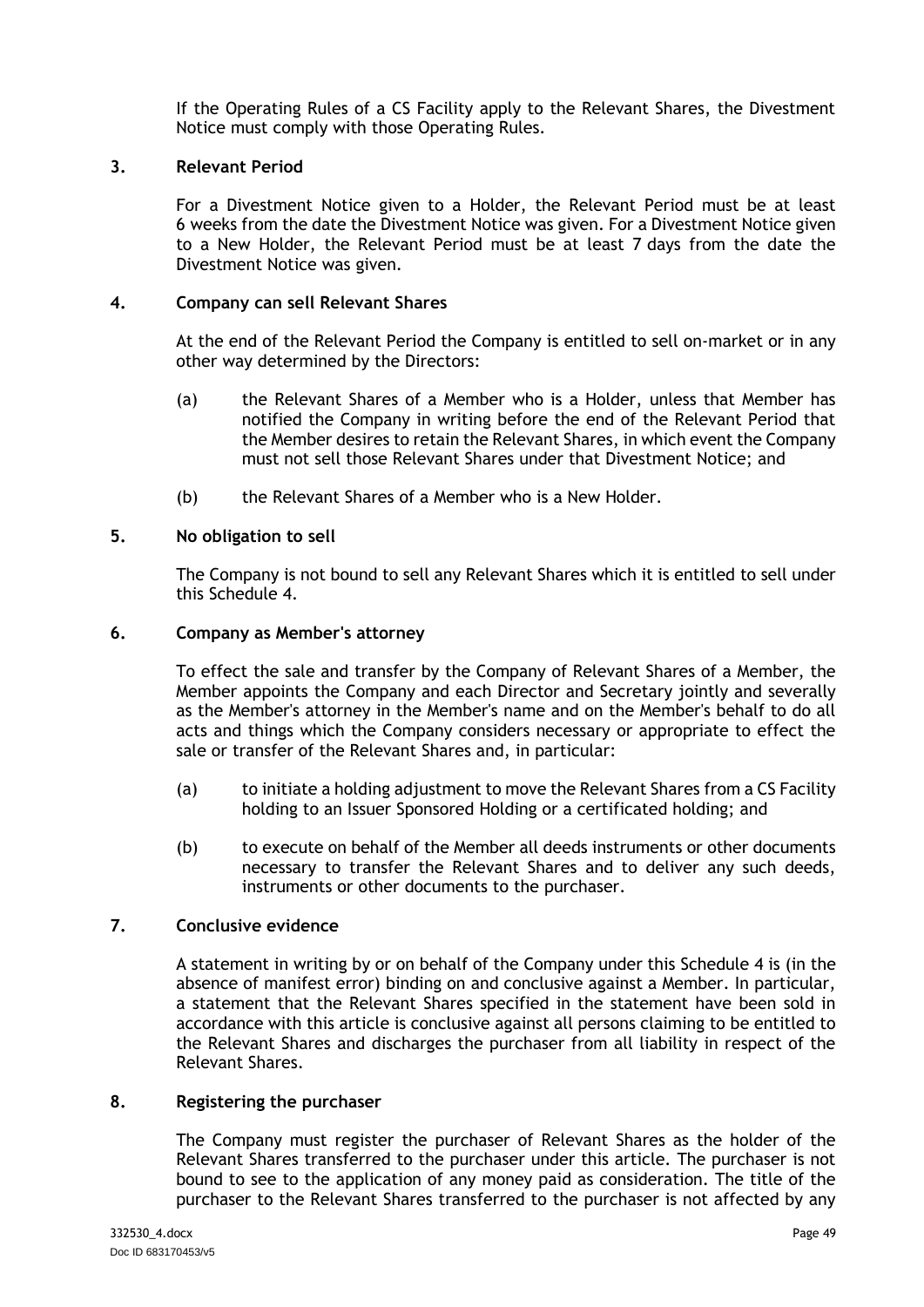If the Operating Rules of a CS Facility apply to the Relevant Shares, the Divestment Notice must comply with those Operating Rules.

#### <span id="page-52-0"></span>**3. Relevant Period**

For a Divestment Notice given to a Holder, the Relevant Period must be at least 6 weeks from the date the Divestment Notice was given. For a Divestment Notice given to a New Holder, the Relevant Period must be at least 7 days from the date the Divestment Notice was given.

#### **4. Company can sell Relevant Shares**

At the end of the Relevant Period the Company is entitled to sell on-market or in any other way determined by the Directors:

- (a) the Relevant Shares of a Member who is a Holder, unless that Member has notified the Company in writing before the end of the Relevant Period that the Member desires to retain the Relevant Shares, in which event the Company must not sell those Relevant Shares under that Divestment Notice; and
- (b) the Relevant Shares of a Member who is a New Holder.

#### **5. No obligation to sell**

The Company is not bound to sell any Relevant Shares which it is entitled to sell under this [Schedule](#page-51-0) 4.

#### **6. Company as Member's attorney**

To effect the sale and transfer by the Company of Relevant Shares of a Member, the Member appoints the Company and each Director and Secretary jointly and severally as the Member's attorney in the Member's name and on the Member's behalf to do all acts and things which the Company considers necessary or appropriate to effect the sale or transfer of the Relevant Shares and, in particular:

- (a) to initiate a holding adjustment to move the Relevant Shares from a CS Facility holding to an Issuer Sponsored Holding or a certificated holding; and
- (b) to execute on behalf of the Member all deeds instruments or other documents necessary to transfer the Relevant Shares and to deliver any such deeds, instruments or other documents to the purchaser.

#### **7. Conclusive evidence**

A statement in writing by or on behalf of the Company under this [Schedule](#page-51-0) 4 is (in the absence of manifest error) binding on and conclusive against a Member. In particular, a statement that the Relevant Shares specified in the statement have been sold in accordance with this article is conclusive against all persons claiming to be entitled to the Relevant Shares and discharges the purchaser from all liability in respect of the Relevant Shares.

#### **8. Registering the purchaser**

The Company must register the purchaser of Relevant Shares as the holder of the Relevant Shares transferred to the purchaser under this article. The purchaser is not bound to see to the application of any money paid as consideration. The title of the purchaser to the Relevant Shares transferred to the purchaser is not affected by any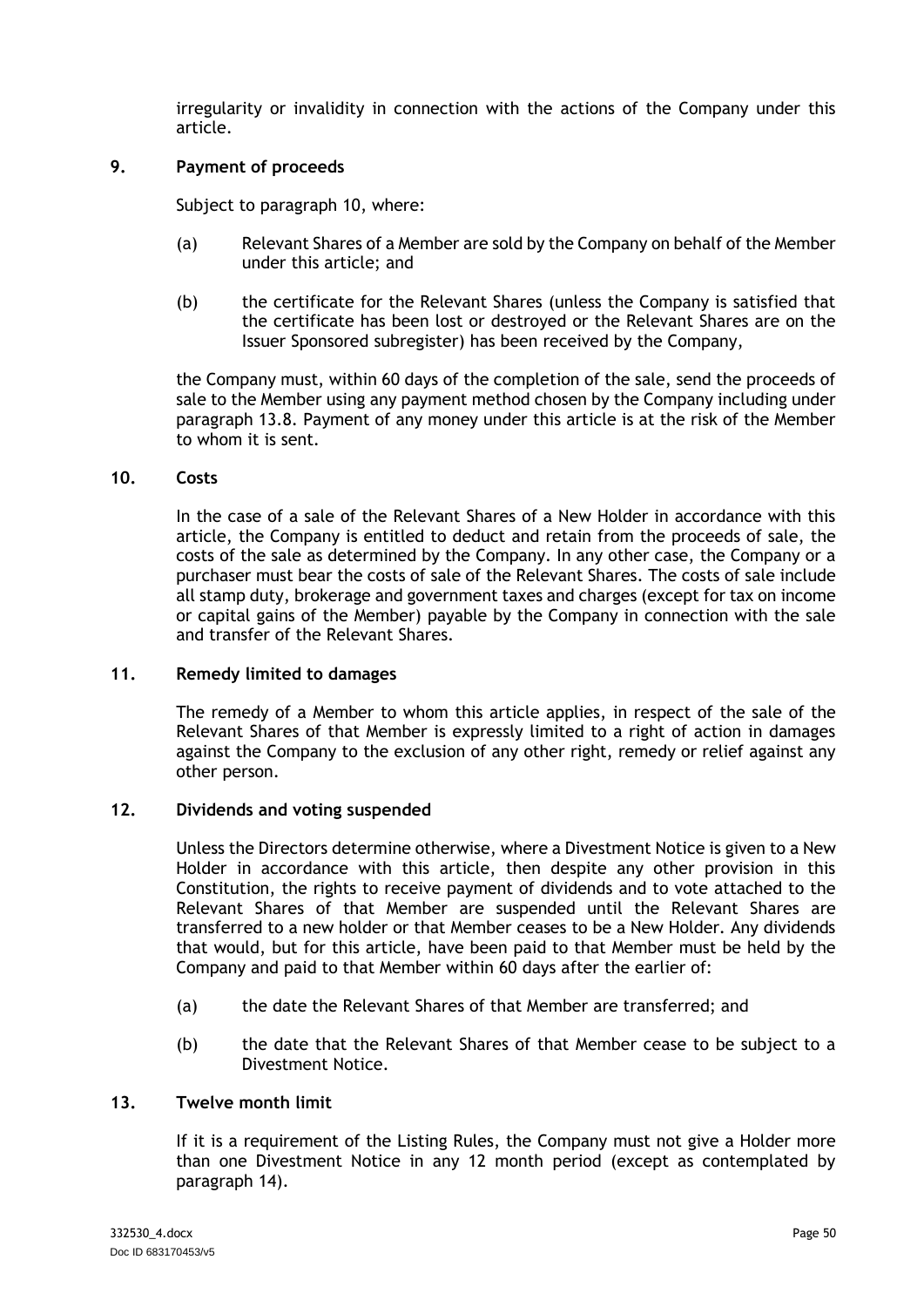irregularity or invalidity in connection with the actions of the Company under this article.

#### **9. Payment of proceeds**

Subject to paragraph [10,](#page-53-0) where:

- (a) Relevant Shares of a Member are sold by the Company on behalf of the Member under this article; and
- (b) the certificate for the Relevant Shares (unless the Company is satisfied that the certificate has been lost or destroyed or the Relevant Shares are on the Issuer Sponsored subregister) has been received by the Company,

the Company must, within 60 days of the completion of the sale, send the proceeds of sale to the Member using any payment method chosen by the Company including under paragraph [13.8.](#page-34-0) Payment of any money under this article is at the risk of the Member to whom it is sent.

#### <span id="page-53-0"></span>**10. Costs**

In the case of a sale of the Relevant Shares of a New Holder in accordance with this article, the Company is entitled to deduct and retain from the proceeds of sale, the costs of the sale as determined by the Company. In any other case, the Company or a purchaser must bear the costs of sale of the Relevant Shares. The costs of sale include all stamp duty, brokerage and government taxes and charges (except for tax on income or capital gains of the Member) payable by the Company in connection with the sale and transfer of the Relevant Shares.

#### **11. Remedy limited to damages**

The remedy of a Member to whom this article applies, in respect of the sale of the Relevant Shares of that Member is expressly limited to a right of action in damages against the Company to the exclusion of any other right, remedy or relief against any other person.

#### **12. Dividends and voting suspended**

Unless the Directors determine otherwise, where a Divestment Notice is given to a New Holder in accordance with this article, then despite any other provision in this Constitution, the rights to receive payment of dividends and to vote attached to the Relevant Shares of that Member are suspended until the Relevant Shares are transferred to a new holder or that Member ceases to be a New Holder. Any dividends that would, but for this article, have been paid to that Member must be held by the Company and paid to that Member within 60 days after the earlier of:

- (a) the date the Relevant Shares of that Member are transferred; and
- (b) the date that the Relevant Shares of that Member cease to be subject to a Divestment Notice.

#### <span id="page-53-1"></span>**13. Twelve month limit**

If it is a requirement of the Listing Rules, the Company must not give a Holder more than one Divestment Notice in any 12 month period (except as contemplated by paragraph [14\)](#page-54-0).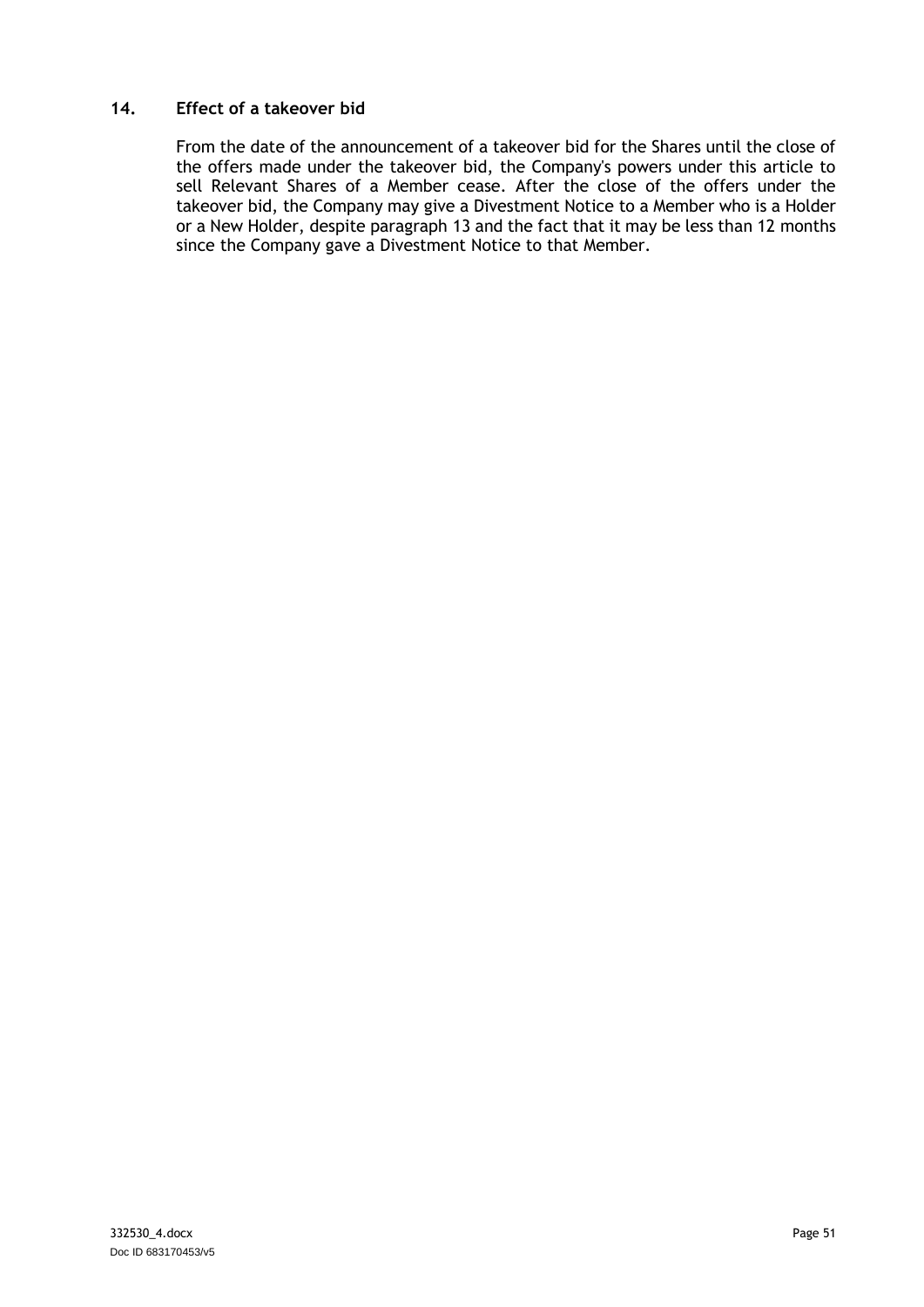#### <span id="page-54-0"></span>**14. Effect of a takeover bid**

From the date of the announcement of a takeover bid for the Shares until the close of the offers made under the takeover bid, the Company's powers under this article to sell Relevant Shares of a Member cease. After the close of the offers under the takeover bid, the Company may give a Divestment Notice to a Member who is a Holder or a New Holder, despite paragraph [13](#page-53-1) and the fact that it may be less than 12 months since the Company gave a Divestment Notice to that Member.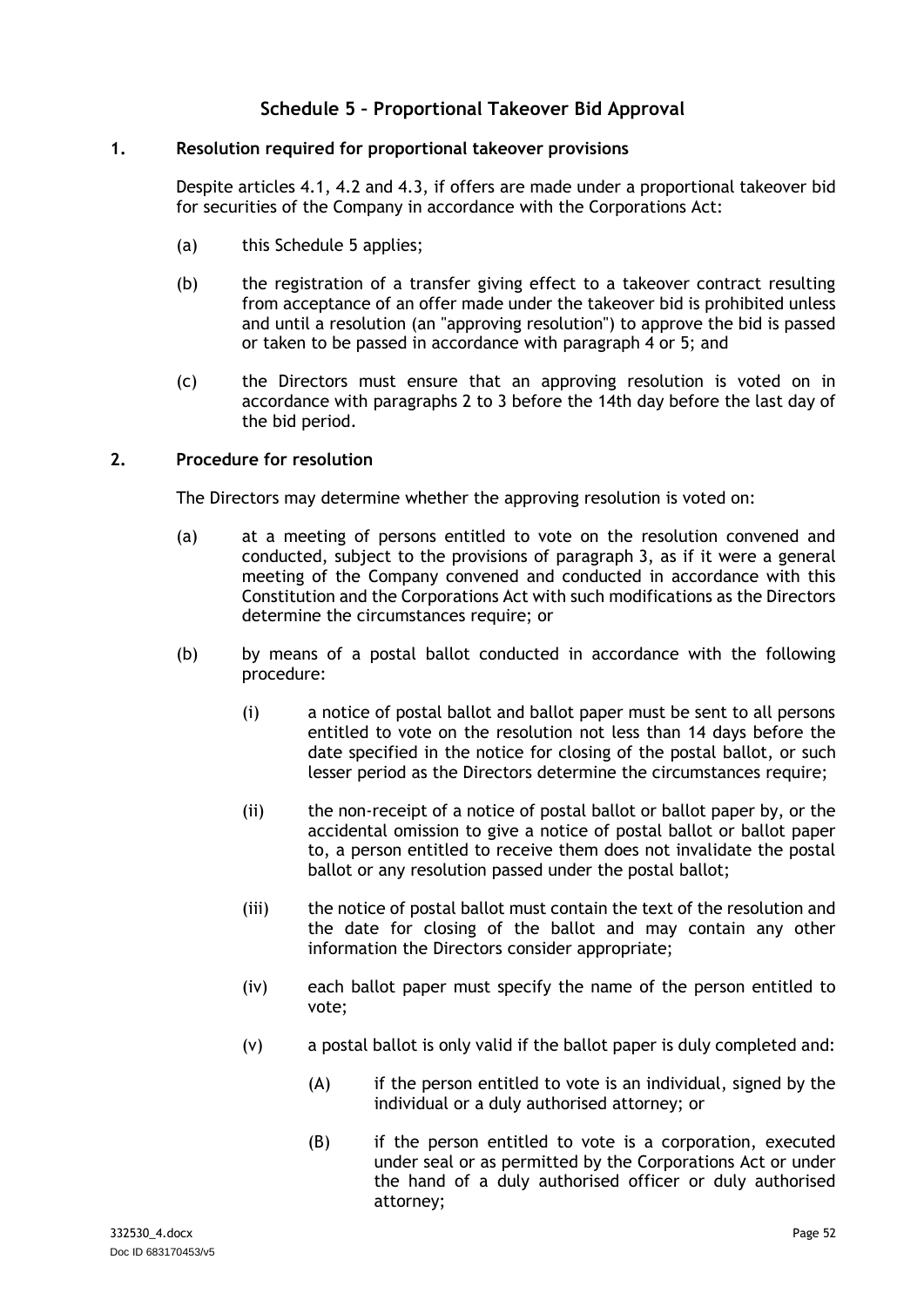# **Schedule 5 – Proportional Takeover Bid Approval**

#### <span id="page-55-2"></span><span id="page-55-0"></span>**1. Resolution required for proportional takeover provisions**

Despite articles [4.1,](#page-10-2) [4.2](#page-10-3) and [4.3,](#page-10-4) if offers are made under a proportional takeover bid for securities of the Company in accordance with the Corporations Act:

- (a) this [Schedule](#page-55-0) 5 applies;
- (b) the registration of a transfer giving effect to a takeover contract resulting from acceptance of an offer made under the takeover bid is prohibited unless and until a resolution (an "approving resolution") to approve the bid is passed or taken to be passed in accordance with paragraph [4](#page-56-0) or [5;](#page-56-1) and
- (c) the Directors must ensure that an approving resolution is voted on in accordance with paragraphs [2](#page-55-1) to [3](#page-56-2) before the 14th day before the last day of the bid period.

#### <span id="page-55-1"></span>**2. Procedure for resolution**

The Directors may determine whether the approving resolution is voted on:

- (a) at a meeting of persons entitled to vote on the resolution convened and conducted, subject to the provisions of paragraph [3,](#page-56-2) as if it were a general meeting of the Company convened and conducted in accordance with this Constitution and the Corporations Act with such modifications as the Directors determine the circumstances require; or
- (b) by means of a postal ballot conducted in accordance with the following procedure:
	- (i) a notice of postal ballot and ballot paper must be sent to all persons entitled to vote on the resolution not less than 14 days before the date specified in the notice for closing of the postal ballot, or such lesser period as the Directors determine the circumstances require;
	- (ii) the non-receipt of a notice of postal ballot or ballot paper by, or the accidental omission to give a notice of postal ballot or ballot paper to, a person entitled to receive them does not invalidate the postal ballot or any resolution passed under the postal ballot;
	- (iii) the notice of postal ballot must contain the text of the resolution and the date for closing of the ballot and may contain any other information the Directors consider appropriate;
	- (iv) each ballot paper must specify the name of the person entitled to vote;
	- (v) a postal ballot is only valid if the ballot paper is duly completed and:
		- (A) if the person entitled to vote is an individual, signed by the individual or a duly authorised attorney; or
		- (B) if the person entitled to vote is a corporation, executed under seal or as permitted by the Corporations Act or under the hand of a duly authorised officer or duly authorised attorney;